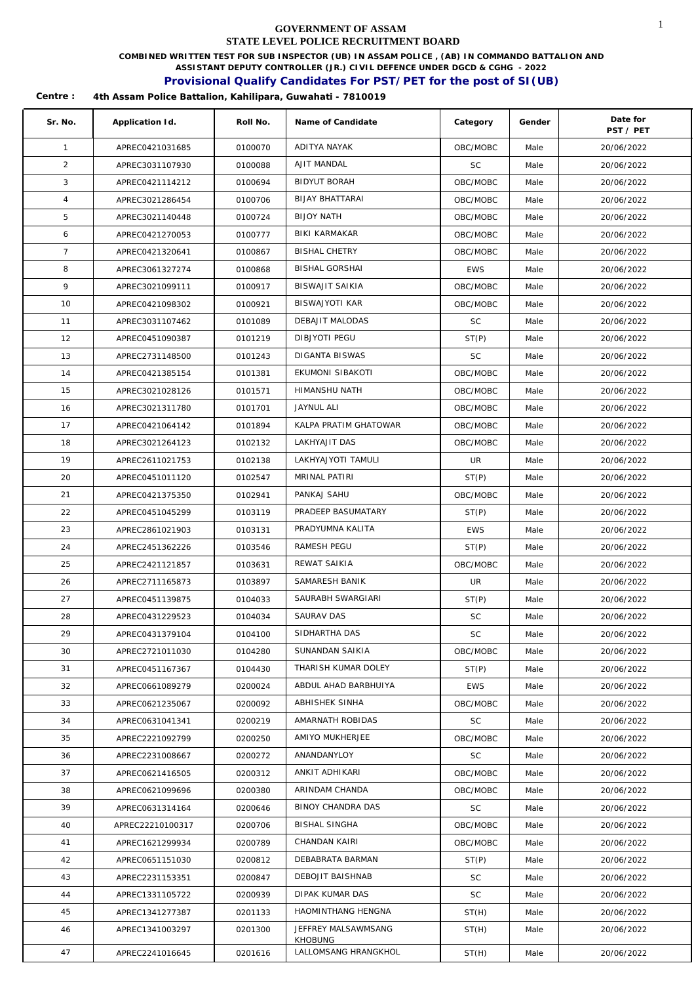**COMBINED WRITTEN TEST FOR SUB INSPECTOR (UB) IN ASSAM POLICE , (AB) IN COMMANDO BATTALION AND** 

**ASSISTANT DEPUTY CONTROLLER (JR.) CIVIL DEFENCE UNDER DGCD & CGHG - 2022** 

### **Provisional Qualify Candidates For PST/PET for the post of SI(UB)**

| Sr. No.        | Application Id.  | Roll No. | Name of Candidate              | Category   | Gender | Date for<br>PST / PET |
|----------------|------------------|----------|--------------------------------|------------|--------|-----------------------|
| $\mathbf{1}$   | APREC0421031685  | 0100070  | ADITYA NAYAK                   | OBC/MOBC   | Male   | 20/06/2022            |
| $\overline{2}$ | APREC3031107930  | 0100088  | AJIT MANDAL                    | <b>SC</b>  | Male   | 20/06/2022            |
| 3              | APREC0421114212  | 0100694  | <b>BIDYUT BORAH</b>            | OBC/MOBC   | Male   | 20/06/2022            |
| $\overline{4}$ | APREC3021286454  | 0100706  | BIJAY BHATTARAI                | OBC/MOBC   | Male   | 20/06/2022            |
| 5              | APREC3021140448  | 0100724  | <b>BIJOY NATH</b>              | OBC/MOBC   | Male   | 20/06/2022            |
| 6              | APREC0421270053  | 0100777  | BIKI KARMAKAR                  | OBC/MOBC   | Male   | 20/06/2022            |
| $\overline{7}$ | APREC0421320641  | 0100867  | <b>BISHAL CHETRY</b>           | OBC/MOBC   | Male   | 20/06/2022            |
| 8              | APREC3061327274  | 0100868  | <b>BISHAL GORSHAI</b>          | <b>EWS</b> | Male   | 20/06/2022            |
| 9              | APREC3021099111  | 0100917  | BISWAJIT SAIKIA                | OBC/MOBC   | Male   | 20/06/2022            |
| 10             | APREC0421098302  | 0100921  | <b>BISWAJYOTI KAR</b>          | OBC/MOBC   | Male   | 20/06/2022            |
| 11             | APREC3031107462  | 0101089  | DEBAJIT MALODAS                | <b>SC</b>  | Male   | 20/06/2022            |
| 12             | APREC0451090387  | 0101219  | DIBJYOTI PEGU                  | ST(P)      | Male   | 20/06/2022            |
| 13             | APREC2731148500  | 0101243  | DIGANTA BISWAS                 | <b>SC</b>  | Male   | 20/06/2022            |
| 14             | APREC0421385154  | 0101381  | EKUMONI SIBAKOTI               | OBC/MOBC   | Male   | 20/06/2022            |
| 15             | APREC3021028126  | 0101571  | HIMANSHU NATH                  | OBC/MOBC   | Male   | 20/06/2022            |
| 16             | APREC3021311780  | 0101701  | <b>JAYNUL ALI</b>              | OBC/MOBC   | Male   | 20/06/2022            |
| 17             | APREC0421064142  | 0101894  | KALPA PRATIM GHATOWAR          | OBC/MOBC   | Male   | 20/06/2022            |
| 18             | APREC3021264123  | 0102132  | LAKHYAJIT DAS                  | OBC/MOBC   | Male   | 20/06/2022            |
| 19             | APREC2611021753  | 0102138  | LAKHYAJYOTI TAMULI             | UR         | Male   | 20/06/2022            |
| 20             | APREC0451011120  | 0102547  | MRINAL PATIRI                  | ST(P)      | Male   | 20/06/2022            |
| 21             | APREC0421375350  | 0102941  | PANKAJ SAHU                    | OBC/MOBC   | Male   | 20/06/2022            |
| 22             | APREC0451045299  | 0103119  | PRADEEP BASUMATARY             | ST(P)      | Male   | 20/06/2022            |
| 23             | APREC2861021903  | 0103131  | PRADYUMNA KALITA               | <b>EWS</b> | Male   | 20/06/2022            |
| 24             | APREC2451362226  | 0103546  | RAMESH PEGU                    | ST(P)      | Male   | 20/06/2022            |
| 25             | APREC2421121857  | 0103631  | REWAT SAIKIA                   | OBC/MOBC   | Male   | 20/06/2022            |
| 26             | APREC2711165873  | 0103897  | SAMARESH BANIK                 | UR         | Male   | 20/06/2022            |
| 27             | APREC0451139875  | 0104033  | SAURABH SWARGIARI              | ST(P)      | Male   | 20/06/2022            |
| 28             | APREC0431229523  | 0104034  | SAURAV DAS                     | SC         | Male   | 20/06/2022            |
| 29             | APREC0431379104  | 0104100  | SIDHARTHA DAS                  | SC         | Male   | 20/06/2022            |
| 30             | APREC2721011030  | 0104280  | SUNANDAN SAIKIA                | OBC/MOBC   | Male   | 20/06/2022            |
| 31             | APREC0451167367  | 0104430  | THARISH KUMAR DOLEY            | ST(P)      | Male   | 20/06/2022            |
| 32             | APREC0661089279  | 0200024  | ABDUL AHAD BARBHUIYA           | <b>EWS</b> | Male   | 20/06/2022            |
| 33             | APREC0621235067  | 0200092  | ABHISHEK SINHA                 | OBC/MOBC   | Male   | 20/06/2022            |
| 34             | APREC0631041341  | 0200219  | AMARNATH ROBIDAS               | SC         | Male   | 20/06/2022            |
| 35             | APREC2221092799  | 0200250  | AMIYO MUKHERJEE                | OBC/MOBC   | Male   | 20/06/2022            |
| 36             | APREC2231008667  | 0200272  | ANANDANYLOY                    | <b>SC</b>  | Male   | 20/06/2022            |
| 37             | APREC0621416505  | 0200312  | ANKIT ADHIKARI                 | OBC/MOBC   | Male   | 20/06/2022            |
| 38             | APREC0621099696  | 0200380  | ARINDAM CHANDA                 | OBC/MOBC   | Male   | 20/06/2022            |
| 39             | APREC0631314164  | 0200646  | BINOY CHANDRA DAS              | SC         | Male   | 20/06/2022            |
| 40             | APREC22210100317 | 0200706  | BISHAL SINGHA                  | OBC/MOBC   | Male   | 20/06/2022            |
| 41             | APREC1621299934  | 0200789  | CHANDAN KAIRI                  | OBC/MOBC   | Male   | 20/06/2022            |
| 42             | APREC0651151030  | 0200812  | DEBABRATA BARMAN               | ST(P)      | Male   | 20/06/2022            |
| 43             | APREC2231153351  | 0200847  | DEBOJIT BAISHNAB               | <b>SC</b>  | Male   | 20/06/2022            |
| 44             | APREC1331105722  | 0200939  | DIPAK KUMAR DAS                | <b>SC</b>  | Male   | 20/06/2022            |
| 45             | APREC1341277387  | 0201133  | HAOMINTHANG HENGNA             | ST(H)      | Male   | 20/06/2022            |
| 46             | APREC1341003297  | 0201300  | JEFFREY MALSAWMSANG<br>KHOBUNG | ST(H)      | Male   | 20/06/2022            |
| 47             | APREC2241016645  | 0201616  | LALLOMSANG HRANGKHOL           | ST(H)      | Male   | 20/06/2022            |
|                |                  |          |                                |            |        |                       |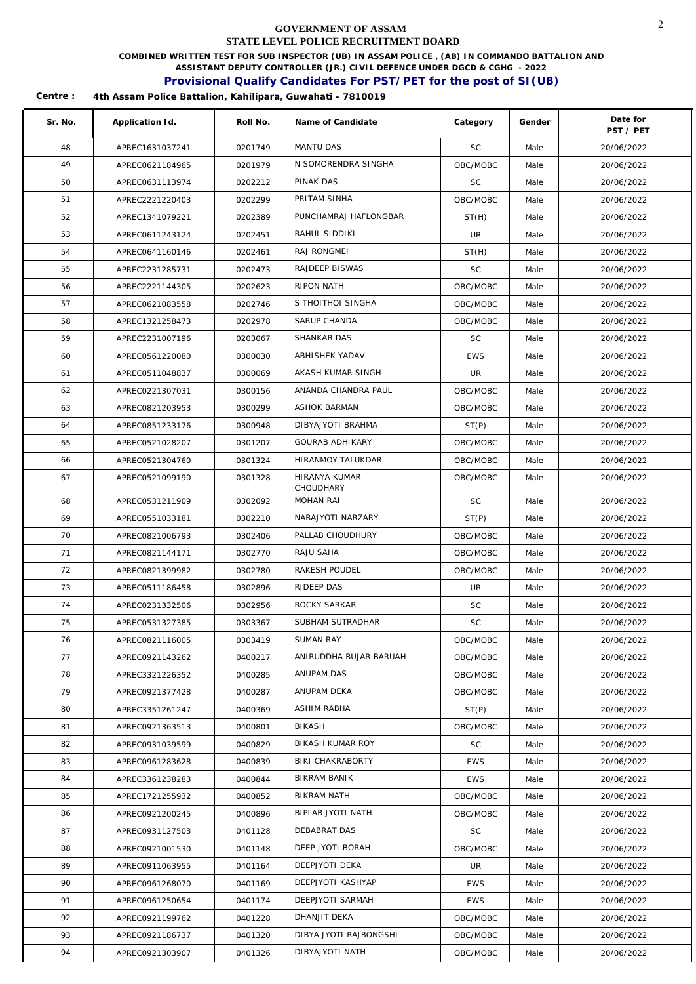**COMBINED WRITTEN TEST FOR SUB INSPECTOR (UB) IN ASSAM POLICE , (AB) IN COMMANDO BATTALION AND** 

**ASSISTANT DEPUTY CONTROLLER (JR.) CIVIL DEFENCE UNDER DGCD & CGHG - 2022** 

### **Provisional Qualify Candidates For PST/PET for the post of SI(UB)**

| Sr. No. | Application Id. | Roll No. | Name of Candidate       | Category   | Gender | Date for<br>PST / PET |
|---------|-----------------|----------|-------------------------|------------|--------|-----------------------|
| 48      | APREC1631037241 | 0201749  | MANTU DAS               | <b>SC</b>  | Male   | 20/06/2022            |
| 49      | APREC0621184965 | 0201979  | N SOMORENDRA SINGHA     | OBC/MOBC   | Male   | 20/06/2022            |
| 50      | APREC0631113974 | 0202212  | PINAK DAS               | SC         | Male   | 20/06/2022            |
| 51      | APREC2221220403 | 0202299  | PRITAM SINHA            | OBC/MOBC   | Male   | 20/06/2022            |
| 52      | APREC1341079221 | 0202389  | PUNCHAMRAJ HAFLONGBAR   | ST(H)      | Male   | 20/06/2022            |
| 53      | APREC0611243124 | 0202451  | RAHUL SIDDIKI           | UR         | Male   | 20/06/2022            |
| 54      | APREC0641160146 | 0202461  | RAJ RONGMEI             | ST(H)      | Male   | 20/06/2022            |
| 55      | APREC2231285731 | 0202473  | RAJDEEP BISWAS          | <b>SC</b>  | Male   | 20/06/2022            |
| 56      | APREC2221144305 | 0202623  | RIPON NATH              | OBC/MOBC   | Male   | 20/06/2022            |
| 57      | APREC0621083558 | 0202746  | S THOITHOI SINGHA       | OBC/MOBC   | Male   | 20/06/2022            |
| 58      | APREC1321258473 | 0202978  | SARUP CHANDA            | OBC/MOBC   | Male   | 20/06/2022            |
| 59      | APREC2231007196 | 0203067  | SHANKAR DAS             | <b>SC</b>  | Male   | 20/06/2022            |
| 60      | APREC0561220080 | 0300030  | ABHISHEK YADAV          | <b>EWS</b> | Male   | 20/06/2022            |
| 61      | APREC0511048837 | 0300069  | AKASH KUMAR SINGH       | UR         | Male   | 20/06/2022            |
| 62      | APREC0221307031 | 0300156  | ANANDA CHANDRA PAUL     | OBC/MOBC   | Male   | 20/06/2022            |
| 63      | APREC0821203953 | 0300299  | ASHOK BARMAN            | OBC/MOBC   | Male   | 20/06/2022            |
| 64      | APREC0851233176 | 0300948  | DIBYAJYOTI BRAHMA       | ST(P)      | Male   | 20/06/2022            |
| 65      | APREC0521028207 | 0301207  | <b>GOURAB ADHIKARY</b>  | OBC/MOBC   | Male   | 20/06/2022            |
| 66      | APREC0521304760 | 0301324  | HIRANMOY TALUKDAR       | OBC/MOBC   | Male   | 20/06/2022            |
| 67      | APREC0521099190 | 0301328  | HIRANYA KUMAR           | OBC/MOBC   | Male   | 20/06/2022            |
|         |                 |          | CHOUDHARY               |            |        |                       |
| 68      | APREC0531211909 | 0302092  | <b>MOHAN RAI</b>        | <b>SC</b>  | Male   | 20/06/2022            |
| 69      | APREC0551033181 | 0302210  | NABAJYOTI NARZARY       | ST(P)      | Male   | 20/06/2022            |
| 70      | APREC0821006793 | 0302406  | PALLAB CHOUDHURY        | OBC/MOBC   | Male   | 20/06/2022            |
| 71      | APREC0821144171 | 0302770  | RAJU SAHA               | OBC/MOBC   | Male   | 20/06/2022            |
| 72      | APREC0821399982 | 0302780  | RAKESH POUDEL           | OBC/MOBC   | Male   | 20/06/2022            |
| 73      | APREC0511186458 | 0302896  | RIDEEP DAS              | UR         | Male   | 20/06/2022            |
| 74      | APREC0231332506 | 0302956  | ROCKY SARKAR            | <b>SC</b>  | Male   | 20/06/2022            |
| 75      | APREC0531327385 | 0303367  | SUBHAM SUTRADHAR        | SC         | Male   | 20/06/2022            |
| 76      | APREC0821116005 | 0303419  | SUMAN RAY               | OBC/MOBC   | Male   | 20/06/2022            |
| 77      | APREC0921143262 | 0400217  | ANIRUDDHA BUJAR BARUAH  | OBC/MOBC   | Male   | 20/06/2022            |
| 78      | APREC3321226352 | 0400285  | ANUPAM DAS              | OBC/MOBC   | Male   | 20/06/2022            |
| 79      | APREC0921377428 | 0400287  | ANUPAM DEKA             | OBC/MOBC   | Male   | 20/06/2022            |
| 80      | APREC3351261247 | 0400369  | <b>ASHIM RABHA</b>      | ST(P)      | Male   | 20/06/2022            |
| 81      | APREC0921363513 | 0400801  | BIKASH                  | OBC/MOBC   | Male   | 20/06/2022            |
| 82      | APREC0931039599 | 0400829  | <b>BIKASH KUMAR ROY</b> | <b>SC</b>  | Male   | 20/06/2022            |
| 83      | APREC0961283628 | 0400839  | BIKI CHAKRABORTY        | EWS        | Male   | 20/06/2022            |
| 84      | APREC3361238283 | 0400844  | BIKRAM BANIK            | <b>EWS</b> | Male   | 20/06/2022            |
| 85      | APREC1721255932 | 0400852  | BIKRAM NATH             | OBC/MOBC   | Male   | 20/06/2022            |
| 86      | APREC0921200245 | 0400896  | BIPLAB JYOTI NATH       | OBC/MOBC   | Male   | 20/06/2022            |
| 87      | APREC0931127503 | 0401128  | DEBABRAT DAS            | SC         | Male   | 20/06/2022            |
| 88      | APREC0921001530 | 0401148  | DEEP JYOTI BORAH        | OBC/MOBC   | Male   | 20/06/2022            |
| 89      | APREC0911063955 | 0401164  | DEEPJYOTI DEKA          | UR         | Male   | 20/06/2022            |
| 90      | APREC0961268070 | 0401169  | DEEPJYOTI KASHYAP       | <b>EWS</b> | Male   | 20/06/2022            |
| 91      | APREC0961250654 | 0401174  | DEEPJYOTI SARMAH        | <b>EWS</b> | Male   | 20/06/2022            |
| 92      | APREC0921199762 | 0401228  | DHANJIT DEKA            | OBC/MOBC   | Male   | 20/06/2022            |
| 93      | APREC0921186737 | 0401320  | DIBYA JYOTI RAJBONGSHI  | OBC/MOBC   | Male   | 20/06/2022            |
| 94      | APREC0921303907 | 0401326  | DIBYAJYOTI NATH         | OBC/MOBC   | Male   | 20/06/2022            |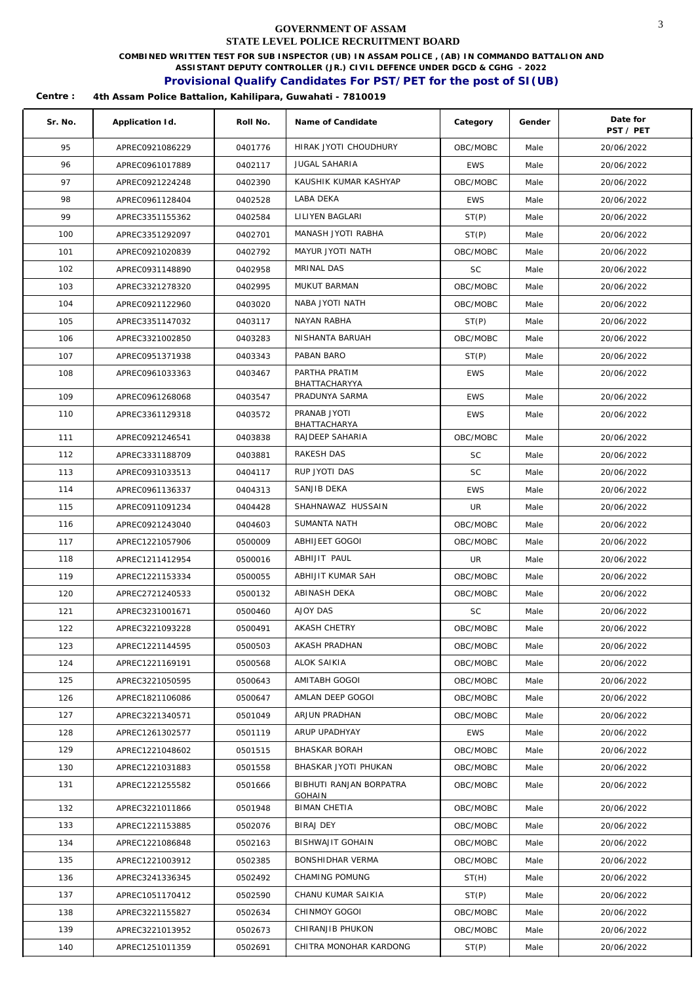**COMBINED WRITTEN TEST FOR SUB INSPECTOR (UB) IN ASSAM POLICE , (AB) IN COMMANDO BATTALION AND** 

**ASSISTANT DEPUTY CONTROLLER (JR.) CIVIL DEFENCE UNDER DGCD & CGHG - 2022** 

## **Provisional Qualify Candidates For PST/PET for the post of SI(UB)**

| Sr. No. | Application Id. | Roll No. | Name of Candidate                    | Category   | Gender | Date for<br>PST / PET |
|---------|-----------------|----------|--------------------------------------|------------|--------|-----------------------|
| 95      | APREC0921086229 | 0401776  | HIRAK JYOTI CHOUDHURY                | OBC/MOBC   | Male   | 20/06/2022            |
| 96      | APREC0961017889 | 0402117  | <b>JUGAL SAHARIA</b>                 | <b>EWS</b> | Male   | 20/06/2022            |
| 97      | APREC0921224248 | 0402390  | KAUSHIK KUMAR KASHYAP                | OBC/MOBC   | Male   | 20/06/2022            |
| 98      | APREC0961128404 | 0402528  | LABA DEKA                            | <b>EWS</b> | Male   | 20/06/2022            |
| 99      | APREC3351155362 | 0402584  | LILIYEN BAGLARI                      | ST(P)      | Male   | 20/06/2022            |
| 100     | APREC3351292097 | 0402701  | MANASH JYOTI RABHA                   | ST(P)      | Male   | 20/06/2022            |
| 101     | APREC0921020839 | 0402792  | MAYUR JYOTI NATH                     | OBC/MOBC   | Male   | 20/06/2022            |
| 102     | APREC0931148890 | 0402958  | MRINAL DAS                           | <b>SC</b>  | Male   | 20/06/2022            |
| 103     | APREC3321278320 | 0402995  | MUKUT BARMAN                         | OBC/MOBC   | Male   | 20/06/2022            |
| 104     | APREC0921122960 | 0403020  | NABA JYOTI NATH                      | OBC/MOBC   | Male   | 20/06/2022            |
| 105     | APREC3351147032 | 0403117  | NAYAN RABHA                          | ST(P)      | Male   | 20/06/2022            |
| 106     | APREC3321002850 | 0403283  | NISHANTA BARUAH                      | OBC/MOBC   | Male   | 20/06/2022            |
| 107     | APREC0951371938 | 0403343  | PABAN BARO                           | ST(P)      | Male   | 20/06/2022            |
| 108     | APREC0961033363 | 0403467  | PARTHA PRATIM                        | <b>EWS</b> | Male   | 20/06/2022            |
|         |                 |          | BHATTACHARYYA                        |            |        |                       |
| 109     | APREC0961268068 | 0403547  | PRADUNYA SARMA                       | <b>EWS</b> | Male   | 20/06/2022            |
| 110     | APREC3361129318 | 0403572  | PRANAB JYOTI<br>BHATTACHARYA         | <b>EWS</b> | Male   | 20/06/2022            |
| 111     | APREC0921246541 | 0403838  | RAJDEEP SAHARIA                      | OBC/MOBC   | Male   | 20/06/2022            |
| 112     | APREC3331188709 | 0403881  | RAKESH DAS                           | <b>SC</b>  | Male   | 20/06/2022            |
| 113     | APREC0931033513 | 0404117  | RUP JYOTI DAS                        | <b>SC</b>  | Male   | 20/06/2022            |
| 114     | APREC0961136337 | 0404313  | SANJIB DEKA                          | <b>EWS</b> | Male   | 20/06/2022            |
| 115     | APREC0911091234 | 0404428  | SHAHNAWAZ HUSSAIN                    | <b>UR</b>  | Male   | 20/06/2022            |
| 116     | APREC0921243040 | 0404603  | SUMANTA NATH                         | OBC/MOBC   | Male   | 20/06/2022            |
| 117     | APREC1221057906 | 0500009  | ABHIJEET GOGOI                       | OBC/MOBC   | Male   | 20/06/2022            |
| 118     | APREC1211412954 | 0500016  | ABHIJIT PAUL                         | UR         | Male   | 20/06/2022            |
| 119     | APREC1221153334 | 0500055  | ABHIJIT KUMAR SAH                    | OBC/MOBC   | Male   | 20/06/2022            |
| 120     | APREC2721240533 | 0500132  | ABINASH DEKA                         | OBC/MOBC   | Male   | 20/06/2022            |
| 121     | APREC3231001671 | 0500460  | AJOY DAS                             | SC         | Male   | 20/06/2022            |
| 122     | APREC3221093228 | 0500491  | AKASH CHETRY                         | OBC/MOBC   | Male   | 20/06/2022            |
| 123     | APREC1221144595 | 0500503  | AKASH PRADHAN                        | OBC/MOBC   | Male   | 20/06/2022            |
| 124     | APREC1221169191 | 0500568  | ALOK SAIKIA                          | OBC/MOBC   | Male   | 20/06/2022            |
| 125     | APREC3221050595 | 0500643  | AMITABH GOGOI                        | OBC/MOBC   | Male   | 20/06/2022            |
| 126     | APREC1821106086 | 0500647  | AMLAN DEEP GOGOI                     | OBC/MOBC   | Male   | 20/06/2022            |
| 127     | APREC3221340571 | 0501049  | ARJUN PRADHAN                        | OBC/MOBC   | Male   | 20/06/2022            |
| 128     | APREC1261302577 | 0501119  | ARUP UPADHYAY                        | <b>EWS</b> | Male   | 20/06/2022            |
| 129     | APREC1221048602 | 0501515  | BHASKAR BORAH                        | OBC/MOBC   | Male   | 20/06/2022            |
| 130     | APREC1221031883 | 0501558  | BHASKAR JYOTI PHUKAN                 | OBC/MOBC   | Male   | 20/06/2022            |
| 131     | APREC1221255582 | 0501666  | BIBHUTI RANJAN BORPATRA              | OBC/MOBC   | Male   | 20/06/2022            |
| 132     | APREC3221011866 | 0501948  | <b>GOHAIN</b><br><b>BIMAN CHETIA</b> | OBC/MOBC   | Male   | 20/06/2022            |
| 133     | APREC1221153885 | 0502076  | <b>BIRAJ DEY</b>                     | OBC/MOBC   | Male   | 20/06/2022            |
| 134     | APREC1221086848 | 0502163  | <b>BISHWAJIT GOHAIN</b>              | OBC/MOBC   | Male   | 20/06/2022            |
| 135     | APREC1221003912 | 0502385  | BONSHIDHAR VERMA                     | OBC/MOBC   | Male   | 20/06/2022            |
| 136     | APREC3241336345 | 0502492  | CHAMING POMUNG                       | ST(H)      | Male   | 20/06/2022            |
| 137     | APREC1051170412 | 0502590  | CHANU KUMAR SAIKIA                   | ST(P)      | Male   | 20/06/2022            |
| 138     | APREC3221155827 | 0502634  | CHINMOY GOGOI                        | OBC/MOBC   | Male   | 20/06/2022            |
| 139     | APREC3221013952 | 0502673  | CHIRANJIB PHUKON                     | OBC/MOBC   | Male   | 20/06/2022            |
| 140     | APREC1251011359 | 0502691  | CHITRA MONOHAR KARDONG               | ST(P)      | Male   | 20/06/2022            |
|         |                 |          |                                      |            |        |                       |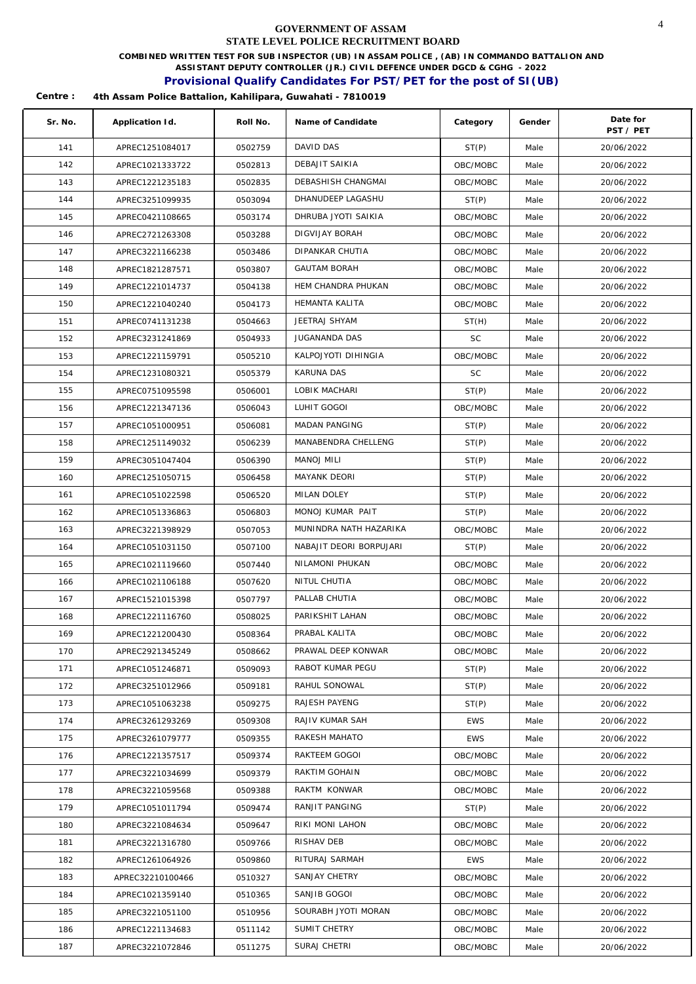**COMBINED WRITTEN TEST FOR SUB INSPECTOR (UB) IN ASSAM POLICE , (AB) IN COMMANDO BATTALION AND** 

**ASSISTANT DEPUTY CONTROLLER (JR.) CIVIL DEFENCE UNDER DGCD & CGHG - 2022** 

### **Provisional Qualify Candidates For PST/PET for the post of SI(UB)**

| Sr. No. | Application Id.  | Roll No. | Name of Candidate       | Category   | Gender | Date for<br>PST / PET |
|---------|------------------|----------|-------------------------|------------|--------|-----------------------|
| 141     | APREC1251084017  | 0502759  | DAVID DAS               | ST(P)      | Male   | 20/06/2022            |
| 142     | APREC1021333722  | 0502813  | DEBAJIT SAIKIA          | OBC/MOBC   | Male   | 20/06/2022            |
| 143     | APREC1221235183  | 0502835  | DEBASHISH CHANGMAI      | OBC/MOBC   | Male   | 20/06/2022            |
| 144     | APREC3251099935  | 0503094  | DHANUDEEP LAGASHU       | ST(P)      | Male   | 20/06/2022            |
| 145     | APREC0421108665  | 0503174  | DHRUBA JYOTI SAIKIA     | OBC/MOBC   | Male   | 20/06/2022            |
| 146     | APREC2721263308  | 0503288  | DIGVIJAY BORAH          | OBC/MOBC   | Male   | 20/06/2022            |
| 147     | APREC3221166238  | 0503486  | DIPANKAR CHUTIA         | OBC/MOBC   | Male   | 20/06/2022            |
| 148     | APREC1821287571  | 0503807  | <b>GAUTAM BORAH</b>     | OBC/MOBC   | Male   | 20/06/2022            |
| 149     | APREC1221014737  | 0504138  | HEM CHANDRA PHUKAN      | OBC/MOBC   | Male   | 20/06/2022            |
| 150     | APREC1221040240  | 0504173  | HEMANTA KALITA          | OBC/MOBC   | Male   | 20/06/2022            |
| 151     | APREC0741131238  | 0504663  | JEETRAJ SHYAM           | ST(H)      | Male   | 20/06/2022            |
| 152     | APREC3231241869  | 0504933  | <b>JUGANANDA DAS</b>    | <b>SC</b>  | Male   | 20/06/2022            |
| 153     | APREC1221159791  | 0505210  | KALPOJYOTI DIHINGIA     | OBC/MOBC   | Male   | 20/06/2022            |
| 154     | APREC1231080321  | 0505379  | KARUNA DAS              | <b>SC</b>  | Male   | 20/06/2022            |
| 155     | APREC0751095598  | 0506001  | LOBIK MACHARI           | ST(P)      | Male   | 20/06/2022            |
| 156     | APREC1221347136  | 0506043  | LUHIT GOGOI             | OBC/MOBC   | Male   | 20/06/2022            |
| 157     | APREC1051000951  | 0506081  | <b>MADAN PANGING</b>    | ST(P)      | Male   | 20/06/2022            |
| 158     | APREC1251149032  | 0506239  | MANABENDRA CHELLENG     | ST(P)      | Male   | 20/06/2022            |
| 159     | APREC3051047404  | 0506390  | <b>MANOJ MILI</b>       | ST(P)      | Male   | 20/06/2022            |
| 160     | APREC1251050715  | 0506458  | MAYANK DEORI            | ST(P)      | Male   | 20/06/2022            |
| 161     | APREC1051022598  | 0506520  | MILAN DOLEY             | ST(P)      | Male   | 20/06/2022            |
| 162     | APREC1051336863  | 0506803  | MONOJ KUMAR PAIT        | ST(P)      | Male   | 20/06/2022            |
| 163     | APREC3221398929  | 0507053  | MUNINDRA NATH HAZARIKA  | OBC/MOBC   | Male   | 20/06/2022            |
| 164     | APREC1051031150  | 0507100  | NABAJIT DEORI BORPUJARI | ST(P)      | Male   | 20/06/2022            |
| 165     | APREC1021119660  | 0507440  | NILAMONI PHUKAN         | OBC/MOBC   | Male   | 20/06/2022            |
| 166     | APREC1021106188  | 0507620  | NITUL CHUTIA            | OBC/MOBC   | Male   | 20/06/2022            |
| 167     | APREC1521015398  | 0507797  | PALLAB CHUTIA           | OBC/MOBC   | Male   | 20/06/2022            |
| 168     | APREC1221116760  | 0508025  | PARIKSHIT LAHAN         | OBC/MOBC   | Male   | 20/06/2022            |
| 169     | APREC1221200430  | 0508364  | PRABAI KALITA           | OBC/MOBC   | Male   | 20/06/2022            |
| 170     | APREC2921345249  | 0508662  | PRAWAL DEEP KONWAR      | OBC/MOBC   | Male   | 20/06/2022            |
| 171     | APREC1051246871  | 0509093  | RABOT KUMAR PEGU        | ST(P)      | Male   | 20/06/2022            |
| 172     | APREC3251012966  | 0509181  | RAHUL SONOWAL           | ST(P)      | Male   | 20/06/2022            |
| 173     | APREC1051063238  | 0509275  | RAJESH PAYENG           | ST(P)      | Male   | 20/06/2022            |
| 174     | APREC3261293269  | 0509308  | RAJIV KUMAR SAH         | <b>EWS</b> | Male   | 20/06/2022            |
| 175     | APREC3261079777  | 0509355  | RAKESH MAHATO           | <b>EWS</b> | Male   | 20/06/2022            |
| 176     | APREC1221357517  | 0509374  | RAKTEEM GOGOI           | OBC/MOBC   | Male   | 20/06/2022            |
| 177     | APREC3221034699  | 0509379  | RAKTIM GOHAIN           | OBC/MOBC   | Male   | 20/06/2022            |
| 178     | APREC3221059568  | 0509388  | RAKTM KONWAR            | OBC/MOBC   | Male   | 20/06/2022            |
| 179     | APREC1051011794  | 0509474  | RANJIT PANGING          | ST(P)      | Male   | 20/06/2022            |
| 180     | APREC3221084634  | 0509647  | RIKI MONI LAHON         | OBC/MOBC   | Male   | 20/06/2022            |
| 181     | APREC3221316780  | 0509766  | RISHAV DEB              | OBC/MOBC   | Male   | 20/06/2022            |
| 182     | APREC1261064926  | 0509860  | RITURAJ SARMAH          | <b>EWS</b> | Male   | 20/06/2022            |
| 183     | APREC32210100466 | 0510327  | SANJAY CHETRY           | OBC/MOBC   | Male   | 20/06/2022            |
| 184     | APREC1021359140  | 0510365  | SANJIB GOGOI            | OBC/MOBC   | Male   | 20/06/2022            |
| 185     | APREC3221051100  | 0510956  | SOURABH JYOTI MORAN     | OBC/MOBC   | Male   | 20/06/2022            |
| 186     | APREC1221134683  | 0511142  | SUMIT CHETRY            | OBC/MOBC   | Male   | 20/06/2022            |
| 187     | APREC3221072846  | 0511275  | SURAJ CHETRI            | OBC/MOBC   | Male   | 20/06/2022            |
|         |                  |          |                         |            |        |                       |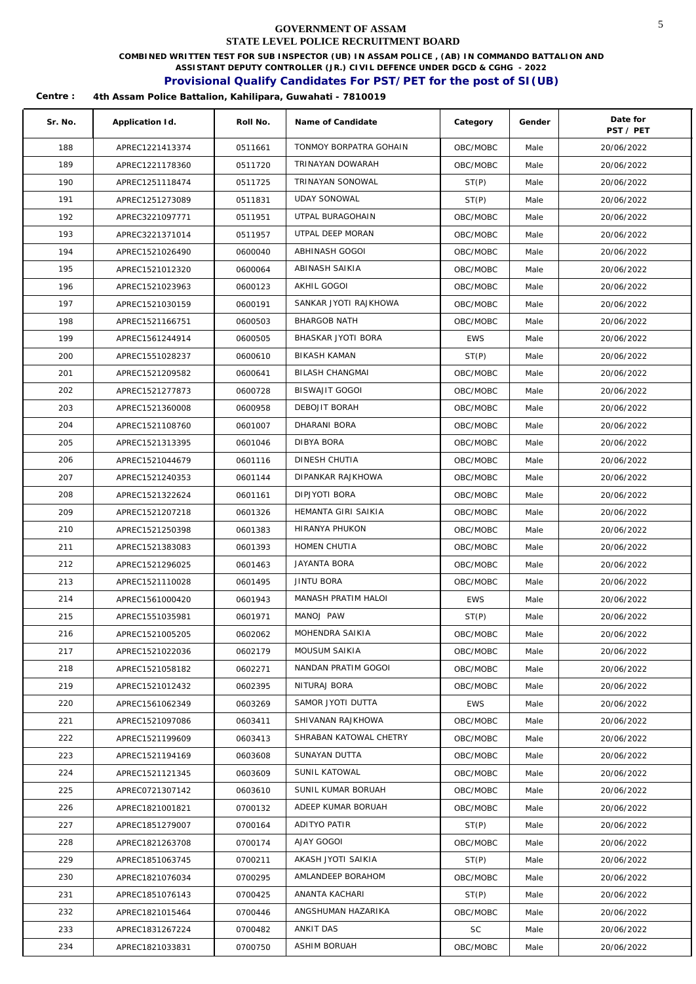**COMBINED WRITTEN TEST FOR SUB INSPECTOR (UB) IN ASSAM POLICE , (AB) IN COMMANDO BATTALION AND** 

**ASSISTANT DEPUTY CONTROLLER (JR.) CIVIL DEFENCE UNDER DGCD & CGHG - 2022** 

## **Provisional Qualify Candidates For PST/PET for the post of SI(UB)**

| Sr. No. | Application Id. | Roll No. | Name of Candidate      | Category   | Gender | Date for<br>PST / PET |
|---------|-----------------|----------|------------------------|------------|--------|-----------------------|
| 188     | APREC1221413374 | 0511661  | TONMOY BORPATRA GOHAIN | OBC/MOBC   | Male   | 20/06/2022            |
| 189     | APREC1221178360 | 0511720  | TRINAYAN DOWARAH       | OBC/MOBC   | Male   | 20/06/2022            |
| 190     | APREC1251118474 | 0511725  | TRINAYAN SONOWAL       | ST(P)      | Male   | 20/06/2022            |
| 191     | APREC1251273089 | 0511831  | <b>UDAY SONOWAL</b>    | ST(P)      | Male   | 20/06/2022            |
| 192     | APREC3221097771 | 0511951  | UTPAL BURAGOHAIN       | OBC/MOBC   | Male   | 20/06/2022            |
| 193     | APREC3221371014 | 0511957  | UTPAL DEEP MORAN       | OBC/MOBC   | Male   | 20/06/2022            |
| 194     | APREC1521026490 | 0600040  | ABHINASH GOGOI         | OBC/MOBC   | Male   | 20/06/2022            |
| 195     | APREC1521012320 | 0600064  | ABINASH SAIKIA         | OBC/MOBC   | Male   | 20/06/2022            |
| 196     | APREC1521023963 | 0600123  | AKHIL GOGOI            | OBC/MOBC   | Male   | 20/06/2022            |
| 197     | APREC1521030159 | 0600191  | SANKAR JYOTI RAJKHOWA  | OBC/MOBC   | Male   | 20/06/2022            |
| 198     | APREC1521166751 | 0600503  | <b>BHARGOB NATH</b>    | OBC/MOBC   | Male   | 20/06/2022            |
| 199     | APREC1561244914 | 0600505  | BHASKAR JYOTI BORA     | <b>EWS</b> | Male   | 20/06/2022            |
| 200     | APREC1551028237 | 0600610  | <b>BIKASH KAMAN</b>    | ST(P)      | Male   | 20/06/2022            |
| 201     | APREC1521209582 | 0600641  | BILASH CHANGMAI        | OBC/MOBC   | Male   | 20/06/2022            |
| 202     | APREC1521277873 | 0600728  | <b>BISWAJIT GOGOI</b>  | OBC/MOBC   | Male   | 20/06/2022            |
| 203     | APREC1521360008 | 0600958  | DEBOJIT BORAH          | OBC/MOBC   | Male   | 20/06/2022            |
| 204     | APREC1521108760 | 0601007  | DHARANI BORA           | OBC/MOBC   | Male   | 20/06/2022            |
| 205     | APREC1521313395 | 0601046  | DIBYA BORA             | OBC/MOBC   | Male   | 20/06/2022            |
| 206     | APREC1521044679 | 0601116  | DINESH CHUTIA          | OBC/MOBC   | Male   | 20/06/2022            |
| 207     | APREC1521240353 | 0601144  | DIPANKAR RAJKHOWA      | OBC/MOBC   | Male   | 20/06/2022            |
| 208     | APREC1521322624 | 0601161  | DIPJYOTI BORA          | OBC/MOBC   | Male   | 20/06/2022            |
| 209     | APREC1521207218 | 0601326  | HEMANTA GIRI SAIKIA    | OBC/MOBC   | Male   | 20/06/2022            |
| 210     | APREC1521250398 | 0601383  | HIRANYA PHUKON         | OBC/MOBC   | Male   | 20/06/2022            |
| 211     | APREC1521383083 | 0601393  | HOMEN CHUTIA           | OBC/MOBC   | Male   | 20/06/2022            |
| 212     | APREC1521296025 | 0601463  | <b>JAYANTA BORA</b>    | OBC/MOBC   | Male   | 20/06/2022            |
| 213     | APREC1521110028 | 0601495  | JINTU BORA             | OBC/MOBC   | Male   | 20/06/2022            |
| 214     | APREC1561000420 | 0601943  | MANASH PRATIM HALOI    | <b>EWS</b> | Male   | 20/06/2022            |
| 215     | APREC1551035981 | 0601971  | MANOJ PAW              | ST(P)      | Male   | 20/06/2022            |
| 216     | APREC1521005205 | 0602062  | MOHENDRA SAIKIA        | OBC/MOBC   | Male   | 20/06/2022            |
| 217     | APREC1521022036 | 0602179  | MOUSUM SAIKIA          | OBC/MOBC   | Male   | 20/06/2022            |
| 218     | APREC1521058182 | 0602271  | NANDAN PRATIM GOGOI    | OBC/MOBC   | Male   | 20/06/2022            |
| 219     | APREC1521012432 | 0602395  | NITURAJ BORA           | OBC/MOBC   | Male   | 20/06/2022            |
| 220     | APREC1561062349 | 0603269  | SAMOR JYOTI DUTTA      | <b>EWS</b> | Male   | 20/06/2022            |
| 221     | APREC1521097086 | 0603411  | SHIVANAN RAJKHOWA      | OBC/MOBC   | Male   | 20/06/2022            |
| 222     | APREC1521199609 | 0603413  | SHRABAN KATOWAL CHETRY | OBC/MOBC   | Male   | 20/06/2022            |
| 223     | APREC1521194169 | 0603608  | SUNAYAN DUTTA          | OBC/MOBC   | Male   | 20/06/2022            |
| 224     | APREC1521121345 | 0603609  | SUNIL KATOWAL          | OBC/MOBC   | Male   | 20/06/2022            |
| 225     | APREC0721307142 | 0603610  | SUNIL KUMAR BORUAH     | OBC/MOBC   | Male   | 20/06/2022            |
| 226     | APREC1821001821 | 0700132  | ADEEP KUMAR BORUAH     | OBC/MOBC   | Male   | 20/06/2022            |
| 227     | APREC1851279007 | 0700164  | ADITYO PATIR           | ST(P)      | Male   | 20/06/2022            |
| 228     | APREC1821263708 | 0700174  | AJAY GOGOI             | OBC/MOBC   | Male   | 20/06/2022            |
| 229     | APREC1851063745 | 0700211  | AKASH JYOTI SAIKIA     | ST(P)      | Male   | 20/06/2022            |
| 230     | APREC1821076034 | 0700295  | AMLANDEEP BORAHOM      | OBC/MOBC   | Male   | 20/06/2022            |
| 231     | APREC1851076143 | 0700425  | ANANTA KACHARI         | ST(P)      | Male   | 20/06/2022            |
| 232     | APREC1821015464 | 0700446  | ANGSHUMAN HAZARIKA     | OBC/MOBC   | Male   | 20/06/2022            |
| 233     | APREC1831267224 | 0700482  | ANKIT DAS              | SC         | Male   | 20/06/2022            |
| 234     | APREC1821033831 | 0700750  | ASHIM BORUAH           | OBC/MOBC   | Male   | 20/06/2022            |
|         |                 |          |                        |            |        |                       |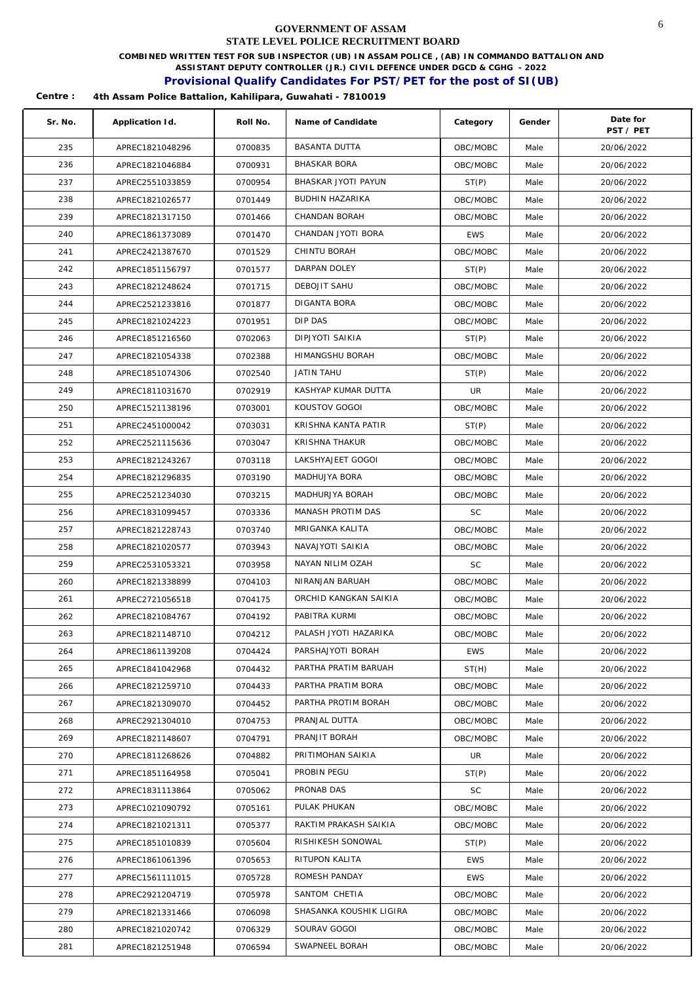**COMBINED WRITTEN TEST FOR SUB INSPECTOR (UB) IN ASSAM POLICE , (AB) IN COMMANDO BATTALION AND** 

**ASSISTANT DEPUTY CONTROLLER (JR.) CIVIL DEFENCE UNDER DGCD & CGHG - 2022** 

## **Provisional Qualify Candidates For PST/PET for the post of SI(UB)**

| Sr. No. | Application Id. | Roll No. | Name of Candidate       | Category   | Gender | Date for<br>PST / PET |
|---------|-----------------|----------|-------------------------|------------|--------|-----------------------|
| 235     | APREC1821048296 | 0700835  | <b>BASANTA DUTTA</b>    | OBC/MOBC   | Male   | 20/06/2022            |
| 236     | APREC1821046884 | 0700931  | <b>BHASKAR BORA</b>     | OBC/MOBC   | Male   | 20/06/2022            |
| 237     | APREC2551033859 | 0700954  | BHASKAR JYOTI PAYUN     | ST(P)      | Male   | 20/06/2022            |
| 238     | APREC1821026577 | 0701449  | BUDHIN HAZARIKA         | OBC/MOBC   | Male   | 20/06/2022            |
| 239     | APREC1821317150 | 0701466  | CHANDAN BORAH           | OBC/MOBC   | Male   | 20/06/2022            |
| 240     | APREC1861373089 | 0701470  | CHANDAN JYOTI BORA      | <b>EWS</b> | Male   | 20/06/2022            |
| 241     | APREC2421387670 | 0701529  | CHINTU BORAH            | OBC/MOBC   | Male   | 20/06/2022            |
| 242     | APREC1851156797 | 0701577  | DARPAN DOLEY            | ST(P)      | Male   | 20/06/2022            |
| 243     | APREC1821248624 | 0701715  | DEBOJIT SAHU            | OBC/MOBC   | Male   | 20/06/2022            |
| 244     | APREC2521233816 | 0701877  | DIGANTA BORA            | OBC/MOBC   | Male   | 20/06/2022            |
| 245     | APREC1821024223 | 0701951  | DIP DAS                 | OBC/MOBC   | Male   | 20/06/2022            |
| 246     | APREC1851216560 | 0702063  | DIPJYOTI SAIKIA         | ST(P)      | Male   | 20/06/2022            |
| 247     | APREC1821054338 | 0702388  | <b>HIMANGSHU BORAH</b>  | OBC/MOBC   | Male   | 20/06/2022            |
| 248     | APREC1851074306 | 0702540  | JATIN TAHU              | ST(P)      | Male   | 20/06/2022            |
| 249     | APREC1811031670 | 0702919  | KASHYAP KUMAR DUTTA     | UR         | Male   | 20/06/2022            |
| 250     | APREC1521138196 | 0703001  | KOUSTOV GOGOI           | OBC/MOBC   | Male   | 20/06/2022            |
| 251     | APREC2451000042 | 0703031  | KRISHNA KANTA PATIR     | ST(P)      | Male   | 20/06/2022            |
| 252     | APREC2521115636 | 0703047  | KRISHNA THAKUR          | OBC/MOBC   | Male   | 20/06/2022            |
| 253     | APREC1821243267 | 0703118  | LAKSHYAJEET GOGOI       | OBC/MOBC   | Male   | 20/06/2022            |
| 254     | APREC1821296835 | 0703190  | MADHUJYA BORA           | OBC/MOBC   | Male   | 20/06/2022            |
| 255     | APREC2521234030 | 0703215  | MADHURJYA BORAH         | OBC/MOBC   | Male   | 20/06/2022            |
| 256     | APREC1831099457 | 0703336  | MANASH PROTIM DAS       | SC         | Male   | 20/06/2022            |
| 257     | APREC1821228743 | 0703740  | MRIGANKA KALITA         | OBC/MOBC   | Male   | 20/06/2022            |
| 258     | APREC1821020577 | 0703943  | NAVAJYOTI SAIKIA        | OBC/MOBC   | Male   | 20/06/2022            |
| 259     | APREC2531053321 | 0703958  | NAYAN NILIM OZAH        | <b>SC</b>  | Male   | 20/06/2022            |
| 260     | APREC1821338899 | 0704103  | NIRANJAN BARUAH         | OBC/MOBC   | Male   | 20/06/2022            |
| 261     | APREC2721056518 | 0704175  | ORCHID KANGKAN SAIKIA   | OBC/MOBC   | Male   | 20/06/2022            |
| 262     | APREC1821084767 | 0704192  | PABITRA KURMI           | OBC/MOBC   | Male   | 20/06/2022            |
| 263     | APREC1821148710 | 0704212  | PALASH JYOTI HAZARIKA   | OBC/MOBC   | Male   | 20/06/2022            |
| 264     | APREC1861139208 | 0704424  | PARSHAJYOTI BORAH       | EWS        | Male   | 20/06/2022            |
| 265     | APREC1841042968 | 0704432  | PARTHA PRATIM BARUAH    | ST(H)      | Male   | 20/06/2022            |
| 266     | APREC1821259710 | 0704433  | PARTHA PRATIM BORA      | OBC/MOBC   | Male   | 20/06/2022            |
| 267     | APREC1821309070 | 0704452  | PARTHA PROTIM BORAH     | OBC/MOBC   | Male   | 20/06/2022            |
| 268     | APREC2921304010 | 0704753  | PRANJAL DUTTA           | OBC/MOBC   | Male   | 20/06/2022            |
| 269     | APREC1821148607 | 0704791  | PRANJIT BORAH           | OBC/MOBC   | Male   | 20/06/2022            |
| 270     | APREC1811268626 | 0704882  | PRITIMOHAN SAIKIA       | UR.        | Male   | 20/06/2022            |
| 271     | APREC1851164958 | 0705041  | PROBIN PEGU             | ST(P)      | Male   | 20/06/2022            |
| 272     | APREC1831113864 | 0705062  | PRONAB DAS              | <b>SC</b>  | Male   | 20/06/2022            |
| 273     | APREC1021090792 | 0705161  | PULAK PHUKAN            | OBC/MOBC   | Male   | 20/06/2022            |
| 274     | APREC1821021311 | 0705377  | RAKTIM PRAKASH SAIKIA   | OBC/MOBC   | Male   | 20/06/2022            |
| 275     | APREC1851010839 | 0705604  | RISHIKESH SONOWAL       | ST(P)      | Male   | 20/06/2022            |
| 276     | APREC1861061396 | 0705653  | RITUPON KALITA          | EWS        | Male   | 20/06/2022            |
| 277     | APREC1561111015 | 0705728  | ROMESH PANDAY           | EWS        | Male   | 20/06/2022            |
| 278     | APREC2921204719 | 0705978  | SANTOM CHETIA           | OBC/MOBC   | Male   | 20/06/2022            |
| 279     | APREC1821331466 | 0706098  | SHASANKA KOUSHIK LIGIRA | OBC/MOBC   | Male   | 20/06/2022            |
| 280     | APREC1821020742 | 0706329  | SOURAV GOGOI            | OBC/MOBC   | Male   | 20/06/2022            |
| 281     | APREC1821251948 | 0706594  | SWAPNEEL BORAH          | OBC/MOBC   | Male   | 20/06/2022            |
|         |                 |          |                         |            |        |                       |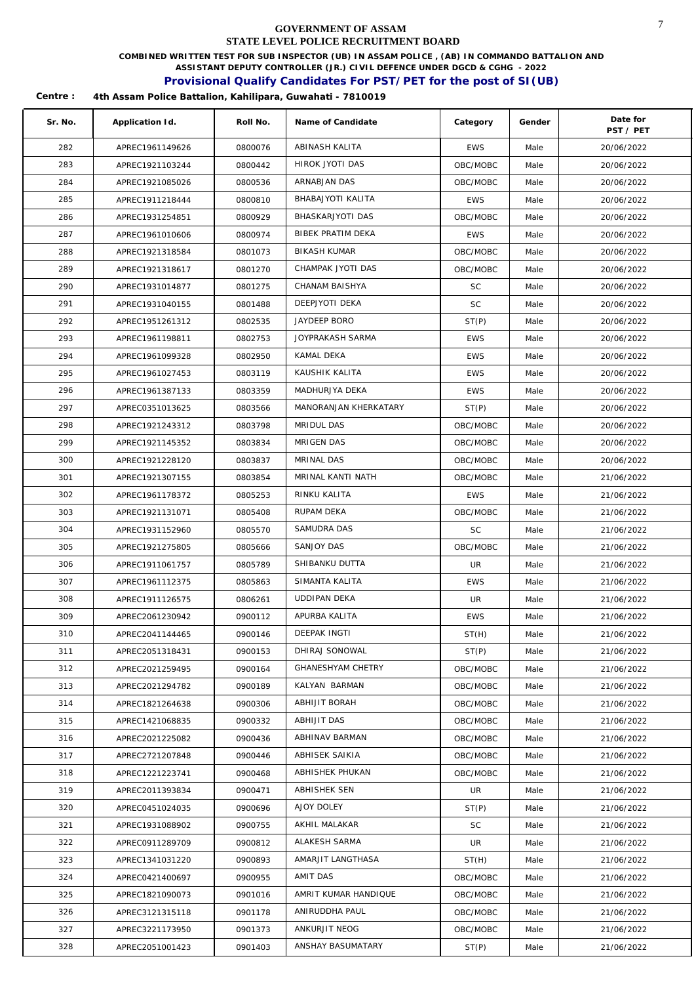**COMBINED WRITTEN TEST FOR SUB INSPECTOR (UB) IN ASSAM POLICE , (AB) IN COMMANDO BATTALION AND** 

**ASSISTANT DEPUTY CONTROLLER (JR.) CIVIL DEFENCE UNDER DGCD & CGHG - 2022** 

## **Provisional Qualify Candidates For PST/PET for the post of SI(UB)**

| Sr. No. | Application Id. | Roll No. | Name of Candidate        | Category   | Gender | Date for<br>PST / PET |
|---------|-----------------|----------|--------------------------|------------|--------|-----------------------|
| 282     | APREC1961149626 | 0800076  | ABINASH KALITA           | <b>EWS</b> | Male   | 20/06/2022            |
| 283     | APREC1921103244 | 0800442  | HIROK JYOTI DAS          | OBC/MOBC   | Male   | 20/06/2022            |
| 284     | APREC1921085026 | 0800536  | ARNABJAN DAS             | OBC/MOBC   | Male   | 20/06/2022            |
| 285     | APREC1911218444 | 0800810  | BHABAJYOTI KALITA        | <b>EWS</b> | Male   | 20/06/2022            |
| 286     | APREC1931254851 | 0800929  | BHASKARJYOTI DAS         | OBC/MOBC   | Male   | 20/06/2022            |
| 287     | APREC1961010606 | 0800974  | BIBEK PRATIM DEKA        | <b>EWS</b> | Male   | 20/06/2022            |
| 288     | APREC1921318584 | 0801073  | <b>BIKASH KUMAR</b>      | OBC/MOBC   | Male   | 20/06/2022            |
| 289     | APREC1921318617 | 0801270  | CHAMPAK JYOTI DAS        | OBC/MOBC   | Male   | 20/06/2022            |
| 290     | APREC1931014877 | 0801275  | CHANAM BAISHYA           | <b>SC</b>  | Male   | 20/06/2022            |
| 291     | APREC1931040155 | 0801488  | DEEPJYOTI DEKA           | <b>SC</b>  | Male   | 20/06/2022            |
| 292     | APREC1951261312 | 0802535  | JAYDEEP BORO             | ST(P)      | Male   | 20/06/2022            |
| 293     | APREC1961198811 | 0802753  | JOYPRAKASH SARMA         | <b>EWS</b> | Male   | 20/06/2022            |
| 294     | APREC1961099328 | 0802950  | KAMAL DEKA               | <b>EWS</b> | Male   | 20/06/2022            |
| 295     | APREC1961027453 | 0803119  | KAUSHIK KALITA           | <b>EWS</b> | Male   | 20/06/2022            |
| 296     | APREC1961387133 | 0803359  | MADHURJYA DEKA           | <b>EWS</b> | Male   | 20/06/2022            |
| 297     | APREC0351013625 | 0803566  | MANORANJAN KHERKATARY    | ST(P)      | Male   | 20/06/2022            |
| 298     | APREC1921243312 | 0803798  | MRIDUL DAS               | OBC/MOBC   | Male   | 20/06/2022            |
| 299     | APREC1921145352 | 0803834  | MRIGEN DAS               | OBC/MOBC   | Male   | 20/06/2022            |
| 300     | APREC1921228120 | 0803837  | MRINAL DAS               | OBC/MOBC   | Male   | 20/06/2022            |
| 301     | APREC1921307155 | 0803854  | MRINAL KANTI NATH        | OBC/MOBC   | Male   | 21/06/2022            |
| 302     | APREC1961178372 | 0805253  | RINKU KALITA             | <b>EWS</b> | Male   | 21/06/2022            |
| 303     | APREC1921131071 | 0805408  | RUPAM DEKA               | OBC/MOBC   | Male   | 21/06/2022            |
| 304     | APREC1931152960 | 0805570  | SAMUDRA DAS              | <b>SC</b>  | Male   | 21/06/2022            |
| 305     | APREC1921275805 | 0805666  | SANJOY DAS               | OBC/MOBC   | Male   | 21/06/2022            |
| 306     | APREC1911061757 | 0805789  | SHIBANKU DUTTA           | UR         | Male   | 21/06/2022            |
| 307     | APREC1961112375 | 0805863  | SIMANTA KALITA           | <b>EWS</b> | Male   | 21/06/2022            |
| 308     | APREC1911126575 | 0806261  | <b>UDDIPAN DEKA</b>      | UR         | Male   | 21/06/2022            |
| 309     | APREC2061230942 | 0900112  | APURBA KALITA            | <b>EWS</b> | Male   | 21/06/2022            |
| 310     | APREC2041144465 | 0900146  | DEEPAK INGTI             | ST(H)      | Male   | 21/06/2022            |
| 311     | APREC2051318431 | 0900153  | DHIRAJ SONOWAL           | ST(P)      | Male   | 21/06/2022            |
| 312     | APREC2021259495 | 0900164  | <b>GHANESHYAM CHETRY</b> | OBC/MOBC   | Male   | 21/06/2022            |
| 313     | APREC2021294782 | 0900189  | KALYAN BARMAN            | OBC/MOBC   | Male   | 21/06/2022            |
| 314     | APREC1821264638 | 0900306  | ABHIJIT BORAH            | OBC/MOBC   | Male   | 21/06/2022            |
| 315     | APREC1421068835 | 0900332  | ABHIJIT DAS              | OBC/MOBC   | Male   | 21/06/2022            |
| 316     | APREC2021225082 | 0900436  | ABHINAV BARMAN           | OBC/MOBC   | Male   | 21/06/2022            |
| 317     | APREC2721207848 | 0900446  | ABHISEK SAIKIA           | OBC/MOBC   | Male   | 21/06/2022            |
| 318     | APREC1221223741 | 0900468  | ABHISHEK PHUKAN          | OBC/MOBC   | Male   | 21/06/2022            |
| 319     | APREC2011393834 | 0900471  | ABHISHEK SEN             | UR         | Male   | 21/06/2022            |
| 320     | APREC0451024035 | 0900696  | AJOY DOLEY               | ST(P)      | Male   | 21/06/2022            |
| 321     | APREC1931088902 | 0900755  | AKHIL MALAKAR            | <b>SC</b>  | Male   | 21/06/2022            |
| 322     | APREC0911289709 | 0900812  | ALAKESH SARMA            | UR         | Male   | 21/06/2022            |
| 323     | APREC1341031220 | 0900893  | AMARJIT LANGTHASA        | ST(H)      | Male   | 21/06/2022            |
| 324     | APREC0421400697 | 0900955  | AMIT DAS                 | OBC/MOBC   | Male   | 21/06/2022            |
| 325     | APREC1821090073 | 0901016  | AMRIT KUMAR HANDIQUE     | OBC/MOBC   | Male   | 21/06/2022            |
| 326     | APREC3121315118 | 0901178  | ANIRUDDHA PAUL           | OBC/MOBC   | Male   | 21/06/2022            |
| 327     | APREC3221173950 | 0901373  | ANKURJIT NEOG            | OBC/MOBC   | Male   | 21/06/2022            |
| 328     | APREC2051001423 | 0901403  | ANSHAY BASUMATARY        | ST(P)      | Male   | 21/06/2022            |
|         |                 |          |                          |            |        |                       |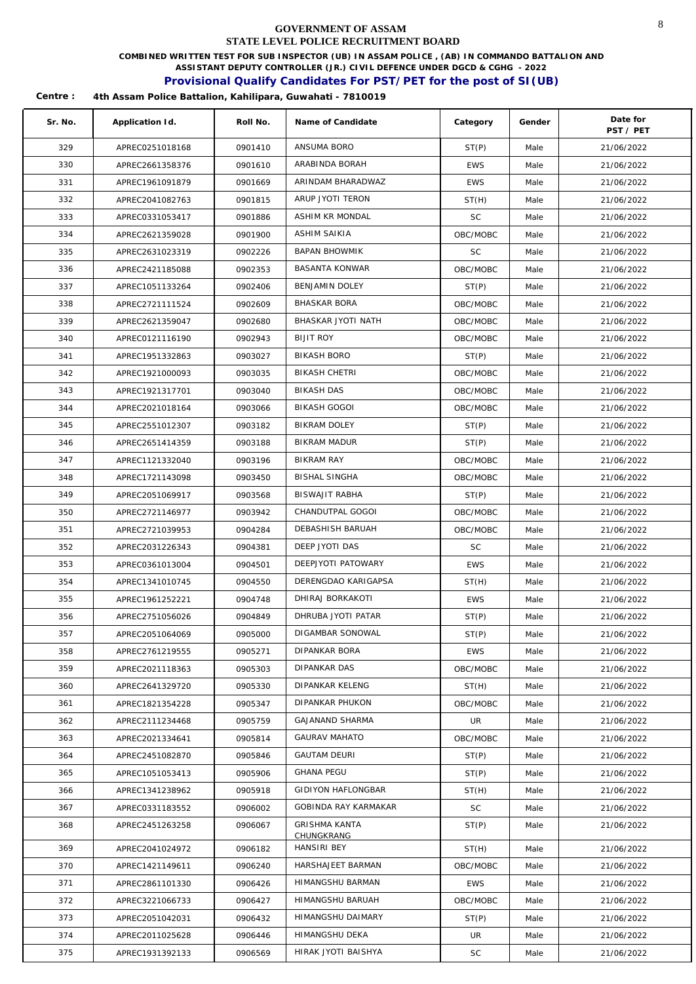**COMBINED WRITTEN TEST FOR SUB INSPECTOR (UB) IN ASSAM POLICE , (AB) IN COMMANDO BATTALION AND** 

**ASSISTANT DEPUTY CONTROLLER (JR.) CIVIL DEFENCE UNDER DGCD & CGHG - 2022** 

### **Provisional Qualify Candidates For PST/PET for the post of SI(UB)**

| Sr. No. | Application Id. | Roll No. | Name of Candidate         | Category   | Gender | Date for<br>PST / PET |
|---------|-----------------|----------|---------------------------|------------|--------|-----------------------|
| 329     | APREC0251018168 | 0901410  | ANSUMA BORO               | ST(P)      | Male   | 21/06/2022            |
| 330     | APREC2661358376 | 0901610  | ARABINDA BORAH            | <b>EWS</b> | Male   | 21/06/2022            |
| 331     | APREC1961091879 | 0901669  | ARINDAM BHARADWAZ         | <b>EWS</b> | Male   | 21/06/2022            |
| 332     | APREC2041082763 | 0901815  | ARUP JYOTI TERON          | ST(H)      | Male   | 21/06/2022            |
| 333     | APREC0331053417 | 0901886  | ASHIM KR MONDAL           | SC         | Male   | 21/06/2022            |
| 334     | APREC2621359028 | 0901900  | <b>ASHIM SAIKIA</b>       | OBC/MOBC   | Male   | 21/06/2022            |
| 335     | APREC2631023319 | 0902226  | <b>BAPAN BHOWMIK</b>      | SC         | Male   | 21/06/2022            |
| 336     | APREC2421185088 | 0902353  | <b>BASANTA KONWAR</b>     | OBC/MOBC   | Male   | 21/06/2022            |
| 337     | APREC1051133264 | 0902406  | BENJAMIN DOLEY            | ST(P)      | Male   | 21/06/2022            |
| 338     | APREC2721111524 | 0902609  | <b>BHASKAR BORA</b>       | OBC/MOBC   | Male   | 21/06/2022            |
| 339     | APREC2621359047 | 0902680  | BHASKAR JYOTI NATH        | OBC/MOBC   | Male   | 21/06/2022            |
| 340     | APREC0121116190 | 0902943  | <b>BIJIT ROY</b>          | OBC/MOBC   | Male   | 21/06/2022            |
| 341     | APREC1951332863 | 0903027  | <b>BIKASH BORO</b>        | ST(P)      | Male   | 21/06/2022            |
| 342     | APREC1921000093 | 0903035  | <b>BIKASH CHETRI</b>      | OBC/MOBC   | Male   | 21/06/2022            |
| 343     | APREC1921317701 | 0903040  | <b>BIKASH DAS</b>         | OBC/MOBC   | Male   | 21/06/2022            |
| 344     | APREC2021018164 | 0903066  | BIKASH GOGOI              | OBC/MOBC   | Male   | 21/06/2022            |
| 345     | APREC2551012307 | 0903182  | BIKRAM DOLEY              | ST(P)      | Male   | 21/06/2022            |
| 346     | APREC2651414359 | 0903188  | <b>BIKRAM MADUR</b>       | ST(P)      | Male   | 21/06/2022            |
| 347     | APREC1121332040 | 0903196  | BIKRAM RAY                | OBC/MOBC   | Male   | 21/06/2022            |
| 348     | APREC1721143098 | 0903450  | BISHAL SINGHA             | OBC/MOBC   | Male   | 21/06/2022            |
| 349     | APREC2051069917 | 0903568  | <b>BISWAJIT RABHA</b>     | ST(P)      | Male   | 21/06/2022            |
| 350     | APREC2721146977 | 0903942  | CHANDUTPAL GOGOI          | OBC/MOBC   | Male   | 21/06/2022            |
| 351     | APREC2721039953 | 0904284  | DEBASHISH BARUAH          | OBC/MOBC   | Male   | 21/06/2022            |
| 352     | APREC2031226343 | 0904381  | DEEP JYOTI DAS            | <b>SC</b>  | Male   | 21/06/2022            |
| 353     | APREC0361013004 | 0904501  | DEEPJYOTI PATOWARY        | <b>EWS</b> | Male   | 21/06/2022            |
| 354     | APREC1341010745 | 0904550  | DERENGDAO KARIGAPSA       | ST(H)      | Male   | 21/06/2022            |
| 355     | APREC1961252221 | 0904748  | DHIRAJ BORKAKOTI          | EWS        | Male   | 21/06/2022            |
| 356     | APREC2751056026 | 0904849  | DHRUBA JYOTI PATAR        | ST(P)      | Male   | 21/06/2022            |
| 357     | APREC2051064069 | 0905000  | DIGAMBAR SONOWAL          | ST(P)      | Male   | 21/06/2022            |
| 358     | APREC2761219555 | 0905271  | DIPANKAR BORA             | EWS        | Male   | 21/06/2022            |
| 359     | APREC2021118363 | 0905303  | DIPANKAR DAS              | OBC/MOBC   | Male   | 21/06/2022            |
| 360     | APREC2641329720 | 0905330  | DIPANKAR KELENG           | ST(H)      | Male   | 21/06/2022            |
| 361     | APREC1821354228 | 0905347  | DIPANKAR PHUKON           | OBC/MOBC   | Male   | 21/06/2022            |
| 362     | APREC2111234468 | 0905759  | <b>GAJANAND SHARMA</b>    | UR         | Male   | 21/06/2022            |
| 363     | APREC2021334641 | 0905814  | <b>GAURAV MAHATO</b>      | OBC/MOBC   | Male   | 21/06/2022            |
| 364     | APREC2451082870 | 0905846  | <b>GAUTAM DEURI</b>       | ST(P)      | Male   | 21/06/2022            |
| 365     | APREC1051053413 | 0905906  | <b>GHANA PEGU</b>         | ST(P)      | Male   | 21/06/2022            |
| 366     | APREC1341238962 | 0905918  | <b>GIDIYON HAFLONGBAR</b> | ST(H)      | Male   | 21/06/2022            |
| 367     | APREC0331183552 | 0906002  | GOBINDA RAY KARMAKAR      | SC         | Male   | 21/06/2022            |
| 368     | APREC2451263258 | 0906067  | <b>GRISHMA KANTA</b>      | ST(P)      | Male   | 21/06/2022            |
| 369     | APREC2041024972 | 0906182  | CHUNGKRANG<br>HANSIRI BEY | ST(H)      | Male   | 21/06/2022            |
| 370     | APREC1421149611 | 0906240  | HARSHAJEET BARMAN         | OBC/MOBC   | Male   | 21/06/2022            |
| 371     | APREC2861101330 | 0906426  | HIMANGSHU BARMAN          | EWS        | Male   | 21/06/2022            |
| 372     | APREC3221066733 | 0906427  | HIMANGSHU BARUAH          | OBC/MOBC   | Male   | 21/06/2022            |
| 373     | APREC2051042031 | 0906432  | HIMANGSHU DAIMARY         | ST(P)      | Male   | 21/06/2022            |
| 374     | APREC2011025628 | 0906446  | HIMANGSHU DEKA            | UR         | Male   | 21/06/2022            |
| 375     | APREC1931392133 | 0906569  | HIRAK JYOTI BAISHYA       | SC         | Male   | 21/06/2022            |
|         |                 |          |                           |            |        |                       |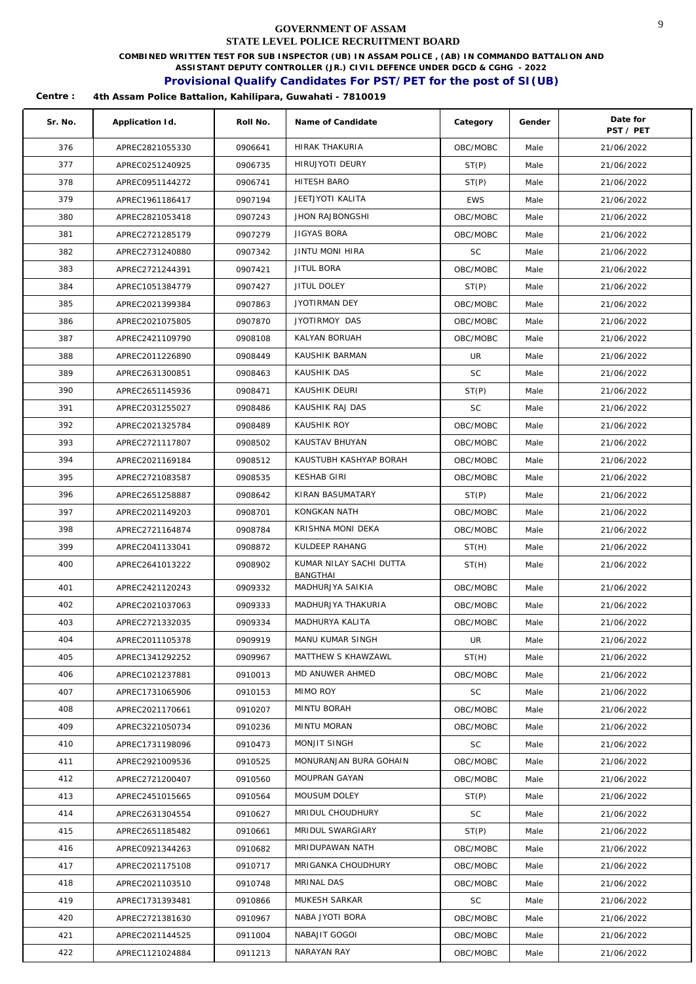**COMBINED WRITTEN TEST FOR SUB INSPECTOR (UB) IN ASSAM POLICE , (AB) IN COMMANDO BATTALION AND** 

**ASSISTANT DEPUTY CONTROLLER (JR.) CIVIL DEFENCE UNDER DGCD & CGHG - 2022** 

## **Provisional Qualify Candidates For PST/PET for the post of SI(UB)**

| Sr. No. | Application Id. | Roll No. | Name of Candidate       | Category   | Gender | Date for<br>PST / PET |
|---------|-----------------|----------|-------------------------|------------|--------|-----------------------|
| 376     | APREC2821055330 | 0906641  | <b>HIRAK THAKURIA</b>   | OBC/MOBC   | Male   | 21/06/2022            |
| 377     | APREC0251240925 | 0906735  | HIRUJYOTI DEURY         | ST(P)      | Male   | 21/06/2022            |
| 378     | APREC0951144272 | 0906741  | HITESH BARO             | ST(P)      | Male   | 21/06/2022            |
| 379     | APREC1961186417 | 0907194  | JEETJYOTI KALITA        | <b>EWS</b> | Male   | 21/06/2022            |
| 380     | APREC2821053418 | 0907243  | <b>JHON RAJBONGSHI</b>  | OBC/MOBC   | Male   | 21/06/2022            |
| 381     | APREC2721285179 | 0907279  | JIGYAS BORA             | OBC/MOBC   | Male   | 21/06/2022            |
| 382     | APREC2731240880 | 0907342  | JINTU MONI HIRA         | SC         | Male   | 21/06/2022            |
| 383     | APREC2721244391 | 0907421  | JITUL BORA              | OBC/MOBC   | Male   | 21/06/2022            |
| 384     | APREC1051384779 | 0907427  | JITUL DOLEY             | ST(P)      | Male   | 21/06/2022            |
| 385     | APREC2021399384 | 0907863  | JYOTIRMAN DEY           | OBC/MOBC   | Male   | 21/06/2022            |
| 386     | APREC2021075805 | 0907870  | JYOTIRMOY DAS           | OBC/MOBC   | Male   | 21/06/2022            |
| 387     | APREC2421109790 | 0908108  | KALYAN BORUAH           | OBC/MOBC   | Male   | 21/06/2022            |
| 388     | APREC2011226890 | 0908449  | KAUSHIK BARMAN          | UR         | Male   | 21/06/2022            |
| 389     | APREC2631300851 | 0908463  | KAUSHIK DAS             | <b>SC</b>  | Male   | 21/06/2022            |
| 390     | APREC2651145936 | 0908471  | KAUSHIK DEURI           | ST(P)      | Male   | 21/06/2022            |
| 391     | APREC2031255027 | 0908486  | KAUSHIK RAJ DAS         | <b>SC</b>  | Male   | 21/06/2022            |
| 392     | APREC2021325784 | 0908489  | KAUSHIK ROY             | OBC/MOBC   | Male   | 21/06/2022            |
| 393     | APREC2721117807 | 0908502  | KAUSTAV BHUYAN          | OBC/MOBC   | Male   | 21/06/2022            |
| 394     | APREC2021169184 | 0908512  | KAUSTUBH KASHYAP BORAH  | OBC/MOBC   | Male   | 21/06/2022            |
| 395     | APREC2721083587 | 0908535  | KESHAB GIRI             | OBC/MOBC   | Male   | 21/06/2022            |
| 396     | APREC2651258887 | 0908642  | KIRAN BASUMATARY        | ST(P)      | Male   | 21/06/2022            |
| 397     | APREC2021149203 | 0908701  | KONGKAN NATH            | OBC/MOBC   | Male   | 21/06/2022            |
| 398     | APREC2721164874 | 0908784  | KRISHNA MONI DEKA       | OBC/MOBC   | Male   | 21/06/2022            |
| 399     | APREC2041133041 | 0908872  | KULDEEP RAHANG          | ST(H)      | Male   | 21/06/2022            |
| 400     | APREC2641013222 | 0908902  | KUMAR NILAY SACHI DUTTA | ST(H)      | Male   | 21/06/2022            |
|         |                 |          | <b>BANGTHAI</b>         |            |        |                       |
| 401     | APREC2421120243 | 0909332  | MADHURJYA SAIKIA        | OBC/MOBC   | Male   | 21/06/2022            |
| 402     | APREC2021037063 | 0909333  | MADHURJYA THAKURIA      | OBC/MOBC   | Male   | 21/06/2022            |
| 403     | APREC2721332035 | 0909334  | MADHURYA KALITA         | OBC/MOBC   | Male   | 21/06/2022            |
| 404     | APREC2011105378 | 0909919  | MANU KUMAR SINGH        | UR         | Male   | 21/06/2022            |
| 405     | APREC1341292252 | 0909967  | MATTHEW S KHAWZAWL      | ST(H)      | Male   | 21/06/2022            |
| 406     | APREC1021237881 | 0910013  | MD ANUWER AHMED         | OBC/MOBC   | Male   | 21/06/2022            |
| 407     | APREC1731065906 | 0910153  | MIMO ROY                | <b>SC</b>  | Male   | 21/06/2022            |
| 408     | APREC2021170661 | 0910207  | MINTU BORAH             | OBC/MOBC   | Male   | 21/06/2022            |
| 409     | APREC3221050734 | 0910236  | MINTU MORAN             | OBC/MOBC   | Male   | 21/06/2022            |
| 410     | APREC1731198096 | 0910473  | MONJIT SINGH            | SC         | Male   | 21/06/2022            |
| 411     | APREC2921009536 | 0910525  | MONURANJAN BURA GOHAIN  | OBC/MOBC   | Male   | 21/06/2022            |
| 412     | APREC2721200407 | 0910560  | MOUPRAN GAYAN           | OBC/MOBC   | Male   | 21/06/2022            |
| 413     | APREC2451015665 | 0910564  | MOUSUM DOLEY            | ST(P)      | Male   | 21/06/2022            |
| 414     | APREC2631304554 | 0910627  | MRIDUL CHOUDHURY        | SC         | Male   | 21/06/2022            |
| 415     | APREC2651185482 | 0910661  | MRIDUL SWARGIARY        | ST(P)      | Male   | 21/06/2022            |
| 416     | APREC0921344263 | 0910682  | MRIDUPAWAN NATH         | OBC/MOBC   | Male   | 21/06/2022            |
| 417     | APREC2021175108 | 0910717  | MRIGANKA CHOUDHURY      | OBC/MOBC   | Male   | 21/06/2022            |
| 418     | APREC2021103510 | 0910748  | MRINAL DAS              | OBC/MOBC   | Male   | 21/06/2022            |
| 419     | APREC1731393481 | 0910866  | MUKESH SARKAR           | SC         | Male   | 21/06/2022            |
| 420     | APREC2721381630 | 0910967  | NABA JYOTI BORA         | OBC/MOBC   | Male   | 21/06/2022            |
| 421     | APREC2021144525 | 0911004  | NABAJIT GOGOI           | OBC/MOBC   | Male   | 21/06/2022            |
| 422     | APREC1121024884 | 0911213  | NARAYAN RAY             | OBC/MOBC   | Male   | 21/06/2022            |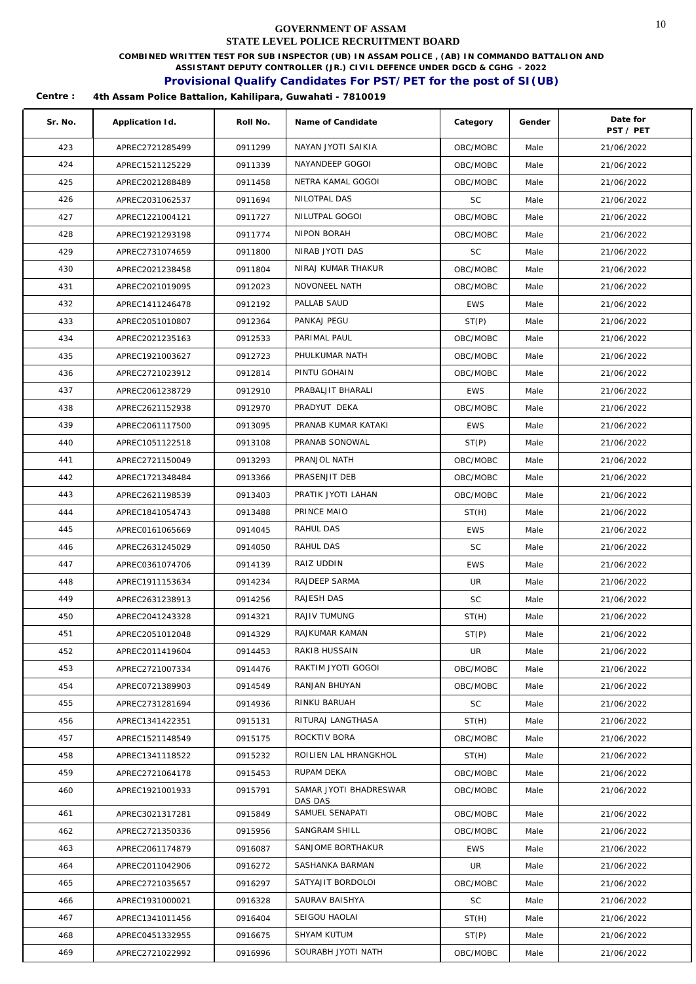**COMBINED WRITTEN TEST FOR SUB INSPECTOR (UB) IN ASSAM POLICE , (AB) IN COMMANDO BATTALION AND** 

**ASSISTANT DEPUTY CONTROLLER (JR.) CIVIL DEFENCE UNDER DGCD & CGHG - 2022** 

## **Provisional Qualify Candidates For PST/PET for the post of SI(UB)**

| Sr. No. | Application Id. | Roll No. | Name of Candidate      | Category   | Gender | Date for<br>PST / PET |
|---------|-----------------|----------|------------------------|------------|--------|-----------------------|
| 423     | APREC2721285499 | 0911299  | NAYAN JYOTI SAIKIA     | OBC/MOBC   | Male   | 21/06/2022            |
| 424     | APREC1521125229 | 0911339  | NAYANDEEP GOGOI        | OBC/MOBC   | Male   | 21/06/2022            |
| 425     | APREC2021288489 | 0911458  | NETRA KAMAL GOGOI      | OBC/MOBC   | Male   | 21/06/2022            |
| 426     | APREC2031062537 | 0911694  | NILOTPAL DAS           | <b>SC</b>  | Male   | 21/06/2022            |
| 427     | APREC1221004121 | 0911727  | NILUTPAL GOGOI         | OBC/MOBC   | Male   | 21/06/2022            |
| 428     | APREC1921293198 | 0911774  | NIPON BORAH            | OBC/MOBC   | Male   | 21/06/2022            |
| 429     | APREC2731074659 | 0911800  | NIRAB JYOTI DAS        | SC         | Male   | 21/06/2022            |
| 430     | APREC2021238458 | 0911804  | NIRAJ KUMAR THAKUR     | OBC/MOBC   | Male   | 21/06/2022            |
| 431     | APREC2021019095 | 0912023  | NOVONEEL NATH          | OBC/MOBC   | Male   | 21/06/2022            |
| 432     | APREC1411246478 | 0912192  | PALLAB SAUD            | <b>EWS</b> | Male   | 21/06/2022            |
| 433     | APREC2051010807 | 0912364  | PANKAJ PEGU            | ST(P)      | Male   | 21/06/2022            |
| 434     | APREC2021235163 | 0912533  | PARIMAL PAUL           | OBC/MOBC   | Male   | 21/06/2022            |
| 435     | APREC1921003627 | 0912723  | PHULKUMAR NATH         | OBC/MOBC   | Male   | 21/06/2022            |
| 436     | APREC2721023912 | 0912814  | PINTU GOHAIN           | OBC/MOBC   | Male   | 21/06/2022            |
| 437     | APREC2061238729 | 0912910  | PRABALJIT BHARALI      | <b>EWS</b> | Male   | 21/06/2022            |
| 438     | APREC2621152938 | 0912970  | PRADYUT DEKA           | OBC/MOBC   | Male   | 21/06/2022            |
| 439     | APREC2061117500 | 0913095  | PRANAB KUMAR KATAKI    | <b>EWS</b> | Male   | 21/06/2022            |
| 440     | APREC1051122518 | 0913108  | PRANAB SONOWAL         | ST(P)      | Male   | 21/06/2022            |
| 441     | APREC2721150049 | 0913293  | PRANJOL NATH           | OBC/MOBC   | Male   | 21/06/2022            |
| 442     | APREC1721348484 | 0913366  | PRASENJIT DEB          | OBC/MOBC   | Male   | 21/06/2022            |
| 443     | APREC2621198539 | 0913403  | PRATIK JYOTI LAHAN     | OBC/MOBC   | Male   | 21/06/2022            |
| 444     | APREC1841054743 | 0913488  | PRINCE MAIO            | ST(H)      | Male   | 21/06/2022            |
| 445     | APREC0161065669 | 0914045  | RAHUL DAS              | <b>EWS</b> | Male   | 21/06/2022            |
| 446     | APREC2631245029 | 0914050  | RAHUL DAS              | SC         | Male   | 21/06/2022            |
| 447     | APREC0361074706 | 0914139  | RAIZ UDDIN             | <b>EWS</b> | Male   | 21/06/2022            |
| 448     | APREC1911153634 | 0914234  | RAJDEEP SARMA          | UR         | Male   | 21/06/2022            |
| 449     | APREC2631238913 | 0914256  | RAJESH DAS             | <b>SC</b>  | Male   | 21/06/2022            |
| 450     | APREC2041243328 | 0914321  | RAJIV TUMUNG           | ST(H)      | Male   | 21/06/2022            |
| 451     | APREC2051012048 | 0914329  | RAJKUMAR KAMAN         | ST(P)      | Male   | 21/06/2022            |
| 452     | APREC2011419604 | 0914453  | RAKIB HUSSAIN          | UR         | Male   | 21/06/2022            |
| 453     | APREC2721007334 | 0914476  | RAKTIM JYOTI GOGOI     | OBC/MOBC   | Male   | 21/06/2022            |
| 454     | APREC0721389903 | 0914549  | RANJAN BHUYAN          | OBC/MOBC   | Male   | 21/06/2022            |
| 455     | APREC2731281694 | 0914936  | RINKU BARUAH           | SC         | Male   | 21/06/2022            |
| 456     | APREC1341422351 | 0915131  | RITURAJ LANGTHASA      | ST(H)      | Male   | 21/06/2022            |
| 457     | APREC1521148549 | 0915175  | ROCKTIV BORA           | OBC/MOBC   | Male   | 21/06/2022            |
| 458     | APREC1341118522 | 0915232  | ROILIEN LAL HRANGKHOL  | ST(H)      | Male   | 21/06/2022            |
| 459     | APREC2721064178 | 0915453  | RUPAM DEKA             | OBC/MOBC   | Male   | 21/06/2022            |
| 460     | APREC1921001933 | 0915791  | SAMAR JYOTI BHADRESWAR | OBC/MOBC   | Male   | 21/06/2022            |
|         |                 |          | DAS DAS                |            |        |                       |
| 461     | APREC3021317281 | 0915849  | SAMUEL SENAPATI        | OBC/MOBC   | Male   | 21/06/2022            |
| 462     | APREC2721350336 | 0915956  | SANGRAM SHILL          | OBC/MOBC   | Male   | 21/06/2022            |
| 463     | APREC2061174879 | 0916087  | SANJOME BORTHAKUR      | EWS        | Male   | 21/06/2022            |
| 464     | APREC2011042906 | 0916272  | SASHANKA BARMAN        | UR         | Male   | 21/06/2022            |
| 465     | APREC2721035657 | 0916297  | SATYAJIT BORDOLOI      | OBC/MOBC   | Male   | 21/06/2022            |
| 466     | APREC1931000021 | 0916328  | SAURAV BAISHYA         | SC         | Male   | 21/06/2022            |
| 467     | APREC1341011456 | 0916404  | SEIGOU HAOLAI          | ST(H)      | Male   | 21/06/2022            |
| 468     | APREC0451332955 | 0916675  | SHYAM KUTUM            | ST(P)      | Male   | 21/06/2022            |
| 469     | APREC2721022992 | 0916996  | SOURABH JYOTI NATH     | OBC/MOBC   | Male   | 21/06/2022            |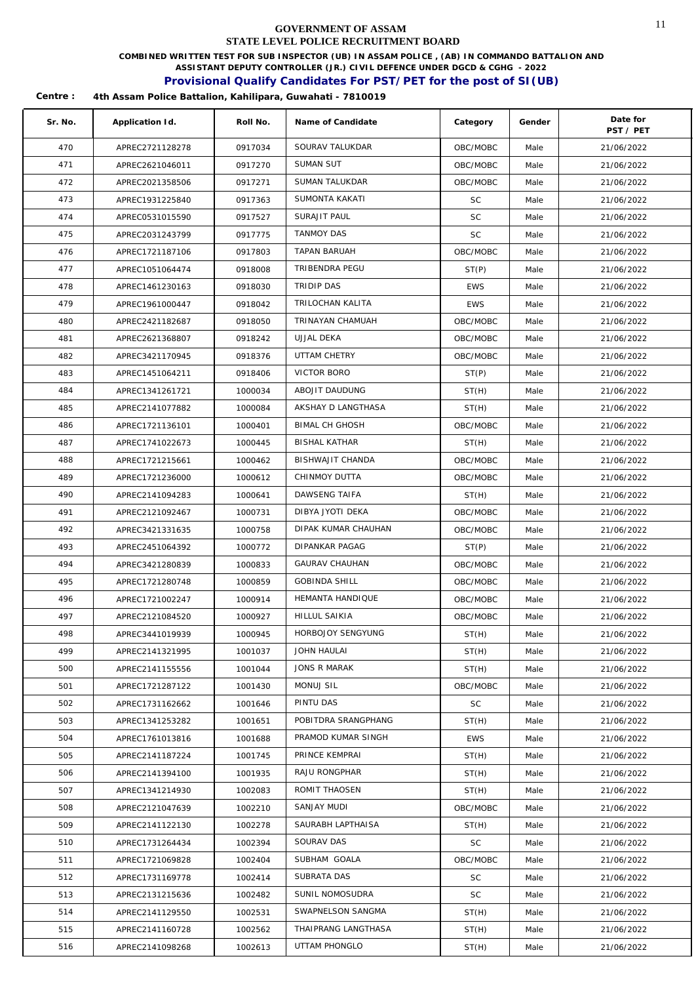**COMBINED WRITTEN TEST FOR SUB INSPECTOR (UB) IN ASSAM POLICE , (AB) IN COMMANDO BATTALION AND** 

**ASSISTANT DEPUTY CONTROLLER (JR.) CIVIL DEFENCE UNDER DGCD & CGHG - 2022** 

### **Provisional Qualify Candidates For PST/PET for the post of SI(UB)**

| Sr. No. | Application Id. | Roll No. | Name of Candidate     | Category   | Gender | Date for<br>PST / PET |
|---------|-----------------|----------|-----------------------|------------|--------|-----------------------|
| 470     | APREC2721128278 | 0917034  | SOURAV TALUKDAR       | OBC/MOBC   | Male   | 21/06/2022            |
| 471     | APREC2621046011 | 0917270  | <b>SUMAN SUT</b>      | OBC/MOBC   | Male   | 21/06/2022            |
| 472     | APREC2021358506 | 0917271  | SUMAN TALUKDAR        | OBC/MOBC   | Male   | 21/06/2022            |
| 473     | APREC1931225840 | 0917363  | SUMONTA KAKATI        | <b>SC</b>  | Male   | 21/06/2022            |
| 474     | APREC0531015590 | 0917527  | <b>SURAJIT PAUL</b>   | <b>SC</b>  | Male   | 21/06/2022            |
| 475     | APREC2031243799 | 0917775  | <b>TANMOY DAS</b>     | <b>SC</b>  | Male   | 21/06/2022            |
| 476     | APREC1721187106 | 0917803  | TAPAN BARUAH          | OBC/MOBC   | Male   | 21/06/2022            |
| 477     | APREC1051064474 | 0918008  | TRIBENDRA PEGU        | ST(P)      | Male   | 21/06/2022            |
| 478     | APREC1461230163 | 0918030  | TRIDIP DAS            | <b>EWS</b> | Male   | 21/06/2022            |
| 479     | APREC1961000447 | 0918042  | TRILOCHAN KALITA      | <b>EWS</b> | Male   | 21/06/2022            |
| 480     | APREC2421182687 | 0918050  | TRINAYAN CHAMUAH      | OBC/MOBC   | Male   | 21/06/2022            |
| 481     | APREC2621368807 | 0918242  | UJJAL DEKA            | OBC/MOBC   | Male   | 21/06/2022            |
| 482     | APREC3421170945 | 0918376  | UTTAM CHETRY          | OBC/MOBC   | Male   | 21/06/2022            |
| 483     | APREC1451064211 | 0918406  | VICTOR BORO           | ST(P)      | Male   | 21/06/2022            |
| 484     | APREC1341261721 | 1000034  | ABOJIT DAUDUNG        | ST(H)      | Male   | 21/06/2022            |
| 485     | APREC2141077882 | 1000084  | AKSHAY D LANGTHASA    | ST(H)      | Male   | 21/06/2022            |
| 486     | APREC1721136101 | 1000401  | <b>BIMAL CH GHOSH</b> | OBC/MOBC   | Male   | 21/06/2022            |
| 487     | APREC1741022673 | 1000445  | <b>BISHAL KATHAR</b>  | ST(H)      | Male   | 21/06/2022            |
| 488     | APREC1721215661 | 1000462  | BISHWAJIT CHANDA      | OBC/MOBC   | Male   | 21/06/2022            |
| 489     | APREC1721236000 | 1000612  | CHINMOY DUTTA         | OBC/MOBC   | Male   | 21/06/2022            |
| 490     | APREC2141094283 | 1000641  | DAWSENG TAIFA         | ST(H)      | Male   | 21/06/2022            |
| 491     | APREC2121092467 | 1000731  | DIBYA JYOTI DEKA      | OBC/MOBC   | Male   | 21/06/2022            |
| 492     | APREC3421331635 | 1000758  | DIPAK KUMAR CHAUHAN   | OBC/MOBC   | Male   | 21/06/2022            |
| 493     | APREC2451064392 | 1000772  | DIPANKAR PAGAG        | ST(P)      | Male   | 21/06/2022            |
| 494     | APREC3421280839 | 1000833  | <b>GAURAV CHAUHAN</b> | OBC/MOBC   | Male   | 21/06/2022            |
| 495     | APREC1721280748 | 1000859  | <b>GOBINDA SHILL</b>  | OBC/MOBC   | Male   | 21/06/2022            |
| 496     | APREC1721002247 | 1000914  | HEMANTA HANDIQUE      | OBC/MOBC   | Male   | 21/06/2022            |
| 497     | APREC2121084520 | 1000927  | HILLUL SAIKIA         | OBC/MOBC   | Male   | 21/06/2022            |
| 498     | APREC3441019939 | 1000945  | HORBOJOY SENGYUNG     | ST(H)      | Male   | 21/06/2022            |
| 499     | APREC2141321995 | 1001037  | JOHN HAULAI           | ST(H)      | Male   | 21/06/2022            |
| 500     | APREC2141155556 | 1001044  | <b>JONS R MARAK</b>   | ST(H)      | Male   | 21/06/2022            |
| 501     | APREC1721287122 | 1001430  | MONUJ SIL             | OBC/MOBC   | Male   | 21/06/2022            |
| 502     | APREC1731162662 | 1001646  | PINTU DAS             | <b>SC</b>  | Male   | 21/06/2022            |
| 503     | APREC1341253282 | 1001651  | POBITDRA SRANGPHANG   | ST(H)      | Male   | 21/06/2022            |
| 504     | APREC1761013816 | 1001688  | PRAMOD KUMAR SINGH    | <b>EWS</b> | Male   | 21/06/2022            |
| 505     | APREC2141187224 | 1001745  | PRINCE KEMPRAI        | ST(H)      | Male   | 21/06/2022            |
| 506     | APREC2141394100 | 1001935  | RAJU RONGPHAR         | ST(H)      | Male   | 21/06/2022            |
| 507     | APREC1341214930 | 1002083  | ROMIT THAOSEN         | ST(H)      | Male   | 21/06/2022            |
| 508     | APREC2121047639 | 1002210  | SANJAY MUDI           | OBC/MOBC   | Male   | 21/06/2022            |
| 509     | APREC2141122130 | 1002278  | SAURABH LAPTHAISA     | ST(H)      | Male   | 21/06/2022            |
| 510     | APREC1731264434 | 1002394  | SOURAV DAS            | SC         | Male   | 21/06/2022            |
| 511     | APREC1721069828 | 1002404  | SUBHAM GOALA          | OBC/MOBC   | Male   | 21/06/2022            |
| 512     | APREC1731169778 | 1002414  | SUBRATA DAS           | SC.        | Male   | 21/06/2022            |
| 513     | APREC2131215636 | 1002482  | SUNIL NOMOSUDRA       | <b>SC</b>  | Male   | 21/06/2022            |
| 514     | APREC2141129550 | 1002531  | SWAPNELSON SANGMA     | ST(H)      | Male   | 21/06/2022            |
| 515     | APREC2141160728 | 1002562  | THAIPRANG LANGTHASA   | ST(H)      | Male   | 21/06/2022            |
| 516     | APREC2141098268 | 1002613  | UTTAM PHONGLO         | ST(H)      | Male   | 21/06/2022            |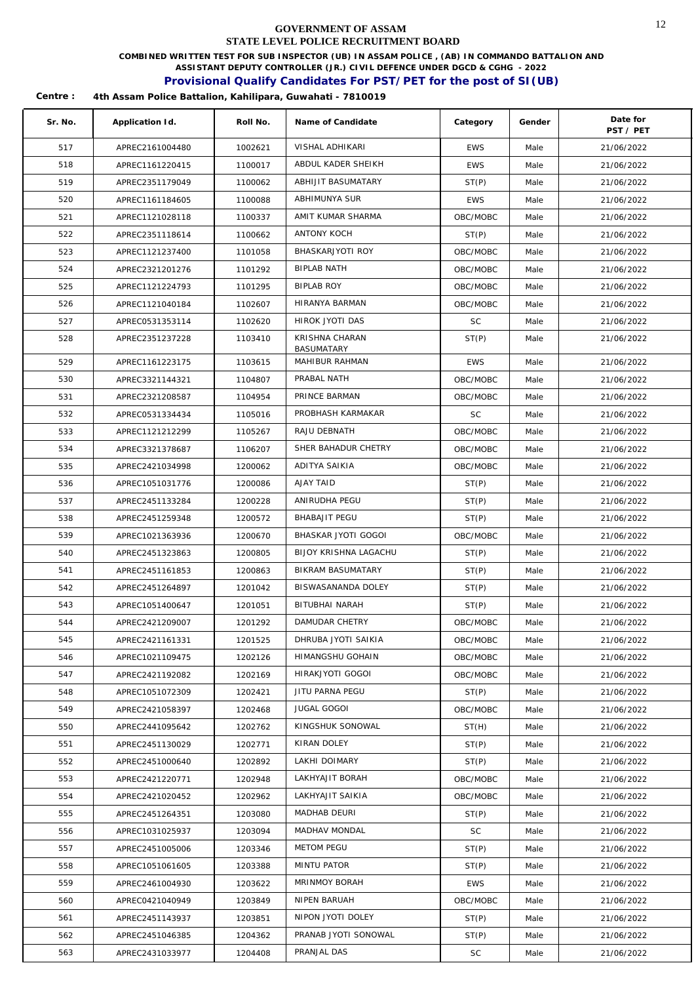**COMBINED WRITTEN TEST FOR SUB INSPECTOR (UB) IN ASSAM POLICE , (AB) IN COMMANDO BATTALION AND** 

**ASSISTANT DEPUTY CONTROLLER (JR.) CIVIL DEFENCE UNDER DGCD & CGHG - 2022** 

### **Provisional Qualify Candidates For PST/PET for the post of SI(UB)**

| Sr. No. | Application Id. | Roll No. | Name of Candidate                   | Category   | Gender | Date for<br>PST / PET |
|---------|-----------------|----------|-------------------------------------|------------|--------|-----------------------|
| 517     | APREC2161004480 | 1002621  | VISHAL ADHIKARI                     | <b>EWS</b> | Male   | 21/06/2022            |
| 518     | APREC1161220415 | 1100017  | ABDUL KADER SHEIKH                  | <b>EWS</b> | Male   | 21/06/2022            |
| 519     | APREC2351179049 | 1100062  | ABHIJIT BASUMATARY                  | ST(P)      | Male   | 21/06/2022            |
| 520     | APREC1161184605 | 1100088  | ABHIMUNYA SUR                       | <b>EWS</b> | Male   | 21/06/2022            |
| 521     | APREC1121028118 | 1100337  | AMIT KUMAR SHARMA                   | OBC/MOBC   | Male   | 21/06/2022            |
| 522     | APREC2351118614 | 1100662  | ANTONY KOCH                         | ST(P)      | Male   | 21/06/2022            |
| 523     | APREC1121237400 | 1101058  | BHASKARJYOTI ROY                    | OBC/MOBC   | Male   | 21/06/2022            |
| 524     | APREC2321201276 | 1101292  | <b>BIPLAB NATH</b>                  | OBC/MOBC   | Male   | 21/06/2022            |
| 525     | APREC1121224793 | 1101295  | <b>BIPLAB ROY</b>                   | OBC/MOBC   | Male   | 21/06/2022            |
| 526     | APREC1121040184 | 1102607  | HIRANYA BARMAN                      | OBC/MOBC   | Male   | 21/06/2022            |
| 527     | APREC0531353114 | 1102620  | HIROK JYOTI DAS                     | <b>SC</b>  | Male   | 21/06/2022            |
| 528     | APREC2351237228 | 1103410  | KRISHNA CHARAN<br><b>BASUMATARY</b> | ST(P)      | Male   | 21/06/2022            |
| 529     | APREC1161223175 | 1103615  | MAHIBUR RAHMAN                      | <b>EWS</b> | Male   | 21/06/2022            |
| 530     | APREC3321144321 | 1104807  | PRABAL NATH                         | OBC/MOBC   | Male   | 21/06/2022            |
| 531     | APREC2321208587 | 1104954  | PRINCE BARMAN                       | OBC/MOBC   | Male   | 21/06/2022            |
| 532     | APREC0531334434 | 1105016  | PROBHASH KARMAKAR                   | <b>SC</b>  | Male   | 21/06/2022            |
| 533     | APREC1121212299 | 1105267  | RAJU DEBNATH                        | OBC/MOBC   | Male   | 21/06/2022            |
| 534     | APREC3321378687 | 1106207  | SHER BAHADUR CHETRY                 | OBC/MOBC   | Male   | 21/06/2022            |
| 535     | APREC2421034998 | 1200062  | ADITYA SAIKIA                       | OBC/MOBC   | Male   | 21/06/2022            |
| 536     | APREC1051031776 | 1200086  | AJAY TAID                           | ST(P)      | Male   | 21/06/2022            |
| 537     | APREC2451133284 | 1200228  | ANIRUDHA PEGU                       | ST(P)      | Male   | 21/06/2022            |
| 538     | APREC2451259348 | 1200572  | <b>BHABAJIT PEGU</b>                | ST(P)      | Male   | 21/06/2022            |
| 539     | APREC1021363936 | 1200670  | BHASKAR JYOTI GOGOI                 | OBC/MOBC   | Male   | 21/06/2022            |
| 540     | APREC2451323863 | 1200805  | BIJOY KRISHNA LAGACHU               | ST(P)      | Male   | 21/06/2022            |
| 541     | APREC2451161853 | 1200863  | BIKRAM BASUMATARY                   | ST(P)      | Male   | 21/06/2022            |
| 542     | APREC2451264897 | 1201042  | BISWASANANDA DOLEY                  | ST(P)      | Male   | 21/06/2022            |
| 543     | APREC1051400647 | 1201051  | BITUBHAI NARAH                      | ST(P)      | Male   | 21/06/2022            |
| 544     | APREC2421209007 | 1201292  | DAMUDAR CHETRY                      | OBC/MOBC   | Male   | 21/06/2022            |
| 545     | APREC2421161331 | 1201525  | DHRUBA JYOTI SAIKIA                 | OBC/MOBC   | Male   | 21/06/2022            |
| 546     | APREC1021109475 | 1202126  | HIMANGSHU GOHAIN                    | OBC/MOBC   | Male   | 21/06/2022            |
| 547     | APREC2421192082 | 1202169  | HIRAKJYOTI GOGOI                    | OBC/MOBC   | Male   | 21/06/2022            |
| 548     | APREC1051072309 | 1202421  | JITU PARNA PEGU                     | ST(P)      | Male   | 21/06/2022            |
| 549     | APREC2421058397 | 1202468  | <b>JUGAL GOGOI</b>                  | OBC/MOBC   | Male   | 21/06/2022            |
| 550     | APREC2441095642 | 1202762  | KINGSHUK SONOWAL                    | ST(H)      | Male   | 21/06/2022            |
| 551     | APREC2451130029 | 1202771  | KIRAN DOLEY                         | ST(P)      | Male   | 21/06/2022            |
| 552     | APREC2451000640 | 1202892  | LAKHI DOIMARY                       | ST(P)      | Male   | 21/06/2022            |
| 553     | APREC2421220771 | 1202948  | LAKHYAJIT BORAH                     | OBC/MOBC   | Male   | 21/06/2022            |
| 554     | APREC2421020452 | 1202962  | LAKHYAJIT SAIKIA                    | OBC/MOBC   | Male   | 21/06/2022            |
| 555     | APREC2451264351 | 1203080  | MADHAB DEURI                        | ST(P)      | Male   | 21/06/2022            |
| 556     | APREC1031025937 | 1203094  | MADHAV MONDAL                       | <b>SC</b>  | Male   | 21/06/2022            |
| 557     | APREC2451005006 | 1203346  | <b>METOM PEGU</b>                   | ST(P)      | Male   | 21/06/2022            |
| 558     | APREC1051061605 | 1203388  | MINTU PATOR                         | ST(P)      | Male   | 21/06/2022            |
| 559     | APREC2461004930 | 1203622  | MRINMOY BORAH                       | <b>EWS</b> | Male   | 21/06/2022            |
| 560     | APREC0421040949 | 1203849  | NIPEN BARUAH                        | OBC/MOBC   | Male   | 21/06/2022            |
| 561     | APREC2451143937 | 1203851  | NIPON JYOTI DOLEY                   | ST(P)      | Male   | 21/06/2022            |
| 562     | APREC2451046385 | 1204362  | PRANAB JYOTI SONOWAL                | ST(P)      | Male   | 21/06/2022            |
| 563     | APREC2431033977 | 1204408  | PRANJAL DAS                         | SC         | Male   | 21/06/2022            |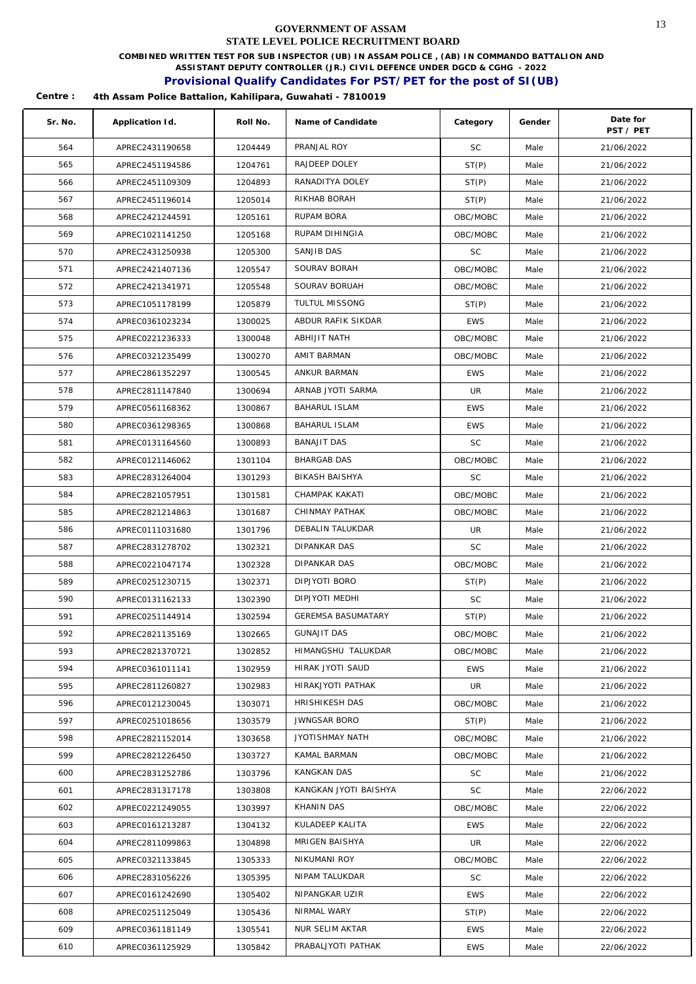**COMBINED WRITTEN TEST FOR SUB INSPECTOR (UB) IN ASSAM POLICE , (AB) IN COMMANDO BATTALION AND** 

**ASSISTANT DEPUTY CONTROLLER (JR.) CIVIL DEFENCE UNDER DGCD & CGHG - 2022** 

### **Provisional Qualify Candidates For PST/PET for the post of SI(UB)**

| Sr. No. | Application Id. | Roll No. | Name of Candidate         | Category   | Gender | Date for<br>PST / PET |
|---------|-----------------|----------|---------------------------|------------|--------|-----------------------|
| 564     | APREC2431190658 | 1204449  | PRANJAL ROY               | <b>SC</b>  | Male   | 21/06/2022            |
| 565     | APREC2451194586 | 1204761  | RAJDEEP DOLEY             | ST(P)      | Male   | 21/06/2022            |
| 566     | APREC2451109309 | 1204893  | RANADITYA DOLEY           | ST(P)      | Male   | 21/06/2022            |
| 567     | APREC2451196014 | 1205014  | RIKHAB BORAH              | ST(P)      | Male   | 21/06/2022            |
| 568     | APREC2421244591 | 1205161  | RUPAM BORA                | OBC/MOBC   | Male   | 21/06/2022            |
| 569     | APREC1021141250 | 1205168  | RUPAM DIHINGIA            | OBC/MOBC   | Male   | 21/06/2022            |
| 570     | APREC2431250938 | 1205300  | SANJIB DAS                | SC         | Male   | 21/06/2022            |
| 571     | APREC2421407136 | 1205547  | SOURAV BORAH              | OBC/MOBC   | Male   | 21/06/2022            |
| 572     | APREC2421341971 | 1205548  | SOURAV BORUAH             | OBC/MOBC   | Male   | 21/06/2022            |
| 573     | APREC1051178199 | 1205879  | TULTUL MISSONG            | ST(P)      | Male   | 21/06/2022            |
| 574     | APREC0361023234 | 1300025  | ABDUR RAFIK SIKDAR        | <b>EWS</b> | Male   | 21/06/2022            |
| 575     | APREC0221236333 | 1300048  | ABHIJIT NATH              | OBC/MOBC   | Male   | 21/06/2022            |
| 576     | APREC0321235499 | 1300270  | AMIT BARMAN               | OBC/MOBC   | Male   | 21/06/2022            |
| 577     | APREC2861352297 | 1300545  | ANKUR BARMAN              | <b>EWS</b> | Male   | 21/06/2022            |
| 578     | APREC2811147840 | 1300694  | ARNAB JYOTI SARMA         | UR         | Male   | 21/06/2022            |
| 579     | APREC0561168362 | 1300867  | <b>BAHARUL ISLAM</b>      | <b>EWS</b> | Male   | 21/06/2022            |
| 580     | APREC0361298365 | 1300868  | <b>BAHARUL ISLAM</b>      | <b>EWS</b> | Male   | 21/06/2022            |
| 581     | APREC0131164560 | 1300893  | <b>BANAJIT DAS</b>        | <b>SC</b>  | Male   | 21/06/2022            |
| 582     | APREC0121146062 | 1301104  | <b>BHARGAB DAS</b>        | OBC/MOBC   | Male   | 21/06/2022            |
| 583     | APREC2831264004 | 1301293  | <b>BIKASH BAISHYA</b>     | <b>SC</b>  | Male   | 21/06/2022            |
| 584     | APREC2821057951 | 1301581  | CHAMPAK KAKATI            | OBC/MOBC   | Male   | 21/06/2022            |
| 585     | APREC2821214863 | 1301687  | CHINMAY PATHAK            | OBC/MOBC   | Male   | 21/06/2022            |
| 586     | APREC0111031680 | 1301796  | DEBALIN TALUKDAR          | UR         | Male   | 21/06/2022            |
| 587     | APREC2831278702 | 1302321  | DIPANKAR DAS              | <b>SC</b>  | Male   | 21/06/2022            |
| 588     | APREC0221047174 | 1302328  | DIPANKAR DAS              | OBC/MOBC   | Male   | 21/06/2022            |
| 589     | APREC0251230715 | 1302371  | DIPJYOTI BORO             | ST(P)      | Male   | 21/06/2022            |
| 590     | APREC0131162133 | 1302390  | DIPJYOTI MEDHI            | <b>SC</b>  | Male   | 21/06/2022            |
| 591     | APREC0251144914 | 1302594  | <b>GEREMSA BASUMATARY</b> | ST(P)      | Male   | 21/06/2022            |
| 592     | APREC2821135169 | 1302665  | <b>GUNAJIT DAS</b>        | OBC/MOBC   | Male   | 21/06/2022            |
| 593     | APREC2821370721 | 1302852  | HIMANGSHU TALUKDAR        | OBC/MOBC   | Male   | 21/06/2022            |
| 594     | APREC0361011141 | 1302959  | HIRAK JYOTI SAUD          | <b>EWS</b> | Male   | 21/06/2022            |
| 595     | APREC2811260827 | 1302983  | HIRAKJYOTI PATHAK         | UR         | Male   | 21/06/2022            |
| 596     | APREC0121230045 | 1303071  | HRISHIKESH DAS            | OBC/MOBC   | Male   | 21/06/2022            |
| 597     | APREC0251018656 | 1303579  | <b>JWNGSAR BORO</b>       | ST(P)      | Male   | 21/06/2022            |
| 598     | APREC2821152014 | 1303658  | JYOTISHMAY NATH           | OBC/MOBC   | Male   | 21/06/2022            |
| 599     | APREC2821226450 | 1303727  | KAMAL BARMAN              | OBC/MOBC   | Male   | 21/06/2022            |
| 600     | APREC2831252786 | 1303796  | KANGKAN DAS               | SC         | Male   | 21/06/2022            |
| 601     | APREC2831317178 | 1303808  | KANGKAN JYOTI BAISHYA     | SC         | Male   | 22/06/2022            |
| 602     | APREC0221249055 | 1303997  | KHANIN DAS                | OBC/MOBC   | Male   | 22/06/2022            |
| 603     | APREC0161213287 | 1304132  | KULADEEP KALITA           | <b>EWS</b> | Male   | 22/06/2022            |
| 604     | APREC2811099863 | 1304898  | MRIGEN BAISHYA            | UR         | Male   | 22/06/2022            |
| 605     | APREC0321133845 | 1305333  | NIKUMANI ROY              | OBC/MOBC   | Male   | 22/06/2022            |
| 606     | APREC2831056226 | 1305395  | NIPAM TALUKDAR            | <b>SC</b>  | Male   | 22/06/2022            |
| 607     | APREC0161242690 | 1305402  | NIPANGKAR UZIR            | <b>EWS</b> | Male   | 22/06/2022            |
| 608     | APREC0251125049 | 1305436  | NIRMAL WARY               | ST(P)      | Male   | 22/06/2022            |
| 609     | APREC0361181149 | 1305541  | NUR SELIM AKTAR           | <b>EWS</b> | Male   | 22/06/2022            |
| 610     | APREC0361125929 | 1305842  | PRABALJYOTI PATHAK        | EWS        | Male   | 22/06/2022            |
|         |                 |          |                           |            |        |                       |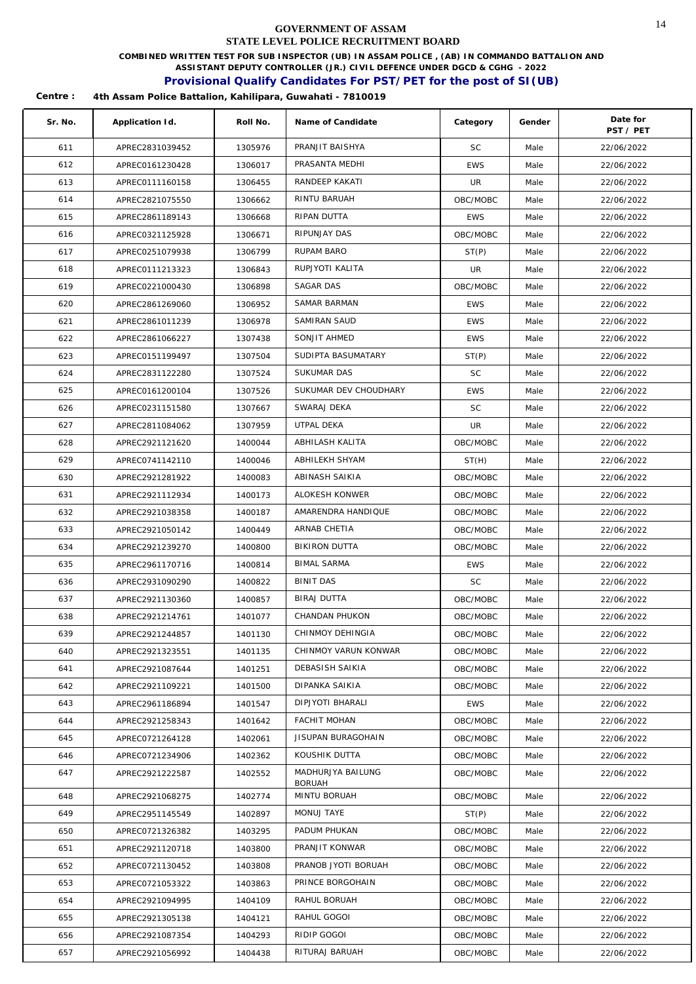**COMBINED WRITTEN TEST FOR SUB INSPECTOR (UB) IN ASSAM POLICE , (AB) IN COMMANDO BATTALION AND** 

**ASSISTANT DEPUTY CONTROLLER (JR.) CIVIL DEFENCE UNDER DGCD & CGHG - 2022** 

## **Provisional Qualify Candidates For PST/PET for the post of SI(UB)**

| Sr. No. | Application Id. | Roll No. | Name of Candidate         | Category   | Gender | Date for<br>PST / PET |
|---------|-----------------|----------|---------------------------|------------|--------|-----------------------|
| 611     | APREC2831039452 | 1305976  | PRANJIT BAISHYA           | <b>SC</b>  | Male   | 22/06/2022            |
| 612     | APREC0161230428 | 1306017  | PRASANTA MEDHI            | <b>EWS</b> | Male   | 22/06/2022            |
| 613     | APREC0111160158 | 1306455  | RANDEEP KAKATI            | UR         | Male   | 22/06/2022            |
| 614     | APREC2821075550 | 1306662  | RINTU BARUAH              | OBC/MOBC   | Male   | 22/06/2022            |
| 615     | APREC2861189143 | 1306668  | RIPAN DUTTA               | <b>EWS</b> | Male   | 22/06/2022            |
| 616     | APREC0321125928 | 1306671  | RIPUNJAY DAS              | OBC/MOBC   | Male   | 22/06/2022            |
| 617     | APREC0251079938 | 1306799  | RUPAM BARO                | ST(P)      | Male   | 22/06/2022            |
| 618     | APREC0111213323 | 1306843  | RUPJYOTI KALITA           | <b>UR</b>  | Male   | 22/06/2022            |
| 619     | APREC0221000430 | 1306898  | SAGAR DAS                 | OBC/MOBC   | Male   | 22/06/2022            |
| 620     | APREC2861269060 | 1306952  | SAMAR BARMAN              | <b>EWS</b> | Male   | 22/06/2022            |
| 621     | APREC2861011239 | 1306978  | SAMIRAN SAUD              | <b>EWS</b> | Male   | 22/06/2022            |
| 622     | APREC2861066227 | 1307438  | SONJIT AHMED              | <b>EWS</b> | Male   | 22/06/2022            |
| 623     | APREC0151199497 | 1307504  | SUDIPTA BASUMATARY        | ST(P)      | Male   | 22/06/2022            |
| 624     | APREC2831122280 | 1307524  | <b>SUKUMAR DAS</b>        | <b>SC</b>  | Male   | 22/06/2022            |
| 625     | APREC0161200104 | 1307526  | SUKUMAR DEV CHOUDHARY     | <b>EWS</b> | Male   | 22/06/2022            |
| 626     | APREC0231151580 | 1307667  | SWARAJ DEKA               | <b>SC</b>  | Male   | 22/06/2022            |
| 627     | APREC2811084062 | 1307959  | UTPAL DEKA                | UR         | Male   | 22/06/2022            |
| 628     | APREC2921121620 | 1400044  | ABHILASH KALITA           | OBC/MOBC   | Male   | 22/06/2022            |
| 629     | APREC0741142110 | 1400046  | ABHILEKH SHYAM            | ST(H)      | Male   | 22/06/2022            |
| 630     | APREC2921281922 | 1400083  | ABINASH SAIKIA            | OBC/MOBC   | Male   | 22/06/2022            |
| 631     | APREC2921112934 | 1400173  | ALOKESH KONWER            | OBC/MOBC   | Male   | 22/06/2022            |
| 632     | APREC2921038358 | 1400187  | AMARENDRA HANDIQUE        | OBC/MOBC   | Male   | 22/06/2022            |
| 633     | APREC2921050142 | 1400449  | ARNAB CHETIA              | OBC/MOBC   | Male   | 22/06/2022            |
| 634     | APREC2921239270 | 1400800  | BIKIRON DUTTA             | OBC/MOBC   | Male   | 22/06/2022            |
| 635     | APREC2961170716 | 1400814  | <b>BIMAL SARMA</b>        | <b>EWS</b> | Male   | 22/06/2022            |
| 636     | APREC2931090290 | 1400822  | <b>BINIT DAS</b>          | SC         | Male   | 22/06/2022            |
| 637     | APREC2921130360 | 1400857  | BIRAJ DUTTA               | OBC/MOBC   | Male   | 22/06/2022            |
| 638     | APREC2921214761 | 1401077  | CHANDAN PHUKON            | OBC/MOBC   | Male   | 22/06/2022            |
| 639     | APREC2921244857 | 1401130  | CHINMOY DEHINGIA          | OBC/MOBC   | Male   | 22/06/2022            |
| 640     | APREC2921323551 | 1401135  | CHINMOY VARUN KONWAR      | OBC/MOBC   | Male   | 22/06/2022            |
| 641     | APREC2921087644 | 1401251  | DEBASISH SAIKIA           | OBC/MOBC   | Male   | 22/06/2022            |
| 642     | APREC2921109221 | 1401500  | DIPANKA SAIKIA            | OBC/MOBC   | Male   | 22/06/2022            |
| 643     | APREC2961186894 | 1401547  | DIPJYOTI BHARALI          | EWS        | Male   | 22/06/2022            |
| 644     | APREC2921258343 | 1401642  | <b>FACHIT MOHAN</b>       | OBC/MOBC   | Male   | 22/06/2022            |
| 645     | APREC0721264128 | 1402061  | <b>JISUPAN BURAGOHAIN</b> | OBC/MOBC   | Male   | 22/06/2022            |
| 646     | APREC0721234906 | 1402362  | KOUSHIK DUTTA             | OBC/MOBC   | Male   | 22/06/2022            |
| 647     | APREC2921222587 | 1402552  | MADHURJYA BAILUNG         | OBC/MOBC   | Male   | 22/06/2022            |
| 648     | APREC2921068275 | 1402774  | BORUAH<br>MINTU BORUAH    | OBC/MOBC   | Male   | 22/06/2022            |
| 649     | APREC2951145549 | 1402897  | MONUJ TAYE                | ST(P)      | Male   | 22/06/2022            |
| 650     | APREC0721326382 | 1403295  | PADUM PHUKAN              | OBC/MOBC   | Male   | 22/06/2022            |
| 651     | APREC2921120718 | 1403800  | PRANJIT KONWAR            | OBC/MOBC   | Male   | 22/06/2022            |
| 652     | APREC0721130452 | 1403808  | PRANOB JYOTI BORUAH       | OBC/MOBC   | Male   | 22/06/2022            |
| 653     | APREC0721053322 | 1403863  | PRINCE BORGOHAIN          | OBC/MOBC   | Male   | 22/06/2022            |
| 654     | APREC2921094995 | 1404109  | RAHUL BORUAH              | OBC/MOBC   | Male   | 22/06/2022            |
| 655     | APREC2921305138 | 1404121  | RAHUL GOGOI               | OBC/MOBC   | Male   | 22/06/2022            |
| 656     | APREC2921087354 | 1404293  | RIDIP GOGOI               | OBC/MOBC   | Male   | 22/06/2022            |
| 657     | APREC2921056992 | 1404438  | RITURAJ BARUAH            | OBC/MOBC   | Male   | 22/06/2022            |
|         |                 |          |                           |            |        |                       |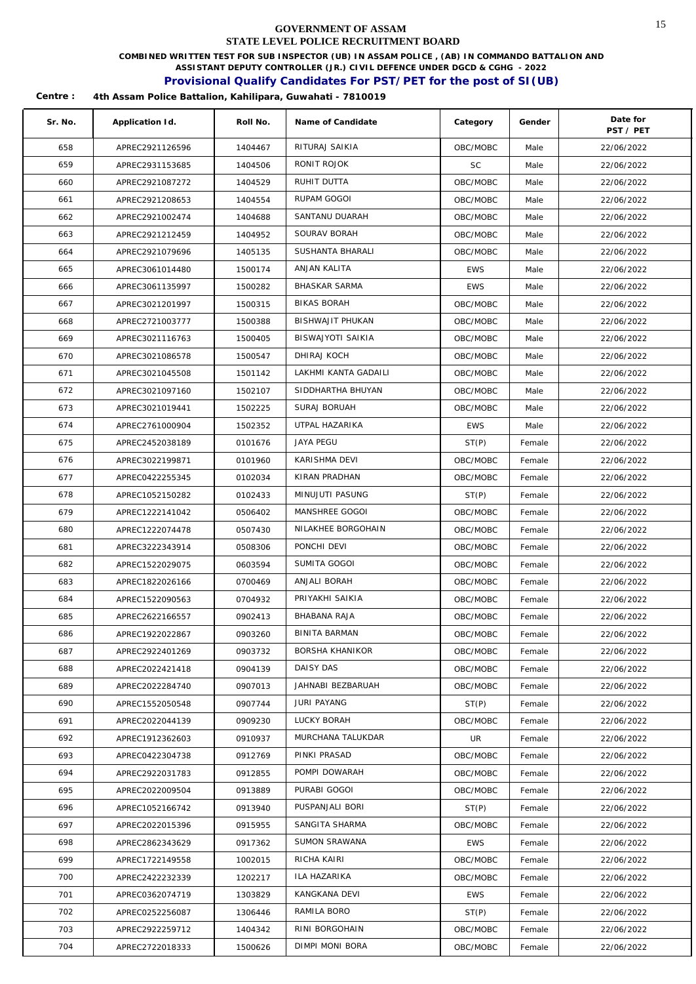**COMBINED WRITTEN TEST FOR SUB INSPECTOR (UB) IN ASSAM POLICE , (AB) IN COMMANDO BATTALION AND** 

**ASSISTANT DEPUTY CONTROLLER (JR.) CIVIL DEFENCE UNDER DGCD & CGHG - 2022** 

## **Provisional Qualify Candidates For PST/PET for the post of SI(UB)**

| Sr. No. | Application Id. | Roll No. | Name of Candidate    | Category   | Gender | Date for<br>PST / PET |
|---------|-----------------|----------|----------------------|------------|--------|-----------------------|
| 658     | APREC2921126596 | 1404467  | RITURAJ SAIKIA       | OBC/MOBC   | Male   | 22/06/2022            |
| 659     | APREC2931153685 | 1404506  | RONIT ROJOK          | <b>SC</b>  | Male   | 22/06/2022            |
| 660     | APREC2921087272 | 1404529  | RUHIT DUTTA          | OBC/MOBC   | Male   | 22/06/2022            |
| 661     | APREC2921208653 | 1404554  | RUPAM GOGOI          | OBC/MOBC   | Male   | 22/06/2022            |
| 662     | APREC2921002474 | 1404688  | SANTANU DUARAH       | OBC/MOBC   | Male   | 22/06/2022            |
| 663     | APREC2921212459 | 1404952  | SOURAV BORAH         | OBC/MOBC   | Male   | 22/06/2022            |
| 664     | APREC2921079696 | 1405135  | SUSHANTA BHARALI     | OBC/MOBC   | Male   | 22/06/2022            |
| 665     | APREC3061014480 | 1500174  | ANJAN KALITA         | <b>EWS</b> | Male   | 22/06/2022            |
| 666     | APREC3061135997 | 1500282  | <b>BHASKAR SARMA</b> | <b>EWS</b> | Male   | 22/06/2022            |
| 667     | APREC3021201997 | 1500315  | <b>BIKAS BORAH</b>   | OBC/MOBC   | Male   | 22/06/2022            |
| 668     | APREC2721003777 | 1500388  | BISHWAJIT PHUKAN     | OBC/MOBC   | Male   | 22/06/2022            |
| 669     | APREC3021116763 | 1500405  | BISWAJYOTI SAIKIA    | OBC/MOBC   | Male   | 22/06/2022            |
| 670     | APREC3021086578 | 1500547  | DHIRAJ KOCH          | OBC/MOBC   | Male   | 22/06/2022            |
| 671     | APREC3021045508 | 1501142  | LAKHMI KANTA GADAILI | OBC/MOBC   | Male   | 22/06/2022            |
| 672     | APREC3021097160 | 1502107  | SIDDHARTHA BHUYAN    | OBC/MOBC   | Male   | 22/06/2022            |
| 673     | APREC3021019441 | 1502225  | SURAJ BORUAH         | OBC/MOBC   | Male   | 22/06/2022            |
| 674     | APREC2761000904 | 1502352  | UTPAL HAZARIKA       | <b>EWS</b> | Male   | 22/06/2022            |
| 675     | APREC2452038189 | 0101676  | <b>JAYA PEGU</b>     | ST(P)      | Female | 22/06/2022            |
| 676     | APREC3022199871 | 0101960  | KARISHMA DEVI        | OBC/MOBC   | Female | 22/06/2022            |
| 677     | APREC0422255345 | 0102034  | KIRAN PRADHAN        | OBC/MOBC   | Female | 22/06/2022            |
| 678     | APREC1052150282 | 0102433  | MINUJUTI PASUNG      | ST(P)      | Female | 22/06/2022            |
| 679     | APREC1222141042 | 0506402  | MANSHREE GOGOI       | OBC/MOBC   | Female | 22/06/2022            |
| 680     | APREC1222074478 | 0507430  | NILAKHEE BORGOHAIN   | OBC/MOBC   | Female | 22/06/2022            |
| 681     | APREC3222343914 | 0508306  | PONCHI DEVI          | OBC/MOBC   | Female | 22/06/2022            |
| 682     | APREC1522029075 | 0603594  | SUMITA GOGOI         | OBC/MOBC   | Female | 22/06/2022            |
| 683     | APREC1822026166 | 0700469  | ANJALI BORAH         | OBC/MOBC   | Female | 22/06/2022            |
| 684     | APREC1522090563 | 0704932  | PRIYAKHI SAIKIA      | OBC/MOBC   | Female | 22/06/2022            |
| 685     | APREC2622166557 | 0902413  | BHABANA RAJA         | OBC/MOBC   | Female | 22/06/2022            |
| 686     | APREC1922022867 | 0903260  | BINITA BARMAN        | OBC/MOBC   | Female | 22/06/2022            |
| 687     | APREC2922401269 | 0903732  | BORSHA KHANIKOR      | OBC/MOBC   | Female | 22/06/2022            |
| 688     | APREC2022421418 | 0904139  | DAISY DAS            | OBC/MOBC   | Female | 22/06/2022            |
| 689     | APREC2022284740 | 0907013  | JAHNABI BEZBARUAH    | OBC/MOBC   | Female | 22/06/2022            |
| 690     | APREC1552050548 | 0907744  | JURI PAYANG          | ST(P)      | Female | 22/06/2022            |
| 691     | APREC2022044139 | 0909230  | LUCKY BORAH          | OBC/MOBC   | Female | 22/06/2022            |
| 692     | APREC1912362603 | 0910937  | MURCHANA TALUKDAR    | UR         | Female | 22/06/2022            |
| 693     | APREC0422304738 | 0912769  | PINKI PRASAD         | OBC/MOBC   | Female | 22/06/2022            |
| 694     | APREC2922031783 | 0912855  | POMPI DOWARAH        | OBC/MOBC   | Female | 22/06/2022            |
| 695     | APREC2022009504 | 0913889  | PURABI GOGOI         | OBC/MOBC   | Female | 22/06/2022            |
| 696     | APREC1052166742 | 0913940  | PUSPANJALI BORI      | ST(P)      | Female | 22/06/2022            |
| 697     | APREC2022015396 | 0915955  | SANGITA SHARMA       | OBC/MOBC   | Female | 22/06/2022            |
| 698     | APREC2862343629 | 0917362  | SUMON SRAWANA        | <b>EWS</b> | Female | 22/06/2022            |
| 699     | APREC1722149558 | 1002015  | RICHA KAIRI          | OBC/MOBC   | Female | 22/06/2022            |
| 700     | APREC2422232339 | 1202217  | ILA HAZARIKA         | OBC/MOBC   | Female | 22/06/2022            |
| 701     | APREC0362074719 | 1303829  | KANGKANA DEVI        | <b>EWS</b> | Female | 22/06/2022            |
| 702     | APREC0252256087 | 1306446  | RAMILA BORO          | ST(P)      | Female | 22/06/2022            |
| 703     | APREC2922259712 | 1404342  | RINI BORGOHAIN       | OBC/MOBC   | Female | 22/06/2022            |
| 704     | APREC2722018333 | 1500626  | DIMPI MONI BORA      | OBC/MOBC   | Female | 22/06/2022            |
|         |                 |          |                      |            |        |                       |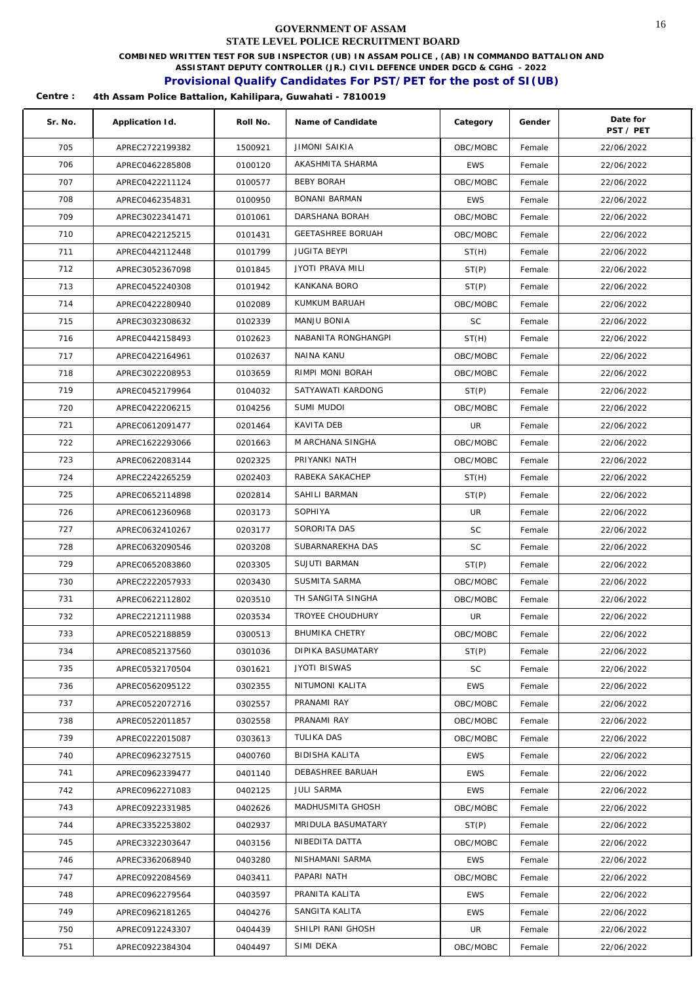**COMBINED WRITTEN TEST FOR SUB INSPECTOR (UB) IN ASSAM POLICE , (AB) IN COMMANDO BATTALION AND** 

**ASSISTANT DEPUTY CONTROLLER (JR.) CIVIL DEFENCE UNDER DGCD & CGHG - 2022** 

## **Provisional Qualify Candidates For PST/PET for the post of SI(UB)**

| Sr. No.    | Application Id.                    | Roll No.           | Name of Candidate          | Category                 | Gender           | Date for<br>PST / PET    |
|------------|------------------------------------|--------------------|----------------------------|--------------------------|------------------|--------------------------|
| 705        | APREC2722199382                    | 1500921            | <b>JIMONI SAIKIA</b>       | OBC/MOBC                 | Female           | 22/06/2022               |
| 706        | APREC0462285808                    | 0100120            | AKASHMITA SHARMA           | <b>EWS</b>               | Female           | 22/06/2022               |
| 707        | APREC0422211124                    | 0100577            | <b>BEBY BORAH</b>          | OBC/MOBC                 | Female           | 22/06/2022               |
| 708        | APREC0462354831                    | 0100950            | BONANI BARMAN              | <b>EWS</b>               | Female           | 22/06/2022               |
| 709        | APREC3022341471                    | 0101061            | DARSHANA BORAH             | OBC/MOBC                 | Female           | 22/06/2022               |
| 710        | APREC0422125215                    | 0101431            | <b>GEETASHREE BORUAH</b>   | OBC/MOBC                 | Female           | 22/06/2022               |
| 711        | APREC0442112448                    | 0101799            | <b>JUGITA BEYPI</b>        | ST(H)                    | Female           | 22/06/2022               |
| 712        | APREC3052367098                    | 0101845            | <b>JYOTI PRAVA MILI</b>    | ST(P)                    | Female           | 22/06/2022               |
| 713        | APREC0452240308                    | 0101942            | KANKANA BORO               | ST(P)                    | Female           | 22/06/2022               |
| 714        | APREC0422280940                    | 0102089            | KUMKUM BARUAH              | OBC/MOBC                 | Female           | 22/06/2022               |
| 715        | APREC3032308632                    | 0102339            | MANJU BONIA                | <b>SC</b>                | Female           | 22/06/2022               |
| 716        | APREC0442158493                    | 0102623            | NABANITA RONGHANGPI        | ST(H)                    | Female           | 22/06/2022               |
| 717        | APREC0422164961                    | 0102637            | NAINA KANU                 | OBC/MOBC                 | Female           | 22/06/2022               |
| 718        | APREC3022208953                    | 0103659            | RIMPI MONI BORAH           | OBC/MOBC                 | Female           | 22/06/2022               |
| 719        | APREC0452179964                    | 0104032            | SATYAWATI KARDONG          | ST(P)                    | Female           | 22/06/2022               |
| 720        | APREC0422206215                    | 0104256            | SUMI MUDOI                 | OBC/MOBC                 | Female           | 22/06/2022               |
| 721        | APREC0612091477                    | 0201464            | KAVITA DEB                 | UR                       | Female           | 22/06/2022               |
| 722        | APREC1622293066                    | 0201663            | M ARCHANA SINGHA           | OBC/MOBC                 | Female           | 22/06/2022               |
| 723        | APREC0622083144                    | 0202325            | PRIYANKI NATH              | OBC/MOBC                 | Female           | 22/06/2022               |
| 724        | APREC2242265259                    | 0202403            | RABEKA SAKACHEP            | ST(H)                    | Female           | 22/06/2022               |
| 725        | APREC0652114898                    | 0202814            | SAHILI BARMAN              | ST(P)                    | Female           | 22/06/2022               |
| 726        | APREC0612360968                    | 0203173            | SOPHIYA                    | UR                       | Female           | 22/06/2022               |
| 727        | APREC0632410267                    | 0203177            | SORORITA DAS               | <b>SC</b>                | Female           | 22/06/2022               |
| 728        | APREC0632090546                    | 0203208            | SUBARNAREKHA DAS           | <b>SC</b>                | Female           | 22/06/2022               |
| 729        | APREC0652083860                    | 0203305            | SUJUTI BARMAN              | ST(P)                    | Female           | 22/06/2022               |
| 730        | APREC2222057933                    | 0203430            | SUSMITA SARMA              | OBC/MOBC                 |                  |                          |
| 731        | APREC0622112802                    |                    | TH SANGITA SINGHA          | OBC/MOBC                 | Female           | 22/06/2022               |
|            |                                    | 0203510            | TROYEE CHOUDHURY           |                          | Female           | 22/06/2022               |
| 732        | APREC2212111988                    | 0203534            | BHUMIKA CHETRY             | UR                       | Female           | 22/06/2022               |
| 733        | APREC0522188859                    | 0300513            | DIPIKA BASUMATARY          | OBC/MOBC                 | Female           | 22/06/2022               |
| 734        | APREC0852137560                    | 0301036            | <b>JYOTI BISWAS</b>        | ST(P)                    | Female           | 22/06/2022               |
| 735        | APREC0532170504                    | 0301621            | NITUMONI KALITA            | <b>SC</b>                | Female           | 22/06/2022               |
| 736        | APREC0562095122                    | 0302355            |                            | <b>EWS</b>               | Female           | 22/06/2022               |
| 737<br>738 | APREC0522072716<br>APREC0522011857 | 0302557<br>0302558 | PRANAMI RAY<br>PRANAMI RAY | OBC/MOBC<br>OBC/MOBC     | Female<br>Female | 22/06/2022<br>22/06/2022 |
|            |                                    |                    | TULIKA DAS                 |                          |                  |                          |
| 739<br>740 | APREC0222015087                    | 0303613            | <b>BIDISHA KALITA</b>      | OBC/MOBC                 | Female           | 22/06/2022               |
|            | APREC0962327515                    | 0400760<br>0401140 | DEBASHREE BARUAH           | <b>EWS</b><br><b>EWS</b> | Female           | 22/06/2022<br>22/06/2022 |
| 741        | APREC0962339477                    |                    | <b>JULI SARMA</b>          |                          | Female           |                          |
| 742        | APREC0962271083                    | 0402125            | MADHUSMITA GHOSH           | <b>EWS</b>               | Female           | 22/06/2022               |
| 743        | APREC0922331985                    | 0402626            |                            | OBC/MOBC                 | Female           | 22/06/2022               |
| 744        | APREC3352253802                    | 0402937            | MRIDULA BASUMATARY         | ST(P)                    | Female           | 22/06/2022               |
| 745        | APREC3322303647                    | 0403156            | NIBEDITA DATTA             | OBC/MOBC                 | Female           | 22/06/2022               |
| 746        | APREC3362068940                    | 0403280            | NISHAMANI SARMA            | <b>EWS</b>               | Female           | 22/06/2022               |
| 747        | APREC0922084569                    | 0403411            | PAPARI NATH                | OBC/MOBC                 | Female           | 22/06/2022               |
| 748        | APREC0962279564                    | 0403597            | PRANITA KALITA             | <b>EWS</b>               | Female           | 22/06/2022               |
| 749        | APREC0962181265                    | 0404276            | SANGITA KALITA             | <b>EWS</b>               | Female           | 22/06/2022               |
| 750        | APREC0912243307                    | 0404439            | SHILPI RANI GHOSH          | UR                       | Female           | 22/06/2022               |
| 751        | APREC0922384304                    | 0404497            | SIMI DEKA                  | OBC/MOBC                 | Female           | 22/06/2022               |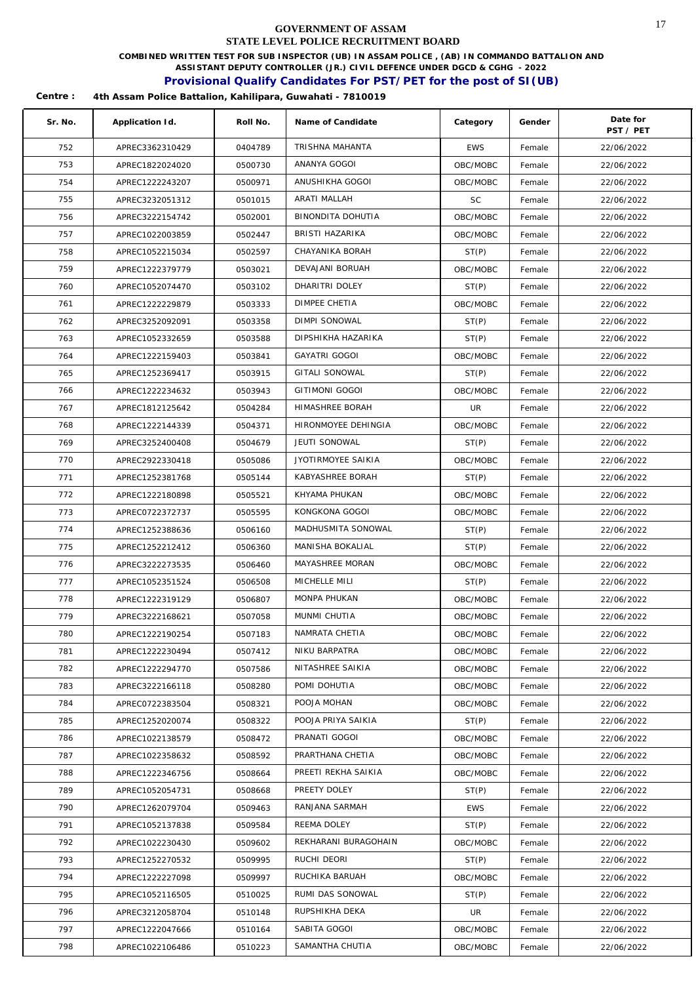**COMBINED WRITTEN TEST FOR SUB INSPECTOR (UB) IN ASSAM POLICE , (AB) IN COMMANDO BATTALION AND** 

**ASSISTANT DEPUTY CONTROLLER (JR.) CIVIL DEFENCE UNDER DGCD & CGHG - 2022** 

## **Provisional Qualify Candidates For PST/PET for the post of SI(UB)**

| Sr. No. | Application Id. | Roll No. | Name of Candidate    | Category   | Gender | Date for<br>PST / PET |
|---------|-----------------|----------|----------------------|------------|--------|-----------------------|
| 752     | APREC3362310429 | 0404789  | TRISHNA MAHANTA      | <b>EWS</b> | Female | 22/06/2022            |
| 753     | APREC1822024020 | 0500730  | ANANYA GOGOI         | OBC/MOBC   | Female | 22/06/2022            |
| 754     | APREC1222243207 | 0500971  | ANUSHIKHA GOGOI      | OBC/MOBC   | Female | 22/06/2022            |
| 755     | APREC3232051312 | 0501015  | ARATI MALLAH         | <b>SC</b>  | Female | 22/06/2022            |
| 756     | APREC3222154742 | 0502001  | BINONDITA DOHUTIA    | OBC/MOBC   | Female | 22/06/2022            |
| 757     | APREC1022003859 | 0502447  | BRISTI HAZARIKA      | OBC/MOBC   | Female | 22/06/2022            |
| 758     | APREC1052215034 | 0502597  | CHAYANIKA BORAH      | ST(P)      | Female | 22/06/2022            |
| 759     | APREC1222379779 | 0503021  | DEVAJANI BORUAH      | OBC/MOBC   | Female | 22/06/2022            |
| 760     | APREC1052074470 | 0503102  | DHARITRI DOLEY       | ST(P)      | Female | 22/06/2022            |
| 761     | APREC1222229879 | 0503333  | DIMPEE CHETIA        | OBC/MOBC   | Female | 22/06/2022            |
| 762     | APREC3252092091 | 0503358  | DIMPI SONOWAL        | ST(P)      | Female | 22/06/2022            |
| 763     | APREC1052332659 | 0503588  | DIPSHIKHA HAZARIKA   | ST(P)      | Female | 22/06/2022            |
| 764     | APREC1222159403 | 0503841  | <b>GAYATRI GOGOI</b> | OBC/MOBC   | Female | 22/06/2022            |
| 765     | APREC1252369417 | 0503915  | GITALI SONOWAL       | ST(P)      | Female | 22/06/2022            |
| 766     | APREC1222234632 | 0503943  | GITIMONI GOGOI       | OBC/MOBC   | Female | 22/06/2022            |
| 767     | APREC1812125642 | 0504284  | HIMASHREE BORAH      | UR         | Female | 22/06/2022            |
| 768     | APREC1222144339 | 0504371  | HIRONMOYEE DEHINGIA  | OBC/MOBC   | Female | 22/06/2022            |
| 769     | APREC3252400408 | 0504679  | JEUTI SONOWAL        | ST(P)      | Female | 22/06/2022            |
| 770     | APREC2922330418 | 0505086  | JYOTIRMOYEE SAIKIA   | OBC/MOBC   | Female | 22/06/2022            |
| 771     | APREC1252381768 | 0505144  | KABYASHREE BORAH     | ST(P)      | Female | 22/06/2022            |
| 772     | APREC1222180898 | 0505521  | KHYAMA PHUKAN        | OBC/MOBC   | Female | 22/06/2022            |
| 773     | APREC0722372737 | 0505595  | KONGKONA GOGOI       | OBC/MOBC   | Female | 22/06/2022            |
| 774     | APREC1252388636 | 0506160  | MADHUSMITA SONOWAL   | ST(P)      | Female | 22/06/2022            |
| 775     | APREC1252212412 | 0506360  | MANISHA BOKALIAL     | ST(P)      | Female | 22/06/2022            |
| 776     | APREC3222273535 | 0506460  | MAYASHREE MORAN      | OBC/MOBC   | Female | 22/06/2022            |
| 777     | APREC1052351524 | 0506508  | MICHELLE MILI        | ST(P)      | Female | 22/06/2022            |
| 778     | APREC1222319129 | 0506807  | MONPA PHUKAN         | OBC/MOBC   | Female | 22/06/2022            |
| 779     | APREC3222168621 | 0507058  | MUNMI CHUTIA         | OBC/MOBC   | Female | 22/06/2022            |
| 780     | APREC1222190254 | 0507183  | NAMRATA CHETIA       | OBC/MOBC   | Female | 22/06/2022            |
| 781     | APREC1222230494 | 0507412  | NIKU BARPATRA        | OBC/MOBC   | Female | 22/06/2022            |
| 782     | APREC1222294770 | 0507586  | NITASHREE SAIKIA     | OBC/MOBC   | Female | 22/06/2022            |
| 783     | APREC3222166118 | 0508280  | POMI DOHUTIA         | OBC/MOBC   | Female | 22/06/2022            |
| 784     | APREC0722383504 | 0508321  | POOJA MOHAN          | OBC/MOBC   | Female | 22/06/2022            |
| 785     | APREC1252020074 | 0508322  | POOJA PRIYA SAIKIA   | ST(P)      | Female | 22/06/2022            |
| 786     | APREC1022138579 | 0508472  | PRANATI GOGOI        | OBC/MOBC   | Female | 22/06/2022            |
| 787     | APREC1022358632 | 0508592  | PRARTHANA CHETIA     | OBC/MOBC   | Female | 22/06/2022            |
| 788     | APREC1222346756 | 0508664  | PREETI REKHA SAIKIA  | OBC/MOBC   | Female | 22/06/2022            |
| 789     | APREC1052054731 | 0508668  | PREETY DOLEY         | ST(P)      | Female | 22/06/2022            |
| 790     | APREC1262079704 | 0509463  | RANJANA SARMAH       | EWS        | Female | 22/06/2022            |
| 791     | APREC1052137838 | 0509584  | REEMA DOLEY          | ST(P)      | Female | 22/06/2022            |
| 792     | APREC1022230430 | 0509602  | REKHARANI BURAGOHAIN | OBC/MOBC   | Female | 22/06/2022            |
| 793     | APREC1252270532 | 0509995  | RUCHI DEORI          | ST(P)      | Female | 22/06/2022            |
| 794     | APREC1222227098 | 0509997  | RUCHIKA BARUAH       | OBC/MOBC   | Female | 22/06/2022            |
| 795     | APREC1052116505 | 0510025  | RUMI DAS SONOWAL     | ST(P)      | Female | 22/06/2022            |
| 796     | APREC3212058704 | 0510148  | RUPSHIKHA DEKA       | UR.        | Female | 22/06/2022            |
| 797     | APREC1222047666 | 0510164  | SABITA GOGOI         | OBC/MOBC   | Female | 22/06/2022            |
| 798     | APREC1022106486 | 0510223  | SAMANTHA CHUTIA      | OBC/MOBC   | Female | 22/06/2022            |
|         |                 |          |                      |            |        |                       |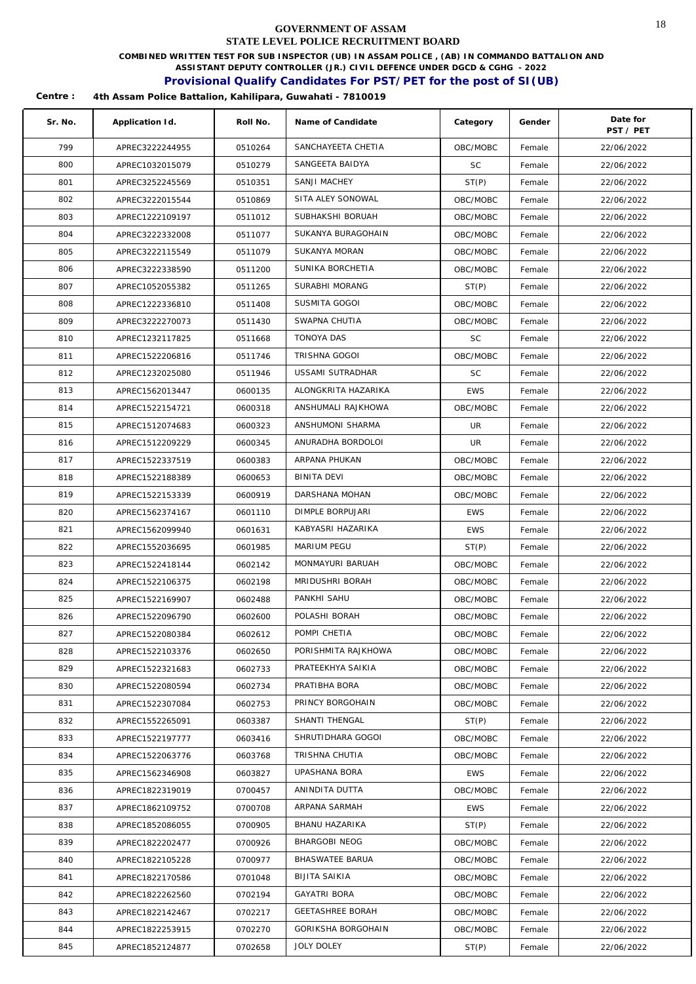**COMBINED WRITTEN TEST FOR SUB INSPECTOR (UB) IN ASSAM POLICE , (AB) IN COMMANDO BATTALION AND** 

**ASSISTANT DEPUTY CONTROLLER (JR.) CIVIL DEFENCE UNDER DGCD & CGHG - 2022** 

## **Provisional Qualify Candidates For PST/PET for the post of SI(UB)**

| Sr. No. | Application Id. | Roll No. | Name of Candidate       | Category   | Gender | Date for<br>PST / PET |
|---------|-----------------|----------|-------------------------|------------|--------|-----------------------|
| 799     | APREC3222244955 | 0510264  | SANCHAYEETA CHETIA      | OBC/MOBC   | Female | 22/06/2022            |
| 800     | APREC1032015079 | 0510279  | SANGEETA BAIDYA         | <b>SC</b>  | Female | 22/06/2022            |
| 801     | APREC3252245569 | 0510351  | SANJI MACHEY            | ST(P)      | Female | 22/06/2022            |
| 802     | APREC3222015544 | 0510869  | SITA ALEY SONOWAL       | OBC/MOBC   | Female | 22/06/2022            |
| 803     | APREC1222109197 | 0511012  | SUBHAKSHI BORUAH        | OBC/MOBC   | Female | 22/06/2022            |
| 804     | APREC3222332008 | 0511077  | SUKANYA BURAGOHAIN      | OBC/MOBC   | Female | 22/06/2022            |
| 805     | APREC3222115549 | 0511079  | <b>SUKANYA MORAN</b>    | OBC/MOBC   | Female | 22/06/2022            |
| 806     | APREC3222338590 | 0511200  | SUNIKA BORCHETIA        | OBC/MOBC   | Female | 22/06/2022            |
| 807     | APREC1052055382 | 0511265  | SURABHI MORANG          | ST(P)      | Female | 22/06/2022            |
| 808     | APREC1222336810 | 0511408  | SUSMITA GOGOI           | OBC/MOBC   | Female | 22/06/2022            |
| 809     | APREC3222270073 | 0511430  | SWAPNA CHUTIA           | OBC/MOBC   | Female | 22/06/2022            |
| 810     | APREC1232117825 | 0511668  | <b>TONOYA DAS</b>       | <b>SC</b>  | Female | 22/06/2022            |
| 811     | APREC1522206816 | 0511746  | <b>TRISHNA GOGOI</b>    | OBC/MOBC   | Female | 22/06/2022            |
| 812     | APREC1232025080 | 0511946  | USSAMI SUTRADHAR        | <b>SC</b>  | Female | 22/06/2022            |
| 813     | APREC1562013447 | 0600135  | ALONGKRITA HAZARIKA     | <b>EWS</b> | Female | 22/06/2022            |
| 814     | APREC1522154721 | 0600318  | ANSHUMALI RAJKHOWA      | OBC/MOBC   | Female | 22/06/2022            |
| 815     | APREC1512074683 | 0600323  | ANSHUMONI SHARMA        | UR         | Female | 22/06/2022            |
| 816     | APREC1512209229 | 0600345  | ANURADHA BORDOLOI       | UR         | Female | 22/06/2022            |
| 817     | APREC1522337519 | 0600383  | ARPANA PHUKAN           | OBC/MOBC   | Female | 22/06/2022            |
| 818     | APREC1522188389 | 0600653  | BINITA DEVI             | OBC/MOBC   | Female | 22/06/2022            |
| 819     | APREC1522153339 | 0600919  | DARSHANA MOHAN          | OBC/MOBC   | Female | 22/06/2022            |
| 820     | APREC1562374167 | 0601110  | DIMPLE BORPUJARI        | <b>EWS</b> | Female | 22/06/2022            |
| 821     | APREC1562099940 | 0601631  | KABYASRI HAZARIKA       | <b>EWS</b> | Female | 22/06/2022            |
| 822     | APREC1552036695 | 0601985  | MARIUM PEGU             | ST(P)      | Female | 22/06/2022            |
| 823     | APREC1522418144 | 0602142  | MONMAYURI BARUAH        | OBC/MOBC   | Female | 22/06/2022            |
| 824     | APREC1522106375 | 0602198  | MRIDUSHRI BORAH         | OBC/MOBC   | Female | 22/06/2022            |
| 825     | APREC1522169907 | 0602488  | PANKHI SAHU             | OBC/MOBC   | Female | 22/06/2022            |
| 826     | APREC1522096790 | 0602600  | POLASHI BORAH           | OBC/MOBC   | Female | 22/06/2022            |
| 827     | APREC1522080384 | 0602612  | POMPI CHETIA            | OBC/MOBC   | Female | 22/06/2022            |
| 828     | APREC1522103376 | 0602650  | PORISHMITA RAJKHOWA     | OBC/MOBC   | Female | 22/06/2022            |
| 829     | APREC1522321683 | 0602733  | PRATEEKHYA SAIKIA       | OBC/MOBC   | Female | 22/06/2022            |
| 830     | APREC1522080594 | 0602734  | PRATIBHA BORA           | OBC/MOBC   | Female | 22/06/2022            |
| 831     | APREC1522307084 | 0602753  | PRINCY BORGOHAIN        | OBC/MOBC   | Female | 22/06/2022            |
| 832     | APREC1552265091 | 0603387  | SHANTI THENGAL          | ST(P)      | Female | 22/06/2022            |
| 833     | APREC1522197777 | 0603416  | SHRUTIDHARA GOGOI       | OBC/MOBC   | Female | 22/06/2022            |
| 834     | APREC1522063776 | 0603768  | TRISHNA CHUTIA          | OBC/MOBC   | Female | 22/06/2022            |
| 835     | APREC1562346908 | 0603827  | UPASHANA BORA           | EWS        | Female | 22/06/2022            |
| 836     | APREC1822319019 | 0700457  | ANINDITA DUTTA          | OBC/MOBC   | Female | 22/06/2022            |
| 837     | APREC1862109752 | 0700708  | ARPANA SARMAH           | <b>EWS</b> | Female | 22/06/2022            |
| 838     | APREC1852086055 | 0700905  | BHANU HAZARIKA          | ST(P)      | Female | 22/06/2022            |
| 839     | APREC1822202477 | 0700926  | BHARGOBI NEOG           | OBC/MOBC   | Female | 22/06/2022            |
| 840     | APREC1822105228 | 0700977  | BHASWATEE BARUA         | OBC/MOBC   | Female | 22/06/2022            |
| 841     | APREC1822170586 | 0701048  | BIJITA SAIKIA           | OBC/MOBC   | Female | 22/06/2022            |
| 842     | APREC1822262560 | 0702194  | <b>GAYATRI BORA</b>     | OBC/MOBC   | Female | 22/06/2022            |
| 843     | APREC1822142467 | 0702217  | <b>GEETASHREE BORAH</b> | OBC/MOBC   | Female | 22/06/2022            |
| 844     | APREC1822253915 | 0702270  | GORIKSHA BORGOHAIN      | OBC/MOBC   | Female | 22/06/2022            |
| 845     | APREC1852124877 | 0702658  | JOLY DOLEY              | ST(P)      | Female | 22/06/2022            |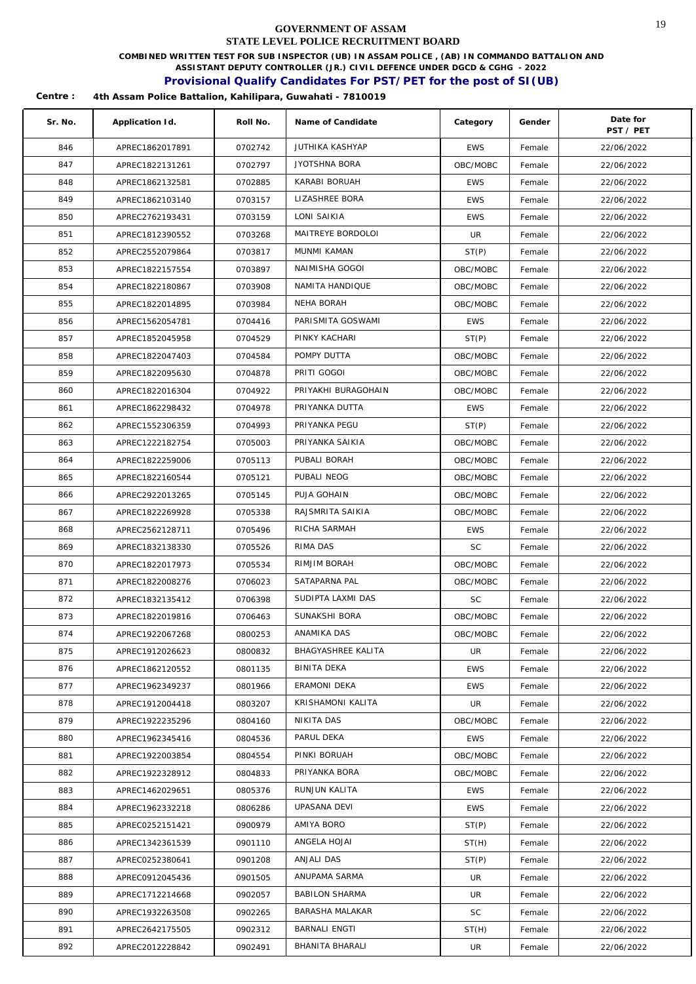**COMBINED WRITTEN TEST FOR SUB INSPECTOR (UB) IN ASSAM POLICE , (AB) IN COMMANDO BATTALION AND** 

**ASSISTANT DEPUTY CONTROLLER (JR.) CIVIL DEFENCE UNDER DGCD & CGHG - 2022** 

### **Provisional Qualify Candidates For PST/PET for the post of SI(UB)**

| Sr. No. | Application Id. | Roll No. | Name of Candidate      | Category   | Gender | Date for<br>PST / PET |
|---------|-----------------|----------|------------------------|------------|--------|-----------------------|
| 846     | APREC1862017891 | 0702742  | <b>JUTHIKA KASHYAP</b> | <b>EWS</b> | Female | 22/06/2022            |
| 847     | APREC1822131261 | 0702797  | <b>JYOTSHNA BORA</b>   | OBC/MOBC   | Female | 22/06/2022            |
| 848     | APREC1862132581 | 0702885  | KARABI BORUAH          | <b>EWS</b> | Female | 22/06/2022            |
| 849     | APREC1862103140 | 0703157  | LIZASHREE BORA         | <b>EWS</b> | Female | 22/06/2022            |
| 850     | APREC2762193431 | 0703159  | LONI SAIKIA            | <b>EWS</b> | Female | 22/06/2022            |
| 851     | APREC1812390552 | 0703268  | MAITREYE BORDOLOI      | UR         | Female | 22/06/2022            |
| 852     | APREC2552079864 | 0703817  | MUNMI KAMAN            | ST(P)      | Female | 22/06/2022            |
| 853     | APREC1822157554 | 0703897  | NAIMISHA GOGOI         | OBC/MOBC   | Female | 22/06/2022            |
| 854     | APREC1822180867 | 0703908  | NAMITA HANDIQUE        | OBC/MOBC   | Female | 22/06/2022            |
| 855     | APREC1822014895 | 0703984  | NEHA BORAH             | OBC/MOBC   | Female | 22/06/2022            |
| 856     | APREC1562054781 | 0704416  | PARISMITA GOSWAMI      | <b>EWS</b> | Female | 22/06/2022            |
| 857     | APREC1852045958 | 0704529  | PINKY KACHARI          | ST(P)      | Female | 22/06/2022            |
| 858     | APREC1822047403 | 0704584  | POMPY DUTTA            | OBC/MOBC   | Female | 22/06/2022            |
| 859     | APREC1822095630 | 0704878  | PRITI GOGOI            | OBC/MOBC   | Female | 22/06/2022            |
| 860     | APREC1822016304 | 0704922  | PRIYAKHI BURAGOHAIN    | OBC/MOBC   | Female | 22/06/2022            |
| 861     | APREC1862298432 | 0704978  | PRIYANKA DUTTA         | <b>EWS</b> | Female | 22/06/2022            |
| 862     | APREC1552306359 | 0704993  | PRIYANKA PEGU          | ST(P)      | Female | 22/06/2022            |
| 863     | APREC1222182754 | 0705003  | PRIYANKA SAIKIA        | OBC/MOBC   | Female | 22/06/2022            |
| 864     | APREC1822259006 | 0705113  | PUBALI BORAH           | OBC/MOBC   | Female | 22/06/2022            |
| 865     | APREC1822160544 | 0705121  | PUBALI NEOG            | OBC/MOBC   | Female | 22/06/2022            |
| 866     | APREC2922013265 | 0705145  | PUJA GOHAIN            | OBC/MOBC   | Female | 22/06/2022            |
| 867     | APREC1822269928 | 0705338  | RAJSMRITA SAIKIA       | OBC/MOBC   | Female | 22/06/2022            |
| 868     | APREC2562128711 | 0705496  | RICHA SARMAH           | <b>EWS</b> | Female | 22/06/2022            |
| 869     | APREC1832138330 | 0705526  | RIMA DAS               | SC         | Female | 22/06/2022            |
| 870     | APREC1822017973 | 0705534  | RIMJIM BORAH           | OBC/MOBC   | Female | 22/06/2022            |
| 871     | APREC1822008276 | 0706023  | SATAPARNA PAL          | OBC/MOBC   | Female | 22/06/2022            |
| 872     | APREC1832135412 | 0706398  | SUDIPTA LAXMI DAS      | <b>SC</b>  | Female | 22/06/2022            |
| 873     | APREC1822019816 | 0706463  | SUNAKSHI BORA          | OBC/MOBC   | Female | 22/06/2022            |
| 874     | APREC1922067268 | 0800253  | ANAMIKA DAS            | OBC/MOBC   | Female | 22/06/2022            |
| 875     | APREC1912026623 | 0800832  | BHAGYASHREE KALITA     | UR.        | Female | 22/06/2022            |
| 876     | APREC1862120552 | 0801135  | BINITA DEKA            | <b>EWS</b> | Female | 22/06/2022            |
| 877     | APREC1962349237 | 0801966  | ERAMONI DEKA           | <b>EWS</b> | Female | 22/06/2022            |
| 878     | APREC1912004418 | 0803207  | KRISHAMONI KALITA      | UR         | Female | 22/06/2022            |
| 879     | APREC1922235296 | 0804160  | NIKITA DAS             | OBC/MOBC   | Female | 22/06/2022            |
| 880     | APREC1962345416 | 0804536  | PARUL DEKA             | <b>EWS</b> | Female | 22/06/2022            |
| 881     | APREC1922003854 | 0804554  | PINKI BORUAH           | OBC/MOBC   | Female | 22/06/2022            |
| 882     | APREC1922328912 | 0804833  | PRIYANKA BORA          | OBC/MOBC   | Female | 22/06/2022            |
| 883     | APREC1462029651 | 0805376  | RUNJUN KALITA          | <b>EWS</b> | Female | 22/06/2022            |
| 884     | APREC1962332218 | 0806286  | UPASANA DEVI           | <b>EWS</b> | Female | 22/06/2022            |
| 885     | APREC0252151421 | 0900979  | AMIYA BORO             | ST(P)      | Female | 22/06/2022            |
| 886     | APREC1342361539 | 0901110  | ANGELA HOJAI           | ST(H)      | Female | 22/06/2022            |
| 887     | APREC0252380641 | 0901208  | ANJALI DAS             | ST(P)      | Female | 22/06/2022            |
| 888     | APREC0912045436 | 0901505  | ANUPAMA SARMA          | UR         | Female | 22/06/2022            |
| 889     | APREC1712214668 | 0902057  | <b>BABILON SHARMA</b>  | UR         | Female | 22/06/2022            |
| 890     | APREC1932263508 | 0902265  | BARASHA MALAKAR        | SC         | Female | 22/06/2022            |
| 891     | APREC2642175505 | 0902312  | BARNALI ENGTI          | ST(H)      | Female | 22/06/2022            |
| 892     | APREC2012228842 | 0902491  | BHANITA BHARALI        | UR.        | Female | 22/06/2022            |
|         |                 |          |                        |            |        |                       |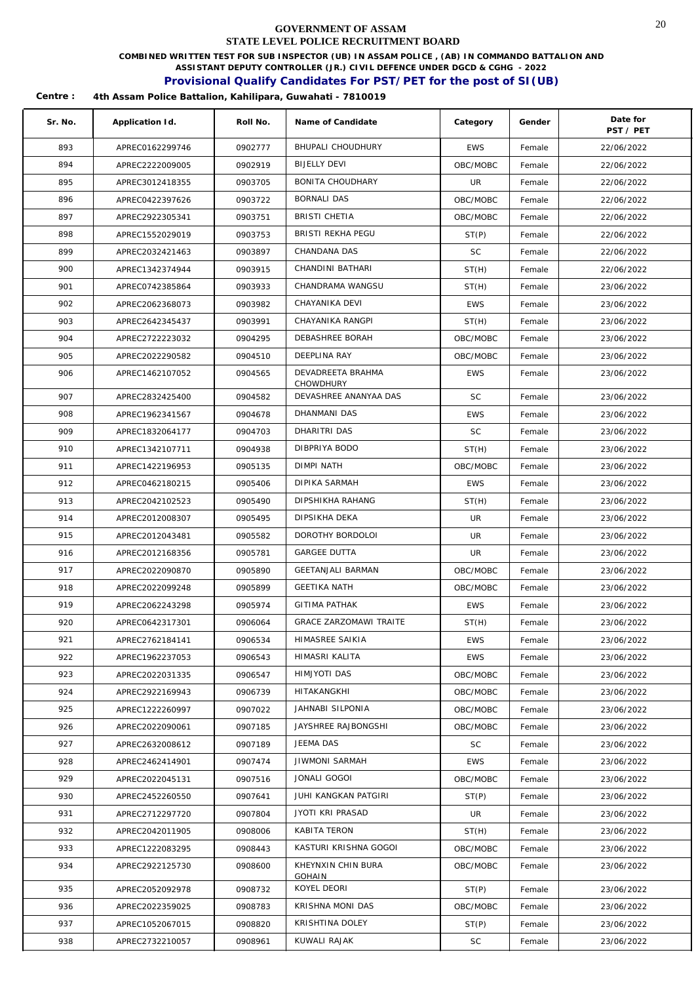**COMBINED WRITTEN TEST FOR SUB INSPECTOR (UB) IN ASSAM POLICE , (AB) IN COMMANDO BATTALION AND** 

**ASSISTANT DEPUTY CONTROLLER (JR.) CIVIL DEFENCE UNDER DGCD & CGHG - 2022** 

## **Provisional Qualify Candidates For PST/PET for the post of SI(UB)**

| Sr. No. | Application Id. | Roll No. | Name of Candidate                  | Category   | Gender | Date for<br>PST / PET |
|---------|-----------------|----------|------------------------------------|------------|--------|-----------------------|
| 893     | APREC0162299746 | 0902777  | <b>BHUPALI CHOUDHURY</b>           | <b>EWS</b> | Female | 22/06/2022            |
| 894     | APREC2222009005 | 0902919  | <b>BIJELLY DEVI</b>                | OBC/MOBC   | Female | 22/06/2022            |
| 895     | APREC3012418355 | 0903705  | BONITA CHOUDHARY                   | UR         | Female | 22/06/2022            |
| 896     | APREC0422397626 | 0903722  | <b>BORNALI DAS</b>                 | OBC/MOBC   | Female | 22/06/2022            |
| 897     | APREC2922305341 | 0903751  | BRISTI CHETIA                      | OBC/MOBC   | Female | 22/06/2022            |
| 898     | APREC1552029019 | 0903753  | BRISTI REKHA PEGU                  | ST(P)      | Female | 22/06/2022            |
| 899     | APREC2032421463 | 0903897  | CHANDANA DAS                       | SC.        | Female | 22/06/2022            |
| 900     | APREC1342374944 | 0903915  | CHANDINI BATHARI                   | ST(H)      | Female | 22/06/2022            |
| 901     | APREC0742385864 | 0903933  | CHANDRAMA WANGSU                   | ST(H)      | Female | 23/06/2022            |
| 902     | APREC2062368073 | 0903982  | CHAYANIKA DEVI                     | <b>EWS</b> | Female | 23/06/2022            |
| 903     | APREC2642345437 | 0903991  | CHAYANIKA RANGPI                   | ST(H)      | Female | 23/06/2022            |
| 904     | APREC2722223032 | 0904295  | DEBASHREE BORAH                    | OBC/MOBC   | Female | 23/06/2022            |
| 905     | APREC2022290582 | 0904510  | <b>DEEPLINA RAY</b>                | OBC/MOBC   | Female | 23/06/2022            |
| 906     | APREC1462107052 | 0904565  | DEVADREETA BRAHMA                  | <b>EWS</b> | Female | 23/06/2022            |
| 907     | APREC2832425400 | 0904582  | CHOWDHURY<br>DEVASHREE ANANYAA DAS | <b>SC</b>  | Female | 23/06/2022            |
| 908     | APREC1962341567 | 0904678  | <b>DHANMANI DAS</b>                | <b>EWS</b> | Female | 23/06/2022            |
| 909     | APREC1832064177 | 0904703  | DHARITRI DAS                       | <b>SC</b>  | Female | 23/06/2022            |
| 910     | APREC1342107711 | 0904938  | DIBPRIYA BODO                      | ST(H)      | Female | 23/06/2022            |
| 911     | APREC1422196953 | 0905135  | <b>DIMPI NATH</b>                  | OBC/MOBC   | Female | 23/06/2022            |
| 912     | APREC0462180215 | 0905406  | DIPIKA SARMAH                      | <b>EWS</b> | Female | 23/06/2022            |
| 913     | APREC2042102523 | 0905490  | DIPSHIKHA RAHANG                   | ST(H)      | Female | 23/06/2022            |
| 914     | APREC2012008307 | 0905495  | DIPSIKHA DEKA                      | UR         | Female | 23/06/2022            |
| 915     | APREC2012043481 | 0905582  | DOROTHY BORDOLOI                   | UR         | Female | 23/06/2022            |
| 916     | APREC2012168356 | 0905781  | <b>GARGEE DUTTA</b>                | UR         | Female | 23/06/2022            |
| 917     | APREC2022090870 | 0905890  | <b>GEETANJALI BARMAN</b>           | OBC/MOBC   | Female | 23/06/2022            |
| 918     | APREC2022099248 | 0905899  | <b>GEETIKA NATH</b>                | OBC/MOBC   | Female | 23/06/2022            |
| 919     | APREC2062243298 | 0905974  | <b>GITIMA PATHAK</b>               | <b>EWS</b> | Female | 23/06/2022            |
| 920     | APREC0642317301 | 0906064  | <b>GRACE ZARZOMAWI TRAITE</b>      | ST(H)      | Female | 23/06/2022            |
| 921     | APREC2762184141 | 0906534  | HIMASREE SAIKIA                    | <b>EWS</b> | Female | 23/06/2022            |
| 922     | APREC1962237053 | 0906543  | HIMASRI KALITA                     | <b>EWS</b> | Female | 23/06/2022            |
| 923     | APREC2022031335 | 0906547  | HIMJYOTI DAS                       | OBC/MOBC   | Female | 23/06/2022            |
| 924     | APREC2922169943 | 0906739  | HITAKANGKHI                        | OBC/MOBC   | Female | 23/06/2022            |
| 925     | APREC1222260997 | 0907022  | JAHNABI SILPONIA                   | OBC/MOBC   | Female | 23/06/2022            |
| 926     | APREC2022090061 | 0907185  | JAYSHREE RAJBONGSHI                | OBC/MOBC   | Female | 23/06/2022            |
| 927     | APREC2632008612 | 0907189  | JEEMA DAS                          | SC         | Female | 23/06/2022            |
| 928     | APREC2462414901 | 0907474  | <b>JIWMONI SARMAH</b>              | <b>EWS</b> | Female | 23/06/2022            |
| 929     | APREC2022045131 | 0907516  | JONALI GOGOI                       | OBC/MOBC   | Female | 23/06/2022            |
| 930     | APREC2452260550 | 0907641  | JUHI KANGKAN PATGIRI               | ST(P)      | Female | 23/06/2022            |
| 931     | APREC2712297720 | 0907804  | JYOTI KRI PRASAD                   | UR         | Female | 23/06/2022            |
| 932     | APREC2042011905 | 0908006  | KABITA TERON                       | ST(H)      | Female | 23/06/2022            |
| 933     | APREC1222083295 | 0908443  | KASTURI KRISHNA GOGOI              | OBC/MOBC   | Female | 23/06/2022            |
| 934     | APREC2922125730 | 0908600  | KHEYNXIN CHIN BURA                 | OBC/MOBC   | Female | 23/06/2022            |
|         |                 |          | GOHAIN                             |            |        |                       |
| 935     | APREC2052092978 | 0908732  | KOYEL DEORI                        | ST(P)      | Female | 23/06/2022            |
| 936     | APREC2022359025 | 0908783  | KRISHNA MONI DAS                   | OBC/MOBC   | Female | 23/06/2022            |
| 937     | APREC1052067015 | 0908820  | KRISHTINA DOLEY                    | ST(P)      | Female | 23/06/2022            |
| 938     | APREC2732210057 | 0908961  | KUWALI RAJAK                       | SC         | Female | 23/06/2022            |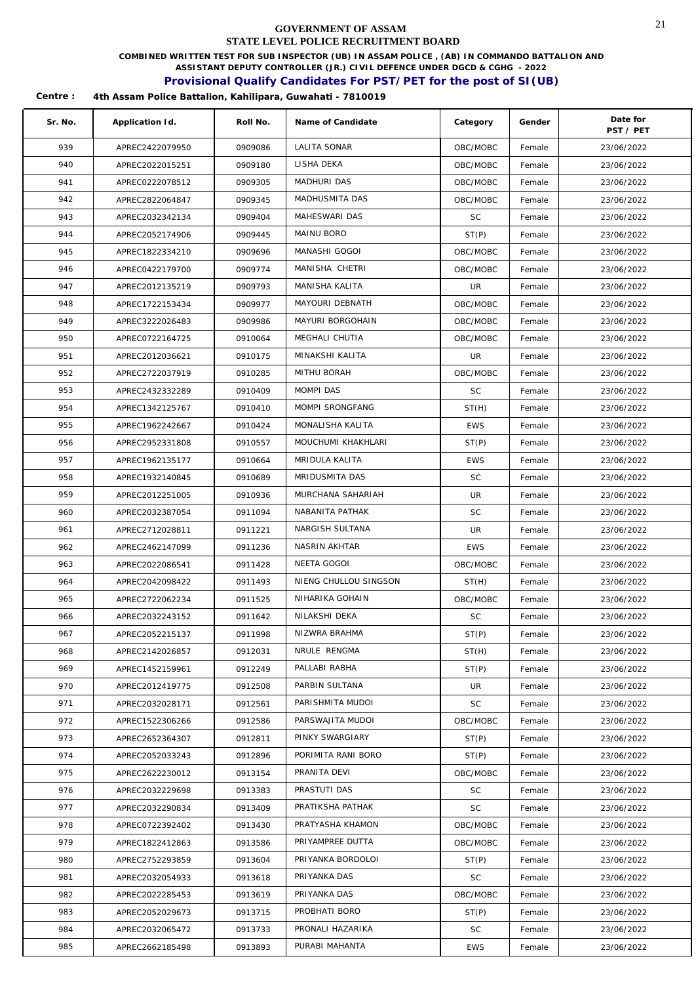**COMBINED WRITTEN TEST FOR SUB INSPECTOR (UB) IN ASSAM POLICE , (AB) IN COMMANDO BATTALION AND** 

**ASSISTANT DEPUTY CONTROLLER (JR.) CIVIL DEFENCE UNDER DGCD & CGHG - 2022** 

### **Provisional Qualify Candidates For PST/PET for the post of SI(UB)**

| Sr. No. | Application Id. | Roll No. | Name of Candidate     | Category   | Gender | Date for<br>PST / PET |
|---------|-----------------|----------|-----------------------|------------|--------|-----------------------|
| 939     | APREC2422079950 | 0909086  | <b>LALITA SONAR</b>   | OBC/MOBC   | Female | 23/06/2022            |
| 940     | APREC2022015251 | 0909180  | LISHA DEKA            | OBC/MOBC   | Female | 23/06/2022            |
| 941     | APREC0222078512 | 0909305  | MADHURI DAS           | OBC/MOBC   | Female | 23/06/2022            |
| 942     | APREC2822064847 | 0909345  | MADHUSMITA DAS        | OBC/MOBC   | Female | 23/06/2022            |
| 943     | APREC2032342134 | 0909404  | MAHESWARI DAS         | SC.        | Female | 23/06/2022            |
| 944     | APREC2052174906 | 0909445  | MAINU BORO            | ST(P)      | Female | 23/06/2022            |
| 945     | APREC1822334210 | 0909696  | MANASHI GOGOI         | OBC/MOBC   | Female | 23/06/2022            |
| 946     | APREC0422179700 | 0909774  | MANISHA CHETRI        | OBC/MOBC   | Female | 23/06/2022            |
| 947     | APREC2012135219 | 0909793  | MANISHA KALITA        | UR         | Female | 23/06/2022            |
| 948     | APREC1722153434 | 0909977  | MAYOURI DEBNATH       | OBC/MOBC   | Female | 23/06/2022            |
| 949     | APREC3222026483 | 0909986  | MAYURI BORGOHAIN      | OBC/MOBC   | Female | 23/06/2022            |
| 950     | APREC0722164725 | 0910064  | MEGHALI CHUTIA        | OBC/MOBC   | Female | 23/06/2022            |
| 951     | APREC2012036621 | 0910175  | MINAKSHI KALITA       | UR         | Female | 23/06/2022            |
| 952     | APREC2722037919 | 0910285  | MITHU BORAH           | OBC/MOBC   | Female | 23/06/2022            |
| 953     | APREC2432332289 | 0910409  | MOMPI DAS             | <b>SC</b>  | Female | 23/06/2022            |
| 954     | APREC1342125767 | 0910410  | MOMPI SRONGFANG       | ST(H)      | Female | 23/06/2022            |
| 955     | APREC1962242667 | 0910424  | MONALISHA KALITA      | <b>EWS</b> | Female | 23/06/2022            |
| 956     | APREC2952331808 | 0910557  | MOUCHUMI KHAKHLARI    | ST(P)      | Female | 23/06/2022            |
| 957     | APREC1962135177 | 0910664  | MRIDULA KALITA        | <b>EWS</b> | Female | 23/06/2022            |
| 958     | APREC1932140845 | 0910689  | MRIDUSMITA DAS        | <b>SC</b>  | Female | 23/06/2022            |
| 959     | APREC2012251005 | 0910936  | MURCHANA SAHARIAH     | UR         | Female | 23/06/2022            |
| 960     | APREC2032387054 | 0911094  | NABANITA PATHAK       | SC         | Female | 23/06/2022            |
| 961     | APREC2712028811 | 0911221  | NARGISH SULTANA       | UR         | Female | 23/06/2022            |
| 962     | APREC2462147099 | 0911236  | NASRIN AKHTAR         | <b>EWS</b> | Female | 23/06/2022            |
| 963     | APREC2022086541 | 0911428  | NEETA GOGOI           | OBC/MOBC   | Female | 23/06/2022            |
| 964     | APREC2042098422 | 0911493  | NIENG CHULLOU SINGSON | ST(H)      | Female | 23/06/2022            |
| 965     | APREC2722062234 | 0911525  | NIHARIKA GOHAIN       | OBC/MOBC   | Female | 23/06/2022            |
| 966     | APREC2032243152 | 0911642  | NILAKSHI DEKA         | <b>SC</b>  | Female | 23/06/2022            |
| 967     | APREC2052215137 | 0911998  | NIZWRA BRAHMA         | ST(P)      | Female | 23/06/2022            |
| 968     | APREC2142026857 | 0912031  | NRULE RENGMA          | ST(H)      | Female | 23/06/2022            |
| 969     | APREC1452159961 | 0912249  | PALLABI RABHA         | ST(P)      | Female | 23/06/2022            |
| 970     | APREC2012419775 | 0912508  | PARBIN SULTANA        | UR         | Female | 23/06/2022            |
| 971     | APREC2032028171 | 0912561  | PARISHMITA MUDOI      | SC         | Female | 23/06/2022            |
| 972     | APREC1522306266 | 0912586  | PARSWAJITA MUDOI      | OBC/MOBC   | Female | 23/06/2022            |
| 973     | APREC2652364307 | 0912811  | PINKY SWARGIARY       | ST(P)      | Female | 23/06/2022            |
| 974     | APREC2052033243 | 0912896  | PORIMITA RANI BORO    | ST(P)      | Female | 23/06/2022            |
| 975     | APREC2622230012 | 0913154  | PRANITA DEVI          | OBC/MOBC   | Female | 23/06/2022            |
| 976     | APREC2032229698 | 0913383  | PRASTUTI DAS          | <b>SC</b>  | Female | 23/06/2022            |
| 977     | APREC2032290834 | 0913409  | PRATIKSHA PATHAK      | <b>SC</b>  | Female | 23/06/2022            |
| 978     | APREC0722392402 | 0913430  | PRATYASHA KHAMON      | OBC/MOBC   | Female | 23/06/2022            |
| 979     | APREC1822412863 | 0913586  | PRIYAMPREE DUTTA      | OBC/MOBC   | Female | 23/06/2022            |
| 980     | APREC2752293859 | 0913604  | PRIYANKA BORDOLOI     | ST(P)      | Female | 23/06/2022            |
| 981     | APREC2032054933 | 0913618  | PRIYANKA DAS          | SC         | Female | 23/06/2022            |
| 982     | APREC2022285453 | 0913619  | PRIYANKA DAS          | OBC/MOBC   | Female | 23/06/2022            |
| 983     | APREC2052029673 | 0913715  | PROBHATI BORO         | ST(P)      | Female | 23/06/2022            |
| 984     | APREC2032065472 | 0913733  | PRONALI HAZARIKA      | <b>SC</b>  | Female | 23/06/2022            |
| 985     | APREC2662185498 | 0913893  | PURABI MAHANTA        | <b>EWS</b> | Female | 23/06/2022            |
|         |                 |          |                       |            |        |                       |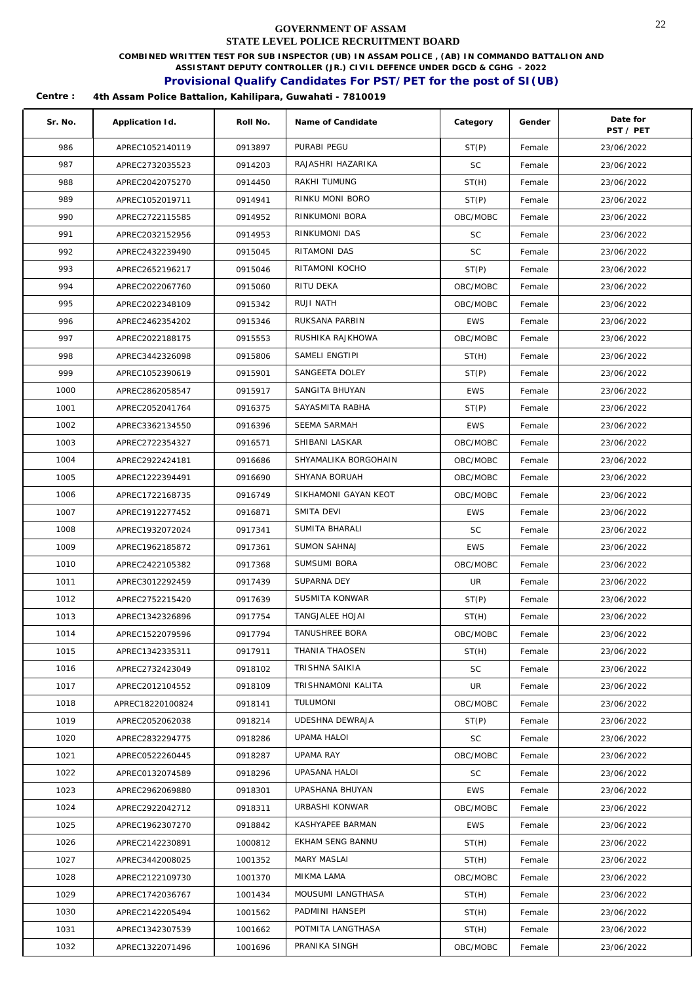**COMBINED WRITTEN TEST FOR SUB INSPECTOR (UB) IN ASSAM POLICE , (AB) IN COMMANDO BATTALION AND** 

**ASSISTANT DEPUTY CONTROLLER (JR.) CIVIL DEFENCE UNDER DGCD & CGHG - 2022** 

## **Provisional Qualify Candidates For PST/PET for the post of SI(UB)**

| Sr. No. | Application Id.  | Roll No. | Name of Candidate     | Category   | Gender | Date for<br>PST / PET |
|---------|------------------|----------|-----------------------|------------|--------|-----------------------|
| 986     | APREC1052140119  | 0913897  | PURABI PEGU           | ST(P)      | Female | 23/06/2022            |
| 987     | APREC2732035523  | 0914203  | RAJASHRI HAZARIKA     | <b>SC</b>  | Female | 23/06/2022            |
| 988     | APREC2042075270  | 0914450  | RAKHI TUMUNG          | ST(H)      | Female | 23/06/2022            |
| 989     | APREC1052019711  | 0914941  | RINKU MONI BORO       | ST(P)      | Female | 23/06/2022            |
| 990     | APREC2722115585  | 0914952  | RINKUMONI BORA        | OBC/MOBC   | Female | 23/06/2022            |
| 991     | APREC2032152956  | 0914953  | RINKUMONI DAS         | <b>SC</b>  | Female | 23/06/2022            |
| 992     | APREC2432239490  | 0915045  | RITAMONI DAS          | <b>SC</b>  | Female | 23/06/2022            |
| 993     | APREC2652196217  | 0915046  | RITAMONI KOCHO        | ST(P)      | Female | 23/06/2022            |
| 994     | APREC2022067760  | 0915060  | RITU DEKA             | OBC/MOBC   | Female | 23/06/2022            |
| 995     | APREC2022348109  | 0915342  | RUJI NATH             | OBC/MOBC   | Female | 23/06/2022            |
| 996     | APREC2462354202  | 0915346  | RUKSANA PARBIN        | <b>EWS</b> | Female | 23/06/2022            |
| 997     | APREC2022188175  | 0915553  | RUSHIKA RAJKHOWA      | OBC/MOBC   | Female | 23/06/2022            |
| 998     | APREC3442326098  | 0915806  | SAMELI ENGTIPI        | ST(H)      | Female | 23/06/2022            |
| 999     | APREC1052390619  | 0915901  | SANGEETA DOLEY        | ST(P)      | Female | 23/06/2022            |
| 1000    | APREC2862058547  | 0915917  | SANGITA BHUYAN        | <b>EWS</b> | Female | 23/06/2022            |
| 1001    | APREC2052041764  | 0916375  | SAYASMITA RABHA       | ST(P)      | Female | 23/06/2022            |
| 1002    | APREC3362134550  | 0916396  | SEEMA SARMAH          | <b>EWS</b> | Female | 23/06/2022            |
| 1003    | APREC2722354327  | 0916571  | SHIBANI LASKAR        | OBC/MOBC   | Female | 23/06/2022            |
| 1004    | APREC2922424181  | 0916686  | SHYAMALIKA BORGOHAIN  | OBC/MOBC   | Female | 23/06/2022            |
| 1005    | APREC1222394491  | 0916690  | SHYANA BORUAH         | OBC/MOBC   | Female | 23/06/2022            |
| 1006    | APREC1722168735  | 0916749  | SIKHAMONI GAYAN KEOT  | OBC/MOBC   | Female | 23/06/2022            |
| 1007    | APREC1912277452  | 0916871  | SMITA DEVI            | EWS        | Female | 23/06/2022            |
| 1008    | APREC1932072024  | 0917341  | SUMITA BHARALI        | <b>SC</b>  | Female | 23/06/2022            |
| 1009    | APREC1962185872  | 0917361  | SUMON SAHNAJ          | <b>EWS</b> | Female | 23/06/2022            |
| 1010    | APREC2422105382  | 0917368  | SUMSUMI BORA          | OBC/MOBC   | Female | 23/06/2022            |
| 1011    | APREC3012292459  | 0917439  | SUPARNA DEY           | UR         | Female | 23/06/2022            |
| 1012    | APREC2752215420  | 0917639  | SUSMITA KONWAR        | ST(P)      | Female | 23/06/2022            |
| 1013    | APREC1342326896  | 0917754  | TANGJALEE HOJAI       | ST(H)      | Female | 23/06/2022            |
| 1014    | APREC1522079596  | 0917794  | TANUSHREE BORA        | OBC/MOBC   | Female | 23/06/2022            |
| 1015    | APREC1342335311  | 0917911  | <b>THANIA THAOSEN</b> | ST(H)      | Female | 23/06/2022            |
| 1016    | APREC2732423049  | 0918102  | TRISHNA SAIKIA        | <b>SC</b>  | Female | 23/06/2022            |
| 1017    | APREC2012104552  | 0918109  | TRISHNAMONI KALITA    | UR         | Female | 23/06/2022            |
| 1018    | APREC18220100824 | 0918141  | TULUMONI              | OBC/MOBC   | Female | 23/06/2022            |
| 1019    | APREC2052062038  | 0918214  | UDESHNA DEWRAJA       | ST(P)      | Female | 23/06/2022            |
| 1020    | APREC2832294775  | 0918286  | UPAMA HALOI           | SC         | Female | 23/06/2022            |
| 1021    | APREC0522260445  | 0918287  | <b>UPAMA RAY</b>      | OBC/MOBC   | Female | 23/06/2022            |
| 1022    | APREC0132074589  | 0918296  | UPASANA HALOI         | SC         | Female | 23/06/2022            |
| 1023    | APREC2962069880  | 0918301  | UPASHANA BHUYAN       | <b>EWS</b> | Female | 23/06/2022            |
| 1024    | APREC2922042712  | 0918311  | URBASHI KONWAR        | OBC/MOBC   | Female | 23/06/2022            |
| 1025    | APREC1962307270  | 0918842  | KASHYAPEE BARMAN      | <b>EWS</b> | Female | 23/06/2022            |
| 1026    | APREC2142230891  | 1000812  | EKHAM SENG BANNU      | ST(H)      | Female | 23/06/2022            |
| 1027    | APREC3442008025  | 1001352  | <b>MARY MASLAI</b>    | ST(H)      | Female | 23/06/2022            |
| 1028    | APREC2122109730  | 1001370  | MIKMA LAMA            | OBC/MOBC   | Female | 23/06/2022            |
| 1029    | APREC1742036767  | 1001434  | MOUSUMI LANGTHASA     | ST(H)      | Female | 23/06/2022            |
| 1030    | APREC2142205494  | 1001562  | PADMINI HANSEPI       | ST(H)      | Female | 23/06/2022            |
| 1031    | APREC1342307539  | 1001662  | POTMITA LANGTHASA     | ST(H)      | Female | 23/06/2022            |
| 1032    | APREC1322071496  | 1001696  | PRANIKA SINGH         | OBC/MOBC   | Female | 23/06/2022            |
|         |                  |          |                       |            |        |                       |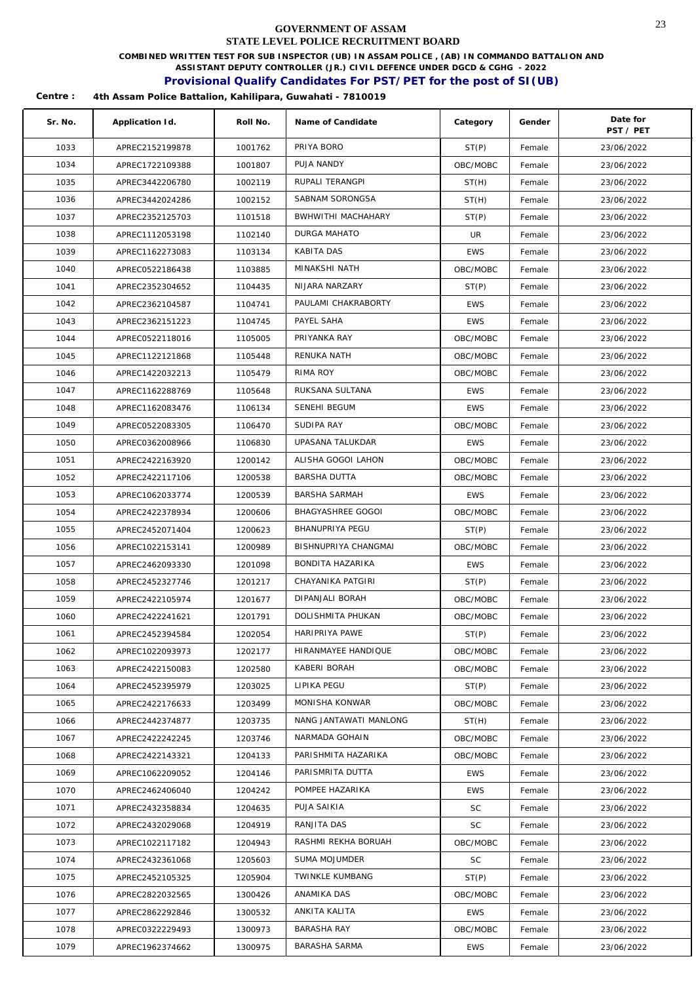**COMBINED WRITTEN TEST FOR SUB INSPECTOR (UB) IN ASSAM POLICE , (AB) IN COMMANDO BATTALION AND** 

**ASSISTANT DEPUTY CONTROLLER (JR.) CIVIL DEFENCE UNDER DGCD & CGHG - 2022** 

### **Provisional Qualify Candidates For PST/PET for the post of SI(UB)**

| Sr. No. | Application Id. | Roll No. | Name of Candidate      | Category   | Gender | Date for<br>PST / PET |
|---------|-----------------|----------|------------------------|------------|--------|-----------------------|
| 1033    | APREC2152199878 | 1001762  | PRIYA BORO             | ST(P)      | Female | 23/06/2022            |
| 1034    | APREC1722109388 | 1001807  | PUJA NANDY             | OBC/MOBC   | Female | 23/06/2022            |
| 1035    | APREC3442206780 | 1002119  | RUPALI TERANGPI        | ST(H)      | Female | 23/06/2022            |
| 1036    | APREC3442024286 | 1002152  | SABNAM SORONGSA        | ST(H)      | Female | 23/06/2022            |
| 1037    | APREC2352125703 | 1101518  | BWHWITHI MACHAHARY     | ST(P)      | Female | 23/06/2022            |
| 1038    | APREC1112053198 | 1102140  | DURGA MAHATO           | UR         | Female | 23/06/2022            |
| 1039    | APREC1162273083 | 1103134  | KABITA DAS             | <b>EWS</b> | Female | 23/06/2022            |
| 1040    | APREC0522186438 | 1103885  | MINAKSHI NATH          | OBC/MOBC   | Female | 23/06/2022            |
| 1041    | APREC2352304652 | 1104435  | NIJARA NARZARY         | ST(P)      | Female | 23/06/2022            |
| 1042    | APREC2362104587 | 1104741  | PAULAMI CHAKRABORTY    | <b>EWS</b> | Female | 23/06/2022            |
| 1043    | APREC2362151223 | 1104745  | PAYEL SAHA             | <b>EWS</b> | Female | 23/06/2022            |
| 1044    | APREC0522118016 | 1105005  | PRIYANKA RAY           | OBC/MOBC   | Female | 23/06/2022            |
| 1045    | APREC1122121868 | 1105448  | RENUKA NATH            | OBC/MOBC   | Female | 23/06/2022            |
| 1046    | APREC1422032213 | 1105479  | RIMA ROY               | OBC/MOBC   | Female | 23/06/2022            |
| 1047    | APREC1162288769 | 1105648  | RUKSANA SULTANA        | <b>EWS</b> | Female | 23/06/2022            |
| 1048    | APREC1162083476 | 1106134  | SENEHI BEGUM           | <b>EWS</b> | Female | 23/06/2022            |
| 1049    | APREC0522083305 | 1106470  | SUDIPA RAY             | OBC/MOBC   | Female | 23/06/2022            |
| 1050    | APREC0362008966 | 1106830  | UPASANA TALUKDAR       | <b>EWS</b> | Female | 23/06/2022            |
| 1051    | APREC2422163920 | 1200142  | ALISHA GOGOI LAHON     | OBC/MOBC   | Female | 23/06/2022            |
| 1052    | APREC2422117106 | 1200538  | BARSHA DUTTA           | OBC/MOBC   | Female | 23/06/2022            |
| 1053    | APREC1062033774 | 1200539  | <b>BARSHA SARMAH</b>   | <b>EWS</b> | Female | 23/06/2022            |
| 1054    | APREC2422378934 | 1200606  | BHAGYASHREE GOGOI      | OBC/MOBC   | Female | 23/06/2022            |
| 1055    | APREC2452071404 | 1200623  | BHANUPRIYA PEGU        | ST(P)      | Female | 23/06/2022            |
| 1056    | APREC1022153141 | 1200989  | BISHNUPRIYA CHANGMAI   | OBC/MOBC   | Female | 23/06/2022            |
| 1057    | APREC2462093330 | 1201098  | BONDITA HAZARIKA       | <b>EWS</b> | Female | 23/06/2022            |
| 1058    | APREC2452327746 | 1201217  | CHAYANIKA PATGIRI      | ST(P)      | Female | 23/06/2022            |
| 1059    | APREC2422105974 | 1201677  | DIPANJALI BORAH        | OBC/MOBC   | Female | 23/06/2022            |
| 1060    | APREC2422241621 | 1201791  | DOLISHMITA PHUKAN      | OBC/MOBC   | Female | 23/06/2022            |
| 1061    | APREC2452394584 | 1202054  | HARIPRIYA PAWE         | ST(P)      | Female | 23/06/2022            |
| 1062    | APREC1022093973 | 1202177  | HIRANMAYEE HANDIQUE    | OBC/MOBC   | Female | 23/06/2022            |
| 1063    | APREC2422150083 | 1202580  | KABERI BORAH           | OBC/MOBC   | Female | 23/06/2022            |
| 1064    | APREC2452395979 | 1203025  | LIPIKA PEGU            | ST(P)      | Female | 23/06/2022            |
| 1065    | APREC2422176633 | 1203499  | MONISHA KONWAR         | OBC/MOBC   | Female | 23/06/2022            |
| 1066    | APREC2442374877 | 1203735  | NANG JANTAWATI MANLONG | ST(H)      | Female | 23/06/2022            |
| 1067    | APREC2422242245 | 1203746  | NARMADA GOHAIN         | OBC/MOBC   | Female | 23/06/2022            |
| 1068    | APREC2422143321 | 1204133  | PARISHMITA HAZARIKA    | OBC/MOBC   | Female | 23/06/2022            |
| 1069    | APREC1062209052 | 1204146  | PARISMRITA DUTTA       | <b>EWS</b> | Female | 23/06/2022            |
| 1070    | APREC2462406040 | 1204242  | POMPEE HAZARIKA        | <b>EWS</b> | Female | 23/06/2022            |
| 1071    | APREC2432358834 | 1204635  | PUJA SAIKIA            | SC         | Female | 23/06/2022            |
| 1072    | APREC2432029068 | 1204919  | RANJITA DAS            | SC         | Female | 23/06/2022            |
| 1073    | APREC1022117182 | 1204943  | RASHMI REKHA BORUAH    | OBC/MOBC   | Female | 23/06/2022            |
| 1074    | APREC2432361068 | 1205603  | SUMA MOJUMDER          | <b>SC</b>  | Female | 23/06/2022            |
| 1075    | APREC2452105325 | 1205904  | TWINKLE KUMBANG        | ST(P)      | Female | 23/06/2022            |
| 1076    | APREC2822032565 | 1300426  | ANAMIKA DAS            | OBC/MOBC   | Female | 23/06/2022            |
| 1077    | APREC2862292846 | 1300532  | ANKITA KALITA          | <b>EWS</b> | Female | 23/06/2022            |
| 1078    | APREC0322229493 | 1300973  | BARASHA RAY            | OBC/MOBC   | Female | 23/06/2022            |
| 1079    | APREC1962374662 | 1300975  | BARASHA SARMA          | <b>EWS</b> | Female | 23/06/2022            |
|         |                 |          |                        |            |        |                       |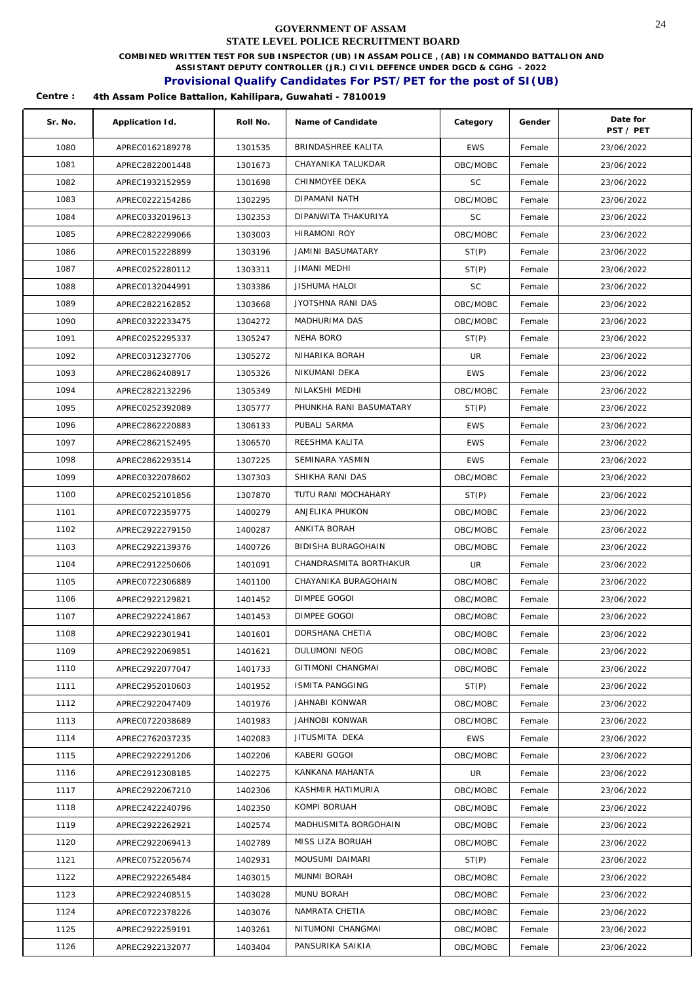**COMBINED WRITTEN TEST FOR SUB INSPECTOR (UB) IN ASSAM POLICE , (AB) IN COMMANDO BATTALION AND** 

**ASSISTANT DEPUTY CONTROLLER (JR.) CIVIL DEFENCE UNDER DGCD & CGHG - 2022** 

## **Provisional Qualify Candidates For PST/PET for the post of SI(UB)**

| Sr. No. | Application Id. | Roll No. | Name of Candidate       | Category   | Gender | Date for<br>PST / PET |
|---------|-----------------|----------|-------------------------|------------|--------|-----------------------|
| 1080    | APREC0162189278 | 1301535  | BRINDASHREE KALITA      | <b>EWS</b> | Female | 23/06/2022            |
| 1081    | APREC2822001448 | 1301673  | CHAYANIKA TALUKDAR      | OBC/MOBC   | Female | 23/06/2022            |
| 1082    | APREC1932152959 | 1301698  | CHINMOYEE DEKA          | SC         | Female | 23/06/2022            |
| 1083    | APREC0222154286 | 1302295  | DIPAMANI NATH           | OBC/MOBC   | Female | 23/06/2022            |
| 1084    | APREC0332019613 | 1302353  | DIPANWITA THAKURIYA     | SC         | Female | 23/06/2022            |
| 1085    | APREC2822299066 | 1303003  | <b>HIRAMONI ROY</b>     | OBC/MOBC   | Female | 23/06/2022            |
| 1086    | APREC0152228899 | 1303196  | JAMINI BASUMATARY       | ST(P)      | Female | 23/06/2022            |
| 1087    | APREC0252280112 | 1303311  | <b>JIMANI MEDHI</b>     | ST(P)      | Female | 23/06/2022            |
| 1088    | APREC0132044991 | 1303386  | <b>JISHUMA HALOI</b>    | <b>SC</b>  | Female | 23/06/2022            |
| 1089    | APREC2822162852 | 1303668  | JYOTSHNA RANI DAS       | OBC/MOBC   | Female | 23/06/2022            |
| 1090    | APREC0322233475 | 1304272  | MADHURIMA DAS           | OBC/MOBC   | Female | 23/06/2022            |
| 1091    | APREC0252295337 | 1305247  | NEHA BORO               | ST(P)      | Female | 23/06/2022            |
| 1092    | APREC0312327706 | 1305272  | NIHARIKA BORAH          | UR         | Female | 23/06/2022            |
| 1093    | APREC2862408917 | 1305326  | NIKUMANI DEKA           | <b>EWS</b> | Female | 23/06/2022            |
| 1094    | APREC2822132296 | 1305349  | NILAKSHI MEDHI          | OBC/MOBC   | Female | 23/06/2022            |
| 1095    | APREC0252392089 | 1305777  | PHUNKHA RANI BASUMATARY | ST(P)      | Female | 23/06/2022            |
| 1096    | APREC2862220883 | 1306133  | PUBALI SARMA            | <b>EWS</b> | Female | 23/06/2022            |
| 1097    | APREC2862152495 | 1306570  | REESHMA KALITA          | <b>EWS</b> | Female | 23/06/2022            |
| 1098    | APREC2862293514 | 1307225  | SEMINARA YASMIN         | <b>EWS</b> | Female | 23/06/2022            |
| 1099    | APREC0322078602 | 1307303  | SHIKHA RANI DAS         | OBC/MOBC   | Female | 23/06/2022            |
| 1100    | APREC0252101856 | 1307870  | TUTU RANI MOCHAHARY     | ST(P)      | Female | 23/06/2022            |
| 1101    | APREC0722359775 | 1400279  | ANJELIKA PHUKON         | OBC/MOBC   | Female | 23/06/2022            |
| 1102    | APREC2922279150 | 1400287  | ANKITA BORAH            | OBC/MOBC   | Female | 23/06/2022            |
| 1103    | APREC2922139376 | 1400726  | BIDISHA BURAGOHAIN      | OBC/MOBC   | Female | 23/06/2022            |
| 1104    | APREC2912250606 | 1401091  | CHANDRASMITA BORTHAKUR  | UR         | Female | 23/06/2022            |
| 1105    | APREC0722306889 | 1401100  | CHAYANIKA BURAGOHAIN    | OBC/MOBC   | Female | 23/06/2022            |
| 1106    | APREC2922129821 | 1401452  | DIMPEE GOGOI            | OBC/MOBC   | Female | 23/06/2022            |
| 1107    | APREC2922241867 | 1401453  | DIMPEE GOGOI            | OBC/MOBC   | Female | 23/06/2022            |
| 1108    | APREC2922301941 | 1401601  | DORSHANA CHETIA         | OBC/MOBC   | Female | 23/06/2022            |
| 1109    | APREC2922069851 | 1401621  | DULUMONI NEOG           | OBC/MOBC   | Female | 23/06/2022            |
| 1110    | APREC2922077047 | 1401733  | GITIMONI CHANGMAI       | OBC/MOBC   | Female | 23/06/2022            |
| 1111    | APREC2952010603 | 1401952  | ISMITA PANGGING         | ST(P)      | Female | 23/06/2022            |
| 1112    | APREC2922047409 | 1401976  | JAHNABI KONWAR          | OBC/MOBC   | Female | 23/06/2022            |
| 1113    | APREC0722038689 | 1401983  | JAHNOBI KONWAR          | OBC/MOBC   | Female | 23/06/2022            |
| 1114    | APREC2762037235 | 1402083  | JITUSMITA DEKA          | EWS        | Female | 23/06/2022            |
| 1115    | APREC2922291206 | 1402206  | KABERI GOGOI            | OBC/MOBC   | Female | 23/06/2022            |
| 1116    | APREC2912308185 | 1402275  | KANKANA MAHANTA         | UR.        | Female | 23/06/2022            |
| 1117    | APREC2922067210 | 1402306  | KASHMIR HATIMURIA       | OBC/MOBC   | Female | 23/06/2022            |
| 1118    | APREC2422240796 | 1402350  | KOMPI BORUAH            | OBC/MOBC   | Female | 23/06/2022            |
| 1119    | APREC2922262921 | 1402574  | MADHUSMITA BORGOHAIN    | OBC/MOBC   | Female | 23/06/2022            |
| 1120    | APREC2922069413 | 1402789  | MISS LIZA BORUAH        | OBC/MOBC   | Female | 23/06/2022            |
| 1121    | APREC0752205674 | 1402931  | MOUSUMI DAIMARI         | ST(P)      | Female | 23/06/2022            |
| 1122    | APREC2922265484 | 1403015  | MUNMI BORAH             | OBC/MOBC   | Female | 23/06/2022            |
| 1123    | APREC2922408515 | 1403028  | MUNU BORAH              | OBC/MOBC   | Female | 23/06/2022            |
| 1124    | APREC0722378226 | 1403076  | NAMRATA CHETIA          | OBC/MOBC   | Female | 23/06/2022            |
| 1125    | APREC2922259191 | 1403261  | NITUMONI CHANGMAI       | OBC/MOBC   | Female | 23/06/2022            |
| 1126    | APREC2922132077 | 1403404  | PANSURIKA SAIKIA        | OBC/MOBC   | Female | 23/06/2022            |
|         |                 |          |                         |            |        |                       |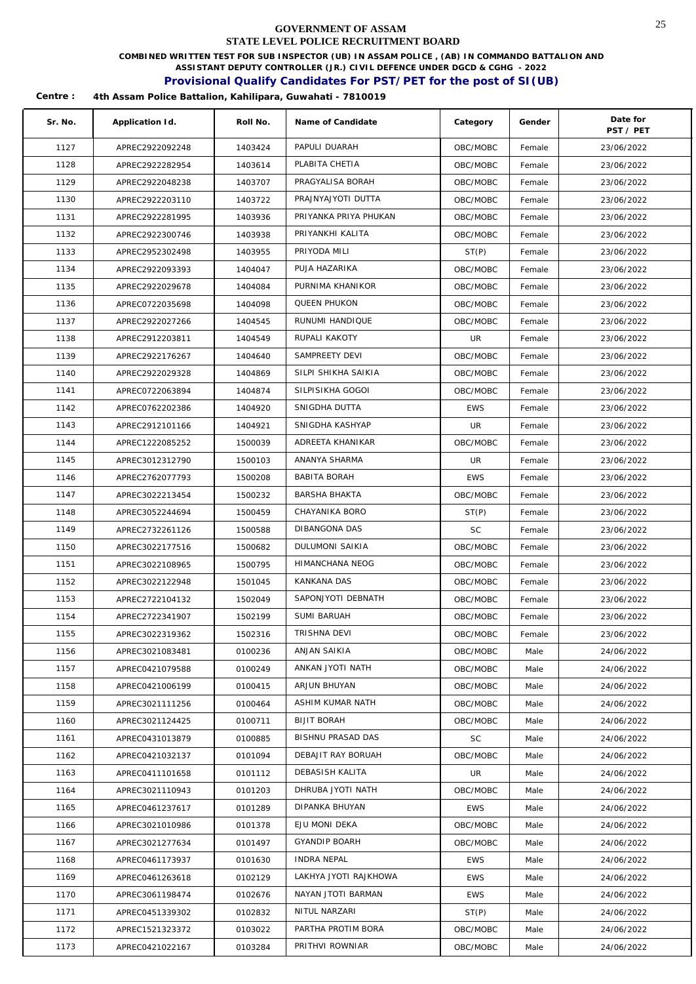**COMBINED WRITTEN TEST FOR SUB INSPECTOR (UB) IN ASSAM POLICE , (AB) IN COMMANDO BATTALION AND** 

**ASSISTANT DEPUTY CONTROLLER (JR.) CIVIL DEFENCE UNDER DGCD & CGHG - 2022** 

## **Provisional Qualify Candidates For PST/PET for the post of SI(UB)**

| Sr. No. | Application Id. | Roll No. | Name of Candidate        | Category   | Gender | Date for<br>PST / PET |
|---------|-----------------|----------|--------------------------|------------|--------|-----------------------|
| 1127    | APREC2922092248 | 1403424  | PAPULI DUARAH            | OBC/MOBC   | Female | 23/06/2022            |
| 1128    | APREC2922282954 | 1403614  | PLABITA CHETIA           | OBC/MOBC   | Female | 23/06/2022            |
| 1129    | APREC2922048238 | 1403707  | PRAGYALISA BORAH         | OBC/MOBC   | Female | 23/06/2022            |
| 1130    | APREC2922203110 | 1403722  | PRAJNYAJYOTI DUTTA       | OBC/MOBC   | Female | 23/06/2022            |
| 1131    | APREC2922281995 | 1403936  | PRIYANKA PRIYA PHUKAN    | OBC/MOBC   | Female | 23/06/2022            |
| 1132    | APREC2922300746 | 1403938  | PRIYANKHI KALITA         | OBC/MOBC   | Female | 23/06/2022            |
| 1133    | APREC2952302498 | 1403955  | PRIYODA MILI             | ST(P)      | Female | 23/06/2022            |
| 1134    | APREC2922093393 | 1404047  | PUJA HAZARIKA            | OBC/MOBC   | Female | 23/06/2022            |
| 1135    | APREC2922029678 | 1404084  | PURNIMA KHANIKOR         | OBC/MOBC   | Female | 23/06/2022            |
| 1136    | APREC0722035698 | 1404098  | QUEEN PHUKON             | OBC/MOBC   | Female | 23/06/2022            |
| 1137    | APREC2922027266 | 1404545  | RUNUMI HANDIQUE          | OBC/MOBC   | Female | 23/06/2022            |
| 1138    | APREC2912203811 | 1404549  | RUPALI KAKOTY            | UR         | Female | 23/06/2022            |
| 1139    | APREC2922176267 | 1404640  | SAMPREETY DEVI           | OBC/MOBC   | Female | 23/06/2022            |
| 1140    | APREC2922029328 | 1404869  | SILPI SHIKHA SAIKIA      | OBC/MOBC   | Female | 23/06/2022            |
| 1141    | APREC0722063894 | 1404874  | SILPISIKHA GOGOI         | OBC/MOBC   | Female | 23/06/2022            |
| 1142    | APREC0762202386 | 1404920  | SNIGDHA DUTTA            | <b>EWS</b> | Female | 23/06/2022            |
| 1143    | APREC2912101166 | 1404921  | SNIGDHA KASHYAP          | UR         | Female | 23/06/2022            |
| 1144    | APREC1222085252 | 1500039  | ADREETA KHANIKAR         | OBC/MOBC   | Female | 23/06/2022            |
| 1145    | APREC3012312790 | 1500103  | ANANYA SHARMA            | UR         | Female | 23/06/2022            |
| 1146    | APREC2762077793 | 1500208  | <b>BABITA BORAH</b>      | <b>EWS</b> | Female | 23/06/2022            |
| 1147    | APREC3022213454 | 1500232  | <b>BARSHA BHAKTA</b>     | OBC/MOBC   | Female | 23/06/2022            |
| 1148    | APREC3052244694 | 1500459  | CHAYANIKA BORO           | ST(P)      | Female | 23/06/2022            |
| 1149    | APREC2732261126 | 1500588  | DIBANGONA DAS            | <b>SC</b>  | Female | 23/06/2022            |
| 1150    | APREC3022177516 | 1500682  | DULUMONI SAIKIA          | OBC/MOBC   | Female | 23/06/2022            |
| 1151    | APREC3022108965 | 1500795  | HIMANCHANA NEOG          | OBC/MOBC   | Female | 23/06/2022            |
| 1152    | APREC3022122948 | 1501045  | <b>KANKANA DAS</b>       | OBC/MOBC   | Female | 23/06/2022            |
| 1153    | APREC2722104132 | 1502049  | SAPONJYOTI DEBNATH       | OBC/MOBC   | Female | 23/06/2022            |
| 1154    | APREC2722341907 | 1502199  | SUMI BARUAH              | OBC/MOBC   | Female | 23/06/2022            |
| 1155    | APREC3022319362 | 1502316  | TRISHNA DEVI             | OBC/MOBC   | Female | 23/06/2022            |
| 1156    | APREC3021083481 | 0100236  | ANJAN SAIKIA             | OBC/MOBC   | Male   | 24/06/2022            |
| 1157    | APREC0421079588 | 0100249  | ANKAN JYOTI NATH         | OBC/MOBC   | Male   | 24/06/2022            |
| 1158    | APREC0421006199 | 0100415  | ARJUN BHUYAN             | OBC/MOBC   | Male   | 24/06/2022            |
| 1159    | APREC3021111256 | 0100464  | ASHIM KUMAR NATH         | OBC/MOBC   | Male   | 24/06/2022            |
| 1160    | APREC3021124425 | 0100711  | <b>BIJIT BORAH</b>       | OBC/MOBC   | Male   | 24/06/2022            |
| 1161    | APREC0431013879 | 0100885  | <b>BISHNU PRASAD DAS</b> | <b>SC</b>  | Male   | 24/06/2022            |
| 1162    | APREC0421032137 | 0101094  | DEBAJIT RAY BORUAH       | OBC/MOBC   | Male   | 24/06/2022            |
| 1163    | APREC0411101658 | 0101112  | DEBASISH KALITA          | UR         | Male   | 24/06/2022            |
| 1164    | APREC3021110943 | 0101203  | DHRUBA JYOTI NATH        | OBC/MOBC   | Male   | 24/06/2022            |
| 1165    | APREC0461237617 | 0101289  | DIPANKA BHUYAN           | <b>EWS</b> | Male   | 24/06/2022            |
| 1166    | APREC3021010986 | 0101378  | EJU MONI DEKA            | OBC/MOBC   | Male   | 24/06/2022            |
| 1167    | APREC3021277634 | 0101497  | <b>GYANDIP BOARH</b>     | OBC/MOBC   | Male   | 24/06/2022            |
| 1168    | APREC0461173937 | 0101630  | INDRA NEPAL              | <b>EWS</b> | Male   | 24/06/2022            |
| 1169    | APREC0461263618 | 0102129  | LAKHYA JYOTI RAJKHOWA    | <b>EWS</b> | Male   | 24/06/2022            |
| 1170    | APREC3061198474 | 0102676  | NAYAN JTOTI BARMAN       | <b>EWS</b> | Male   | 24/06/2022            |
| 1171    | APREC0451339302 | 0102832  | NITUL NARZARI            | ST(P)      | Male   | 24/06/2022            |
| 1172    | APREC1521323372 | 0103022  | PARTHA PROTIM BORA       | OBC/MOBC   | Male   | 24/06/2022            |
| 1173    | APREC0421022167 | 0103284  | PRITHVI ROWNIAR          | OBC/MOBC   | Male   | 24/06/2022            |
|         |                 |          |                          |            |        |                       |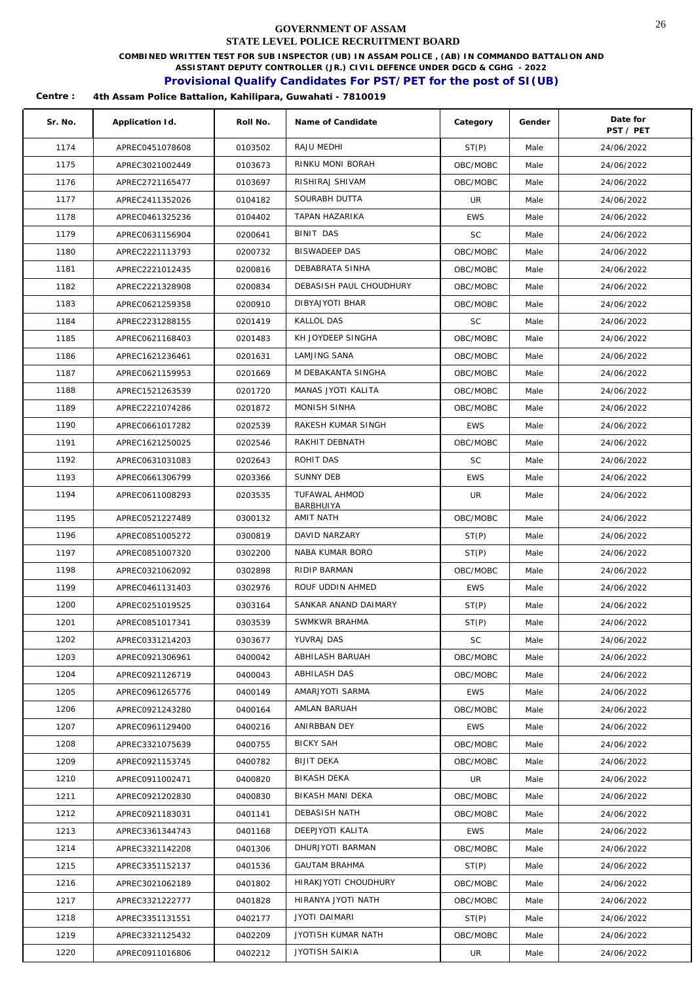**COMBINED WRITTEN TEST FOR SUB INSPECTOR (UB) IN ASSAM POLICE , (AB) IN COMMANDO BATTALION AND** 

**ASSISTANT DEPUTY CONTROLLER (JR.) CIVIL DEFENCE UNDER DGCD & CGHG - 2022** 

### **Provisional Qualify Candidates For PST/PET for the post of SI(UB)**

| Sr. No. | Application Id. | Roll No. | Name of Candidate       | Category   | Gender | Date for<br>PST / PET |
|---------|-----------------|----------|-------------------------|------------|--------|-----------------------|
| 1174    | APREC0451078608 | 0103502  | RAJU MEDHI              | ST(P)      | Male   | 24/06/2022            |
| 1175    | APREC3021002449 | 0103673  | RINKU MONI BORAH        | OBC/MOBC   | Male   | 24/06/2022            |
| 1176    | APREC2721165477 | 0103697  | RISHIRAJ SHIVAM         | OBC/MOBC   | Male   | 24/06/2022            |
| 1177    | APREC2411352026 | 0104182  | SOURABH DUTTA           | UR         | Male   | 24/06/2022            |
| 1178    | APREC0461325236 | 0104402  | TAPAN HAZARIKA          | <b>EWS</b> | Male   | 24/06/2022            |
| 1179    | APREC0631156904 | 0200641  | <b>BINIT DAS</b>        | <b>SC</b>  | Male   | 24/06/2022            |
| 1180    | APREC2221113793 | 0200732  | <b>BISWADEEP DAS</b>    | OBC/MOBC   | Male   | 24/06/2022            |
| 1181    | APREC2221012435 | 0200816  | DEBABRATA SINHA         | OBC/MOBC   | Male   | 24/06/2022            |
| 1182    | APREC2221328908 | 0200834  | DEBASISH PAUL CHOUDHURY | OBC/MOBC   | Male   | 24/06/2022            |
| 1183    | APREC0621259358 | 0200910  | DIBYAJYOTI BHAR         | OBC/MOBC   | Male   | 24/06/2022            |
| 1184    | APREC2231288155 | 0201419  | <b>KALLOL DAS</b>       | SC         | Male   | 24/06/2022            |
| 1185    | APREC0621168403 | 0201483  | KH JOYDEEP SINGHA       | OBC/MOBC   | Male   | 24/06/2022            |
| 1186    | APREC1621236461 | 0201631  | <b>LAMJING SANA</b>     | OBC/MOBC   | Male   | 24/06/2022            |
| 1187    | APREC0621159953 | 0201669  | M DEBAKANTA SINGHA      | OBC/MOBC   | Male   | 24/06/2022            |
| 1188    | APREC1521263539 | 0201720  | MANAS JYOTI KALITA      | OBC/MOBC   | Male   | 24/06/2022            |
| 1189    | APREC2221074286 | 0201872  | MONISH SINHA            | OBC/MOBC   | Male   | 24/06/2022            |
| 1190    | APREC0661017282 | 0202539  | RAKESH KUMAR SINGH      | <b>EWS</b> | Male   | 24/06/2022            |
| 1191    | APREC1621250025 | 0202546  | RAKHIT DEBNATH          | OBC/MOBC   | Male   | 24/06/2022            |
| 1192    | APREC0631031083 | 0202643  | ROHIT DAS               | <b>SC</b>  | Male   | 24/06/2022            |
| 1193    | APREC0661306799 | 0203366  | SUNNY DEB               | <b>EWS</b> | Male   | 24/06/2022            |
| 1194    | APREC0611008293 | 0203535  | TUFAWAL AHMOD           | UR         | Male   | 24/06/2022            |
| 1195    | APREC0521227489 | 0300132  | BARBHUIYA<br>AMIT NATH  | OBC/MOBC   | Male   | 24/06/2022            |
| 1196    | APREC0851005272 | 0300819  | DAVID NARZARY           | ST(P)      | Male   | 24/06/2022            |
| 1197    | APREC0851007320 | 0302200  | NABA KUMAR BORO         | ST(P)      | Male   | 24/06/2022            |
| 1198    | APREC0321062092 | 0302898  | RIDIP BARMAN            | OBC/MOBC   | Male   | 24/06/2022            |
| 1199    | APREC0461131403 | 0302976  | ROUF UDDIN AHMED        | <b>EWS</b> | Male   | 24/06/2022            |
| 1200    | APREC0251019525 | 0303164  | SANKAR ANAND DAIMARY    | ST(P)      | Male   | 24/06/2022            |
| 1201    | APREC0851017341 | 0303539  | SWMKWR BRAHMA           | ST(P)      | Male   | 24/06/2022            |
| 1202    | APREC0331214203 | 0303677  | YUVRAJ DAS              | SC         | Male   | 24/06/2022            |
| 1203    | APREC0921306961 | 0400042  | ABHILASH BARUAH         | OBC/MOBC   | Male   | 24/06/2022            |
| 1204    | APREC0921126719 | 0400043  | ABHILASH DAS            | OBC/MOBC   | Male   | 24/06/2022            |
| 1205    | APREC0961265776 | 0400149  | AMARJYOTI SARMA         | <b>EWS</b> | Male   | 24/06/2022            |
| 1206    | APREC0921243280 | 0400164  | AMLAN BARUAH            | OBC/MOBC   | Male   | 24/06/2022            |
| 1207    | APREC0961129400 | 0400216  | ANIRBBAN DEY            | <b>EWS</b> | Male   | 24/06/2022            |
| 1208    | APREC3321075639 | 0400755  | <b>BICKY SAH</b>        | OBC/MOBC   | Male   | 24/06/2022            |
| 1209    | APREC0921153745 | 0400782  | <b>BIJIT DEKA</b>       | OBC/MOBC   | Male   | 24/06/2022            |
| 1210    | APREC0911002471 | 0400820  | BIKASH DEKA             | UR         | Male   | 24/06/2022            |
| 1211    | APREC0921202830 | 0400830  | BIKASH MANI DEKA        | OBC/MOBC   | Male   | 24/06/2022            |
| 1212    | APREC0921183031 | 0401141  | DEBASISH NATH           | OBC/MOBC   | Male   | 24/06/2022            |
| 1213    | APREC3361344743 | 0401168  | DEEPJYOTI KALITA        | <b>EWS</b> | Male   | 24/06/2022            |
| 1214    | APREC3321142208 | 0401306  | DHURJYOTI BARMAN        | OBC/MOBC   | Male   | 24/06/2022            |
| 1215    | APREC3351152137 | 0401536  | <b>GAUTAM BRAHMA</b>    | ST(P)      | Male   | 24/06/2022            |
| 1216    | APREC3021062189 | 0401802  | HIRAKJYOTI CHOUDHURY    | OBC/MOBC   | Male   | 24/06/2022            |
| 1217    | APREC3321222777 | 0401828  | HIRANYA JYOTI NATH      | OBC/MOBC   | Male   | 24/06/2022            |
| 1218    | APREC3351131551 | 0402177  | <b>JYOTI DAIMARI</b>    | ST(P)      | Male   | 24/06/2022            |
| 1219    | APREC3321125432 | 0402209  | JYOTISH KUMAR NATH      | OBC/MOBC   | Male   | 24/06/2022            |
| 1220    | APREC0911016806 | 0402212  | JYOTISH SAIKIA          | UR         | Male   | 24/06/2022            |
|         |                 |          |                         |            |        |                       |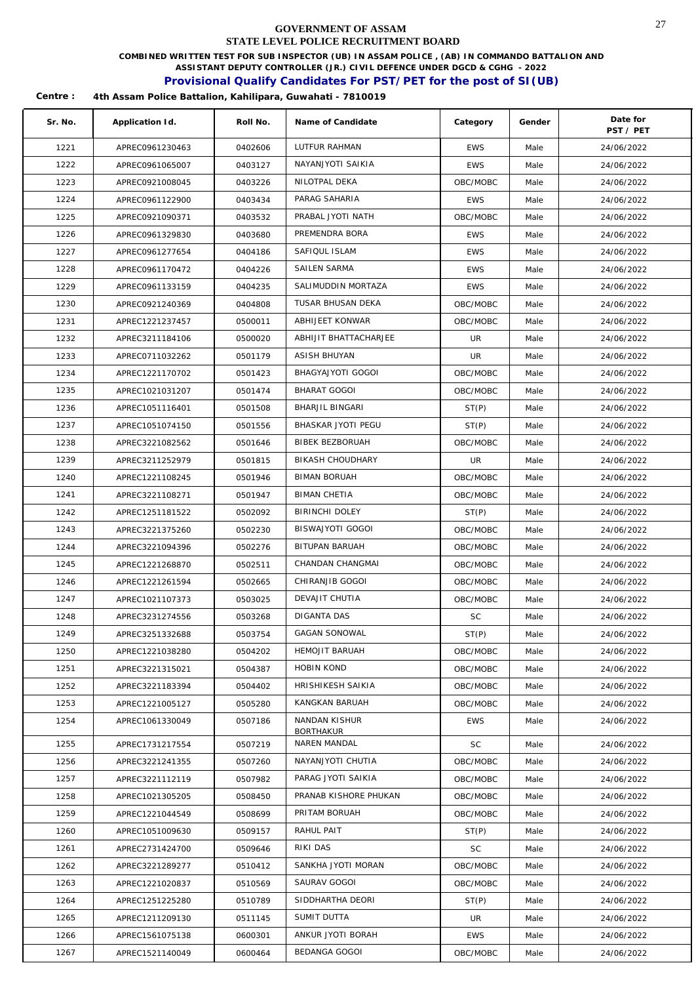**COMBINED WRITTEN TEST FOR SUB INSPECTOR (UB) IN ASSAM POLICE , (AB) IN COMMANDO BATTALION AND** 

**ASSISTANT DEPUTY CONTROLLER (JR.) CIVIL DEFENCE UNDER DGCD & CGHG - 2022** 

## **Provisional Qualify Candidates For PST/PET for the post of SI(UB)**

| Sr. No. | Application Id. | Roll No. | Name of Candidate                | Category   | Gender | Date for<br>PST / PET |
|---------|-----------------|----------|----------------------------------|------------|--------|-----------------------|
| 1221    | APREC0961230463 | 0402606  | LUTFUR RAHMAN                    | <b>EWS</b> | Male   | 24/06/2022            |
| 1222    | APREC0961065007 | 0403127  | NAYANJYOTI SAIKIA                | <b>EWS</b> | Male   | 24/06/2022            |
| 1223    | APREC0921008045 | 0403226  | NILOTPAL DEKA                    | OBC/MOBC   | Male   | 24/06/2022            |
| 1224    | APREC0961122900 | 0403434  | PARAG SAHARIA                    | <b>EWS</b> | Male   | 24/06/2022            |
| 1225    | APREC0921090371 | 0403532  | PRABAL JYOTI NATH                | OBC/MOBC   | Male   | 24/06/2022            |
| 1226    | APREC0961329830 | 0403680  | PREMENDRA BORA                   | <b>EWS</b> | Male   | 24/06/2022            |
| 1227    | APREC0961277654 | 0404186  | SAFIQUL ISLAM                    | <b>EWS</b> | Male   | 24/06/2022            |
| 1228    | APREC0961170472 | 0404226  | SAILEN SARMA                     | <b>EWS</b> | Male   | 24/06/2022            |
| 1229    | APREC0961133159 | 0404235  | SALIMUDDIN MORTAZA               | <b>EWS</b> | Male   | 24/06/2022            |
| 1230    | APREC0921240369 | 0404808  | TUSAR BHUSAN DEKA                | OBC/MOBC   | Male   | 24/06/2022            |
| 1231    | APREC1221237457 | 0500011  | ABHIJEET KONWAR                  | OBC/MOBC   | Male   | 24/06/2022            |
| 1232    | APREC3211184106 | 0500020  | ABHIJIT BHATTACHARJEE            | UR         | Male   | 24/06/2022            |
| 1233    | APREC0711032262 | 0501179  | ASISH BHUYAN                     | UR         | Male   | 24/06/2022            |
| 1234    | APREC1221170702 | 0501423  | BHAGYAJYOTI GOGOI                | OBC/MOBC   | Male   | 24/06/2022            |
| 1235    | APREC1021031207 | 0501474  | BHARAT GOGOI                     | OBC/MOBC   | Male   | 24/06/2022            |
| 1236    | APREC1051116401 | 0501508  | BHARJIL BINGARI                  | ST(P)      | Male   | 24/06/2022            |
| 1237    | APREC1051074150 | 0501556  | BHASKAR JYOTI PEGU               | ST(P)      | Male   | 24/06/2022            |
| 1238    | APREC3221082562 | 0501646  | BIBEK BEZBORUAH                  | OBC/MOBC   | Male   | 24/06/2022            |
| 1239    | APREC3211252979 | 0501815  | BIKASH CHOUDHARY                 | UR         | Male   | 24/06/2022            |
| 1240    | APREC1221108245 | 0501946  | <b>BIMAN BORUAH</b>              | OBC/MOBC   | Male   | 24/06/2022            |
| 1241    | APREC3221108271 | 0501947  | <b>BIMAN CHETIA</b>              | OBC/MOBC   | Male   | 24/06/2022            |
| 1242    | APREC1251181522 | 0502092  | <b>BIRINCHI DOLEY</b>            | ST(P)      | Male   | 24/06/2022            |
| 1243    | APREC3221375260 | 0502230  | BISWAJYOTI GOGOI                 | OBC/MOBC   | Male   | 24/06/2022            |
| 1244    | APREC3221094396 | 0502276  | BITUPAN BARUAH                   | OBC/MOBC   | Male   | 24/06/2022            |
| 1245    | APREC1221268870 | 0502511  | CHANDAN CHANGMAI                 | OBC/MOBC   | Male   | 24/06/2022            |
| 1246    | APREC1221261594 | 0502665  | CHIRANJIB GOGOI                  | OBC/MOBC   | Male   | 24/06/2022            |
| 1247    | APREC1021107373 | 0503025  | DEVAJIT CHUTIA                   | OBC/MOBC   | Male   | 24/06/2022            |
| 1248    | APREC3231274556 | 0503268  | DIGANTA DAS                      | <b>SC</b>  | Male   | 24/06/2022            |
| 1249    | APREC3251332688 | 0503754  | <b>GAGAN SONOWAL</b>             | ST(P)      | Male   | 24/06/2022            |
| 1250    | APREC1221038280 | 0504202  | HEMOJIT BARUAH                   | OBC/MOBC   | Male   | 24/06/2022            |
| 1251    | APREC3221315021 | 0504387  | <b>HOBIN KOND</b>                | OBC/MOBC   | Male   | 24/06/2022            |
| 1252    | APREC3221183394 | 0504402  | HRISHIKESH SAIKIA                | OBC/MOBC   | Male   | 24/06/2022            |
| 1253    | APREC1221005127 | 0505280  | KANGKAN BARUAH                   | OBC/MOBC   | Male   | 24/06/2022            |
| 1254    | APREC1061330049 | 0507186  | NANDAN KISHUR                    | <b>EWS</b> | Male   | 24/06/2022            |
| 1255    | APREC1731217554 | 0507219  | <b>BORTHAKUR</b><br>NAREN MANDAL | <b>SC</b>  | Male   | 24/06/2022            |
| 1256    | APREC3221241355 | 0507260  | NAYANJYOTI CHUTIA                | OBC/MOBC   | Male   | 24/06/2022            |
| 1257    | APREC3221112119 | 0507982  | PARAG JYOTI SAIKIA               | OBC/MOBC   | Male   | 24/06/2022            |
| 1258    | APREC1021305205 | 0508450  | PRANAB KISHORE PHUKAN            | OBC/MOBC   | Male   | 24/06/2022            |
| 1259    | APREC1221044549 | 0508699  | PRITAM BORUAH                    | OBC/MOBC   | Male   | 24/06/2022            |
| 1260    | APREC1051009630 | 0509157  | RAHUL PAIT                       | ST(P)      | Male   | 24/06/2022            |
| 1261    | APREC2731424700 | 0509646  | RIKI DAS                         | SC         | Male   | 24/06/2022            |
| 1262    | APREC3221289277 | 0510412  | SANKHA JYOTI MORAN               | OBC/MOBC   | Male   | 24/06/2022            |
| 1263    | APREC1221020837 | 0510569  | SAURAV GOGOI                     | OBC/MOBC   | Male   | 24/06/2022            |
| 1264    | APREC1251225280 | 0510789  | SIDDHARTHA DEORI                 | ST(P)      | Male   | 24/06/2022            |
| 1265    | APREC1211209130 | 0511145  | SUMIT DUTTA                      | UR         | Male   | 24/06/2022            |
| 1266    | APREC1561075138 | 0600301  | ANKUR JYOTI BORAH                | <b>EWS</b> | Male   | 24/06/2022            |
| 1267    | APREC1521140049 | 0600464  | BEDANGA GOGOI                    | OBC/MOBC   | Male   | 24/06/2022            |
|         |                 |          |                                  |            |        |                       |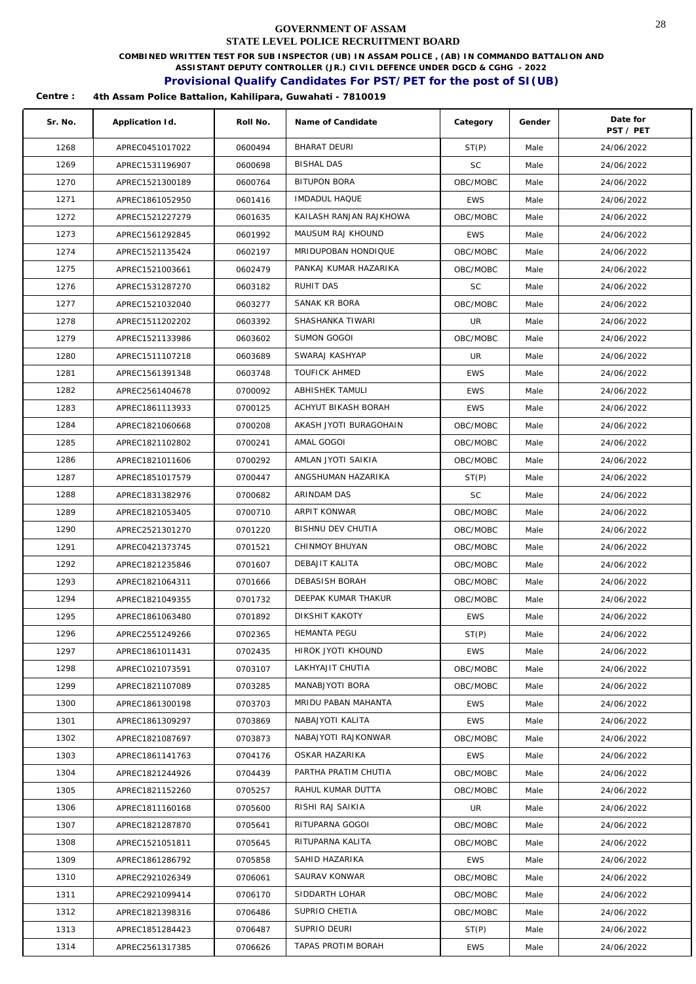**COMBINED WRITTEN TEST FOR SUB INSPECTOR (UB) IN ASSAM POLICE , (AB) IN COMMANDO BATTALION AND** 

**ASSISTANT DEPUTY CONTROLLER (JR.) CIVIL DEFENCE UNDER DGCD & CGHG - 2022** 

## **Provisional Qualify Candidates For PST/PET for the post of SI(UB)**

| Sr. No. | Application Id. | Roll No. | Name of Candidate       | Category   | Gender | Date for<br>PST / PET |
|---------|-----------------|----------|-------------------------|------------|--------|-----------------------|
| 1268    | APREC0451017022 | 0600494  | <b>BHARAT DEURI</b>     | ST(P)      | Male   | 24/06/2022            |
| 1269    | APREC1531196907 | 0600698  | <b>BISHAL DAS</b>       | <b>SC</b>  | Male   | 24/06/2022            |
| 1270    | APREC1521300189 | 0600764  | <b>BITUPON BORA</b>     | OBC/MOBC   | Male   | 24/06/2022            |
| 1271    | APREC1861052950 | 0601416  | IMDADUL HAQUE           | <b>EWS</b> | Male   | 24/06/2022            |
| 1272    | APREC1521227279 | 0601635  | KAILASH RANJAN RAJKHOWA | OBC/MOBC   | Male   | 24/06/2022            |
| 1273    | APREC1561292845 | 0601992  | MAUSUM RAJ KHOUND       | <b>EWS</b> | Male   | 24/06/2022            |
| 1274    | APREC1521135424 | 0602197  | MRIDUPOBAN HONDIQUE     | OBC/MOBC   | Male   | 24/06/2022            |
| 1275    | APREC1521003661 | 0602479  | PANKAJ KUMAR HAZARIKA   | OBC/MOBC   | Male   | 24/06/2022            |
| 1276    | APREC1531287270 | 0603182  | RUHIT DAS               | SC         | Male   | 24/06/2022            |
| 1277    | APREC1521032040 | 0603277  | SANAK KR BORA           | OBC/MOBC   | Male   | 24/06/2022            |
| 1278    | APREC1511202202 | 0603392  | SHASHANKA TIWARI        | UR         | Male   | 24/06/2022            |
| 1279    | APREC1521133986 | 0603602  | SUMON GOGOI             | OBC/MOBC   | Male   | 24/06/2022            |
| 1280    | APREC1511107218 | 0603689  | SWARAJ KASHYAP          | UR         | Male   | 24/06/2022            |
| 1281    | APREC1561391348 | 0603748  | <b>TOUFICK AHMED</b>    | <b>EWS</b> | Male   | 24/06/2022            |
| 1282    | APREC2561404678 | 0700092  | ABHISHEK TAMULI         | <b>EWS</b> | Male   | 24/06/2022            |
| 1283    | APREC1861113933 | 0700125  | ACHYUT BIKASH BORAH     | <b>EWS</b> | Male   | 24/06/2022            |
| 1284    | APREC1821060668 | 0700208  | AKASH JYOTI BURAGOHAIN  | OBC/MOBC   | Male   | 24/06/2022            |
| 1285    | APREC1821102802 | 0700241  | AMAL GOGOI              | OBC/MOBC   | Male   | 24/06/2022            |
| 1286    | APREC1821011606 | 0700292  | AMLAN JYOTI SAIKIA      | OBC/MOBC   | Male   | 24/06/2022            |
| 1287    | APREC1851017579 | 0700447  | ANGSHUMAN HAZARIKA      | ST(P)      | Male   | 24/06/2022            |
| 1288    | APREC1831382976 | 0700682  | ARINDAM DAS             | <b>SC</b>  | Male   | 24/06/2022            |
| 1289    | APREC1821053405 | 0700710  | ARPIT KONWAR            | OBC/MOBC   | Male   | 24/06/2022            |
| 1290    | APREC2521301270 | 0701220  | BISHNU DEV CHUTIA       | OBC/MOBC   | Male   | 24/06/2022            |
| 1291    | APREC0421373745 | 0701521  | CHINMOY BHUYAN          | OBC/MOBC   | Male   | 24/06/2022            |
| 1292    | APREC1821235846 | 0701607  | DEBAJIT KALITA          | OBC/MOBC   | Male   | 24/06/2022            |
| 1293    | APREC1821064311 | 0701666  | DEBASISH BORAH          | OBC/MOBC   | Male   | 24/06/2022            |
| 1294    | APREC1821049355 | 0701732  | DEEPAK KUMAR THAKUR     | OBC/MOBC   | Male   | 24/06/2022            |
| 1295    | APREC1861063480 | 0701892  | DIKSHIT KAKOTY          | <b>EWS</b> | Male   | 24/06/2022            |
| 1296    | APREC2551249266 | 0702365  | HEMANTA PEGU            | ST(P)      | Male   | 24/06/2022            |
| 1297    | APREC1861011431 | 0702435  | HIROK JYOTI KHOUND      | EWS        | Male   | 24/06/2022            |
| 1298    | APREC1021073591 | 0703107  | LAKHYAJIT CHUTIA        | OBC/MOBC   | Male   | 24/06/2022            |
| 1299    | APREC1821107089 | 0703285  | MANABJYOTI BORA         | OBC/MOBC   | Male   | 24/06/2022            |
| 1300    | APREC1861300198 | 0703703  | MRIDU PABAN MAHANTA     | <b>EWS</b> | Male   | 24/06/2022            |
| 1301    | APREC1861309297 | 0703869  | NABAJYOTI KALITA        | <b>EWS</b> | Male   | 24/06/2022            |
| 1302    | APREC1821087697 | 0703873  | NABAJYOTI RAJKONWAR     | OBC/MOBC   | Male   | 24/06/2022            |
| 1303    | APREC1861141763 | 0704176  | OSKAR HAZARIKA          | <b>EWS</b> | Male   | 24/06/2022            |
| 1304    | APREC1821244926 | 0704439  | PARTHA PRATIM CHUTIA    | OBC/MOBC   | Male   | 24/06/2022            |
| 1305    | APREC1821152260 | 0705257  | RAHUL KUMAR DUTTA       | OBC/MOBC   | Male   | 24/06/2022            |
| 1306    | APREC1811160168 | 0705600  | RISHI RAJ SAIKIA        | UR         | Male   | 24/06/2022            |
| 1307    | APREC1821287870 | 0705641  | RITUPARNA GOGOI         | OBC/MOBC   | Male   | 24/06/2022            |
| 1308    | APREC1521051811 | 0705645  | RITUPARNA KALITA        | OBC/MOBC   | Male   | 24/06/2022            |
| 1309    | APREC1861286792 | 0705858  | SAHID HAZARIKA          | <b>EWS</b> | Male   | 24/06/2022            |
| 1310    | APREC2921026349 | 0706061  | SAURAV KONWAR           | OBC/MOBC   | Male   | 24/06/2022            |
| 1311    | APREC2921099414 | 0706170  | SIDDARTH LOHAR          | OBC/MOBC   | Male   | 24/06/2022            |
| 1312    | APREC1821398316 | 0706486  | SUPRIO CHETIA           | OBC/MOBC   | Male   | 24/06/2022            |
| 1313    | APREC1851284423 | 0706487  | SUPRIO DEURI            | ST(P)      | Male   | 24/06/2022            |
| 1314    | APREC2561317385 | 0706626  | TAPAS PROTIM BORAH      | EWS        | Male   | 24/06/2022            |
|         |                 |          |                         |            |        |                       |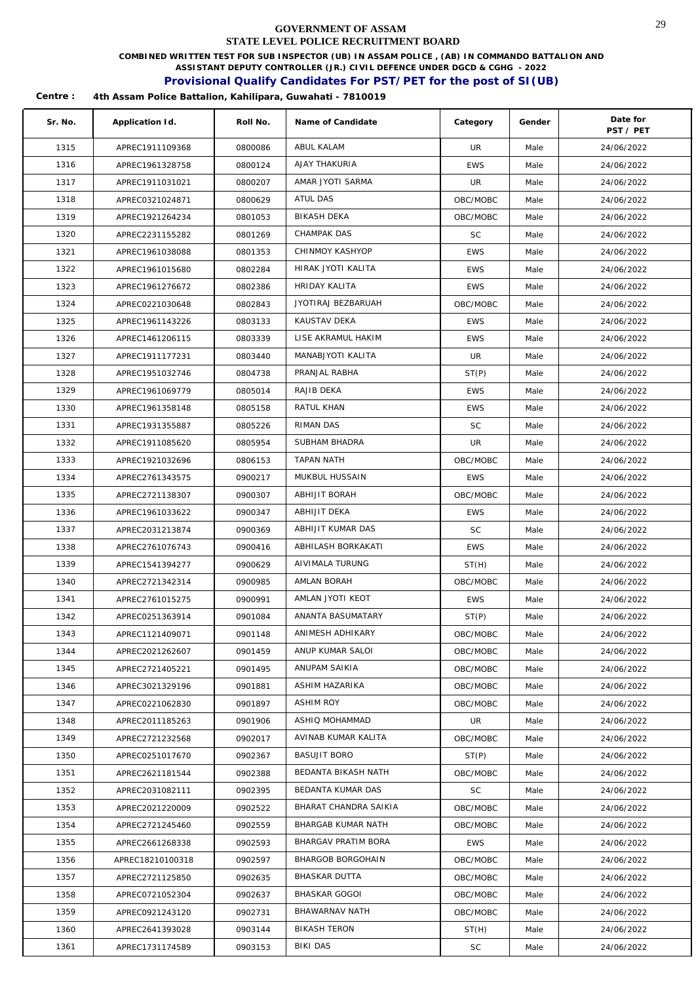**COMBINED WRITTEN TEST FOR SUB INSPECTOR (UB) IN ASSAM POLICE , (AB) IN COMMANDO BATTALION AND** 

**ASSISTANT DEPUTY CONTROLLER (JR.) CIVIL DEFENCE UNDER DGCD & CGHG - 2022** 

### **Provisional Qualify Candidates For PST/PET for the post of SI(UB)**

| Sr. No. | Application Id.  | Roll No. | Name of Candidate     | Category   | Gender | Date for<br>PST / PET |
|---------|------------------|----------|-----------------------|------------|--------|-----------------------|
| 1315    | APREC1911109368  | 0800086  | ABUL KALAM            | UR         | Male   | 24/06/2022            |
| 1316    | APREC1961328758  | 0800124  | AJAY THAKURIA         | <b>EWS</b> | Male   | 24/06/2022            |
| 1317    | APREC1911031021  | 0800207  | AMAR JYOTI SARMA      | UR         | Male   | 24/06/2022            |
| 1318    | APREC0321024871  | 0800629  | <b>ATUL DAS</b>       | OBC/MOBC   | Male   | 24/06/2022            |
| 1319    | APREC1921264234  | 0801053  | BIKASH DEKA           | OBC/MOBC   | Male   | 24/06/2022            |
| 1320    | APREC2231155282  | 0801269  | CHAMPAK DAS           | <b>SC</b>  | Male   | 24/06/2022            |
| 1321    | APREC1961038088  | 0801353  | CHINMOY KASHYOP       | <b>EWS</b> | Male   | 24/06/2022            |
| 1322    | APREC1961015680  | 0802284  | HIRAK JYOTI KALITA    | <b>EWS</b> | Male   | 24/06/2022            |
| 1323    | APREC1961276672  | 0802386  | HRIDAY KALITA         | <b>EWS</b> | Male   | 24/06/2022            |
| 1324    | APREC0221030648  | 0802843  | JYOTIRAJ BEZBARUAH    | OBC/MOBC   | Male   | 24/06/2022            |
| 1325    | APREC1961143226  | 0803133  | KAUSTAV DEKA          | EWS        | Male   | 24/06/2022            |
| 1326    | APREC1461206115  | 0803339  | LISE AKRAMUL HAKIM    | <b>EWS</b> | Male   | 24/06/2022            |
| 1327    | APREC1911177231  | 0803440  | MANABJYOTI KALITA     | UR         | Male   | 24/06/2022            |
| 1328    | APREC1951032746  | 0804738  | PRANJAL RABHA         | ST(P)      | Male   | 24/06/2022            |
| 1329    | APREC1961069779  | 0805014  | RAJIB DEKA            | <b>EWS</b> | Male   | 24/06/2022            |
| 1330    | APREC1961358148  | 0805158  | RATUL KHAN            | <b>EWS</b> | Male   | 24/06/2022            |
| 1331    | APREC1931355887  | 0805226  | RIMAN DAS             | <b>SC</b>  | Male   | 24/06/2022            |
| 1332    | APREC1911085620  | 0805954  | SUBHAM BHADRA         | UR         | Male   | 24/06/2022            |
| 1333    | APREC1921032696  | 0806153  | TAPAN NATH            | OBC/MOBC   | Male   | 24/06/2022            |
| 1334    | APREC2761343575  | 0900217  | MUKBUL HUSSAIN        | <b>EWS</b> | Male   | 24/06/2022            |
| 1335    | APREC2721138307  | 0900307  | ABHIJIT BORAH         | OBC/MOBC   | Male   | 24/06/2022            |
| 1336    | APREC1961033622  | 0900347  | ABHIJIT DEKA          | <b>EWS</b> | Male   | 24/06/2022            |
| 1337    | APREC2031213874  | 0900369  | ABHIJIT KUMAR DAS     | <b>SC</b>  | Male   | 24/06/2022            |
| 1338    | APREC2761076743  | 0900416  | ABHILASH BORKAKATI    | <b>EWS</b> | Male   | 24/06/2022            |
| 1339    | APREC1541394277  | 0900629  | AIVIMALA TURUNG       | ST(H)      | Male   | 24/06/2022            |
| 1340    | APREC2721342314  | 0900985  | AMLAN BORAH           | OBC/MOBC   | Male   | 24/06/2022            |
| 1341    | APREC2761015275  | 0900991  | AMLAN JYOTI KEOT      | <b>EWS</b> | Male   | 24/06/2022            |
| 1342    | APREC0251363914  | 0901084  | ANANTA BASUMATARY     | ST(P)      | Male   | 24/06/2022            |
| 1343    | APREC1121409071  | 0901148  | ANIMESH ADHIKARY      | OBC/MOBC   | Male   | 24/06/2022            |
| 1344    | APREC2021262607  | 0901459  | ANUP KUMAR SALOI      | OBC/MOBC   | Male   | 24/06/2022            |
| 1345    | APREC2721405221  | 0901495  | ANUPAM SAIKIA         | OBC/MOBC   | Male   | 24/06/2022            |
| 1346    | APREC3021329196  | 0901881  | ASHIM HAZARIKA        | OBC/MOBC   | Male   | 24/06/2022            |
| 1347    | APREC0221062830  | 0901897  | <b>ASHIM ROY</b>      | OBC/MOBC   | Male   | 24/06/2022            |
| 1348    | APREC2011185263  | 0901906  | ASHIQ MOHAMMAD        | UR         | Male   | 24/06/2022            |
| 1349    | APREC2721232568  | 0902017  | AVINAB KUMAR KALITA   | OBC/MOBC   | Male   | 24/06/2022            |
| 1350    | APREC0251017670  | 0902367  | <b>BASUJIT BORO</b>   | ST(P)      | Male   | 24/06/2022            |
| 1351    | APREC2621181544  | 0902388  | BEDANTA BIKASH NATH   | OBC/MOBC   | Male   | 24/06/2022            |
| 1352    | APREC2031082111  | 0902395  | BEDANTA KUMAR DAS     | SC         | Male   | 24/06/2022            |
| 1353    | APREC2021220009  | 0902522  | BHARAT CHANDRA SAIKIA | OBC/MOBC   | Male   | 24/06/2022            |
| 1354    | APREC2721245460  | 0902559  | BHARGAB KUMAR NATH    | OBC/MOBC   | Male   | 24/06/2022            |
| 1355    | APREC2661268338  | 0902593  | BHARGAV PRATIM BORA   | EWS        | Male   | 24/06/2022            |
| 1356    | APREC18210100318 | 0902597  | BHARGOB BORGOHAIN     | OBC/MOBC   | Male   | 24/06/2022            |
| 1357    | APREC2721125850  | 0902635  | <b>BHASKAR DUTTA</b>  | OBC/MOBC   | Male   | 24/06/2022            |
| 1358    | APREC0721052304  | 0902637  | <b>BHASKAR GOGOI</b>  | OBC/MOBC   | Male   | 24/06/2022            |
| 1359    | APREC0921243120  | 0902731  | BHAWARNAV NATH        | OBC/MOBC   | Male   | 24/06/2022            |
| 1360    | APREC2641393028  | 0903144  | <b>BIKASH TERON</b>   | ST(H)      | Male   | 24/06/2022            |
| 1361    | APREC1731174589  | 0903153  | BIKI DAS              | SC         | Male   | 24/06/2022            |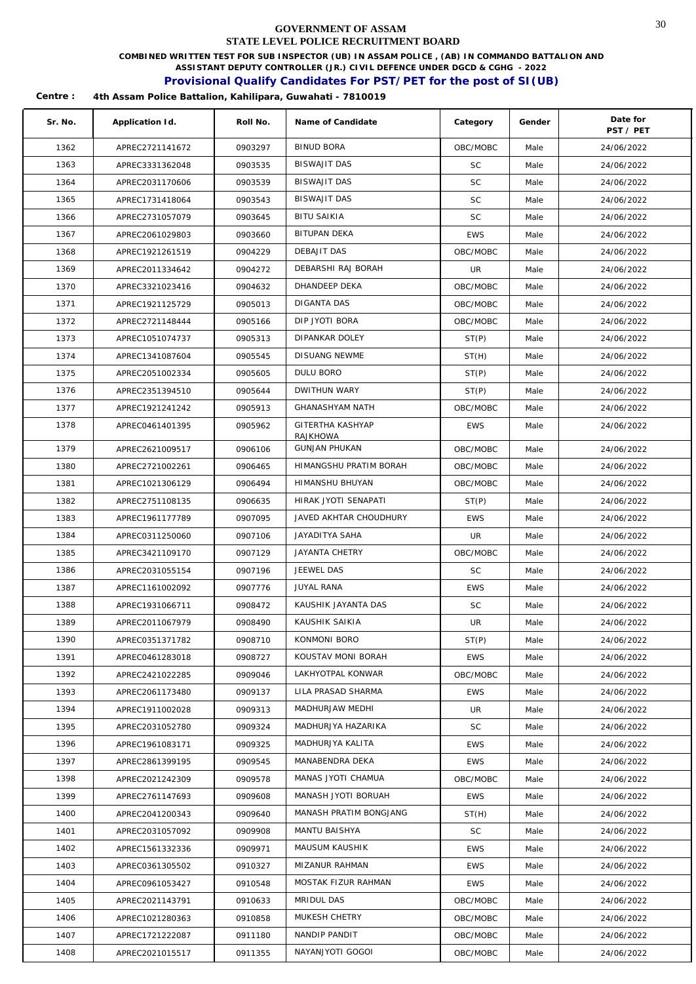**COMBINED WRITTEN TEST FOR SUB INSPECTOR (UB) IN ASSAM POLICE , (AB) IN COMMANDO BATTALION AND** 

**ASSISTANT DEPUTY CONTROLLER (JR.) CIVIL DEFENCE UNDER DGCD & CGHG - 2022** 

### **Provisional Qualify Candidates For PST/PET for the post of SI(UB)**

| Sr. No. | Application Id. | Roll No. | Name of Candidate      | Category   | Gender | Date for<br>PST / PET |
|---------|-----------------|----------|------------------------|------------|--------|-----------------------|
| 1362    | APREC2721141672 | 0903297  | <b>BINUD BORA</b>      | OBC/MOBC   | Male   | 24/06/2022            |
| 1363    | APREC3331362048 | 0903535  | <b>BISWAJIT DAS</b>    | <b>SC</b>  | Male   | 24/06/2022            |
| 1364    | APREC2031170606 | 0903539  | <b>BISWAJIT DAS</b>    | <b>SC</b>  | Male   | 24/06/2022            |
| 1365    | APREC1731418064 | 0903543  | <b>BISWAJIT DAS</b>    | <b>SC</b>  | Male   | 24/06/2022            |
| 1366    | APREC2731057079 | 0903645  | <b>BITU SAIKIA</b>     | <b>SC</b>  | Male   | 24/06/2022            |
| 1367    | APREC2061029803 | 0903660  | BITUPAN DEKA           | <b>EWS</b> | Male   | 24/06/2022            |
| 1368    | APREC1921261519 | 0904229  | DEBAJIT DAS            | OBC/MOBC   | Male   | 24/06/2022            |
| 1369    | APREC2011334642 | 0904272  | DEBARSHI RAJ BORAH     | UR         | Male   | 24/06/2022            |
| 1370    | APREC3321023416 | 0904632  | DHANDEEP DEKA          | OBC/MOBC   | Male   | 24/06/2022            |
| 1371    | APREC1921125729 | 0905013  | DIGANTA DAS            | OBC/MOBC   | Male   | 24/06/2022            |
| 1372    | APREC2721148444 | 0905166  | DIP JYOTI BORA         | OBC/MOBC   | Male   | 24/06/2022            |
| 1373    | APREC1051074737 | 0905313  | DIPANKAR DOLEY         | ST(P)      | Male   | 24/06/2022            |
| 1374    | APREC1341087604 | 0905545  | <b>DISUANG NEWME</b>   | ST(H)      | Male   | 24/06/2022            |
| 1375    | APREC2051002334 | 0905605  | <b>DULU BORO</b>       | ST(P)      | Male   | 24/06/2022            |
| 1376    | APREC2351394510 | 0905644  | DWITHUN WARY           | ST(P)      | Male   | 24/06/2022            |
| 1377    | APREC1921241242 | 0905913  | <b>GHANASHYAM NATH</b> | OBC/MOBC   | Male   | 24/06/2022            |
| 1378    | APREC0461401395 | 0905962  | GITERTHA KASHYAP       | <b>EWS</b> | Male   | 24/06/2022            |
|         |                 |          | <b>RAJKHOWA</b>        |            |        |                       |
| 1379    | APREC2621009517 | 0906106  | <b>GUNJAN PHUKAN</b>   | OBC/MOBC   | Male   | 24/06/2022            |
| 1380    | APREC2721002261 | 0906465  | HIMANGSHU PRATIM BORAH | OBC/MOBC   | Male   | 24/06/2022            |
| 1381    | APREC1021306129 | 0906494  | HIMANSHU BHUYAN        | OBC/MOBC   | Male   | 24/06/2022            |
| 1382    | APREC2751108135 | 0906635  | HIRAK JYOTI SENAPATI   | ST(P)      | Male   | 24/06/2022            |
| 1383    | APREC1961177789 | 0907095  | JAVED AKHTAR CHOUDHURY | <b>EWS</b> | Male   | 24/06/2022            |
| 1384    | APREC0311250060 | 0907106  | JAYADITYA SAHA         | UR         | Male   | 24/06/2022            |
| 1385    | APREC3421109170 | 0907129  | <b>JAYANTA CHETRY</b>  | OBC/MOBC   | Male   | 24/06/2022            |
| 1386    | APREC2031055154 | 0907196  | JEEWEL DAS             | <b>SC</b>  | Male   | 24/06/2022            |
| 1387    | APREC1161002092 | 0907776  | <b>JUYAL RANA</b>      | <b>EWS</b> | Male   | 24/06/2022            |
| 1388    | APREC1931066711 | 0908472  | KAUSHIK JAYANTA DAS    | <b>SC</b>  | Male   | 24/06/2022            |
| 1389    | APREC2011067979 | 0908490  | KAUSHIK SAIKIA         | UR         | Male   | 24/06/2022            |
| 1390    | APREC0351371782 | 0908710  | KONMONI BORO           | ST(P)      | Male   | 24/06/2022            |
| 1391    | APREC0461283018 | 0908727  | KOUSTAV MONI BORAH     | <b>EWS</b> | Male   | 24/06/2022            |
| 1392    | APREC2421022285 | 0909046  | LAKHYOTPAL KONWAR      | OBC/MOBC   | Male   | 24/06/2022            |
| 1393    | APREC2061173480 | 0909137  | LILA PRASAD SHARMA     | <b>EWS</b> | Male   | 24/06/2022            |
| 1394    | APREC1911002028 | 0909313  | MADHURJAW MEDHI        | UR         | Male   | 24/06/2022            |
| 1395    | APREC2031052780 | 0909324  | MADHURJYA HAZARIKA     | <b>SC</b>  | Male   | 24/06/2022            |
| 1396    | APREC1961083171 | 0909325  | MADHURJYA KALITA       | <b>EWS</b> | Male   | 24/06/2022            |
| 1397    | APREC2861399195 | 0909545  | MANABENDRA DEKA        | <b>EWS</b> | Male   | 24/06/2022            |
| 1398    | APREC2021242309 | 0909578  | MANAS JYOTI CHAMUA     | OBC/MOBC   | Male   | 24/06/2022            |
| 1399    | APREC2761147693 | 0909608  | MANASH JYOTI BORUAH    | <b>EWS</b> | Male   | 24/06/2022            |
| 1400    | APREC2041200343 | 0909640  | MANASH PRATIM BONGJANG | ST(H)      | Male   | 24/06/2022            |
| 1401    | APREC2031057092 | 0909908  | MANTU BAISHYA          | SC         | Male   | 24/06/2022            |
| 1402    | APREC1561332336 | 0909971  | MAUSUM KAUSHIK         | <b>EWS</b> | Male   | 24/06/2022            |
| 1403    | APREC0361305502 | 0910327  | MIZANUR RAHMAN         | <b>EWS</b> | Male   | 24/06/2022            |
| 1404    | APREC0961053427 | 0910548  | MOSTAK FIZUR RAHMAN    | <b>EWS</b> | Male   | 24/06/2022            |
| 1405    | APREC2021143791 | 0910633  | MRIDUL DAS             | OBC/MOBC   | Male   | 24/06/2022            |
| 1406    | APREC1021280363 | 0910858  | MUKESH CHETRY          | OBC/MOBC   | Male   | 24/06/2022            |
| 1407    | APREC1721222087 | 0911180  | NANDIP PANDIT          | OBC/MOBC   | Male   | 24/06/2022            |
| 1408    | APREC2021015517 | 0911355  | NAYANJYOTI GOGOI       | OBC/MOBC   | Male   | 24/06/2022            |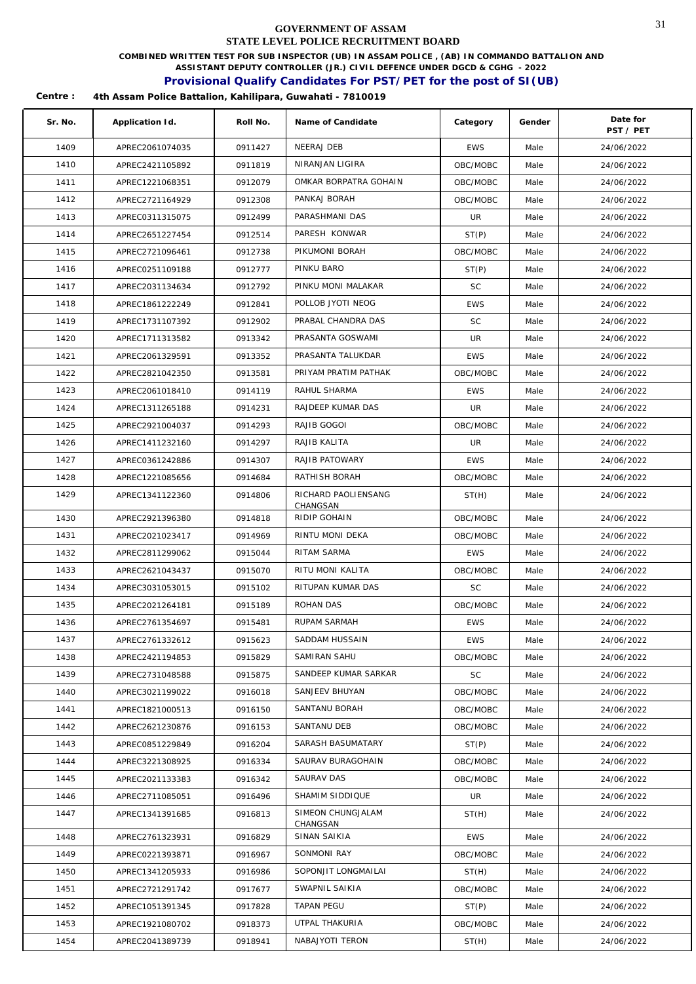**COMBINED WRITTEN TEST FOR SUB INSPECTOR (UB) IN ASSAM POLICE , (AB) IN COMMANDO BATTALION AND** 

**ASSISTANT DEPUTY CONTROLLER (JR.) CIVIL DEFENCE UNDER DGCD & CGHG - 2022** 

## **Provisional Qualify Candidates For PST/PET for the post of SI(UB)**

| Sr. No. | Application Id. | Roll No. | Name of Candidate               | Category   | Gender | Date for<br>PST / PET |
|---------|-----------------|----------|---------------------------------|------------|--------|-----------------------|
| 1409    | APREC2061074035 | 0911427  | NEERAJ DEB                      | <b>EWS</b> | Male   | 24/06/2022            |
| 1410    | APREC2421105892 | 0911819  | NIRANJAN LIGIRA                 | OBC/MOBC   | Male   | 24/06/2022            |
| 1411    | APREC1221068351 | 0912079  | OMKAR BORPATRA GOHAIN           | OBC/MOBC   | Male   | 24/06/2022            |
| 1412    | APREC2721164929 | 0912308  | PANKAJ BORAH                    | OBC/MOBC   | Male   | 24/06/2022            |
| 1413    | APREC0311315075 | 0912499  | PARASHMANI DAS                  | UR         | Male   | 24/06/2022            |
| 1414    | APREC2651227454 | 0912514  | PARESH KONWAR                   | ST(P)      | Male   | 24/06/2022            |
| 1415    | APREC2721096461 | 0912738  | PIKUMONI BORAH                  | OBC/MOBC   | Male   | 24/06/2022            |
| 1416    | APREC0251109188 | 0912777  | PINKU BARO                      | ST(P)      | Male   | 24/06/2022            |
| 1417    | APREC2031134634 | 0912792  | PINKU MONI MALAKAR              | <b>SC</b>  | Male   | 24/06/2022            |
| 1418    | APREC1861222249 | 0912841  | POLLOB JYOTI NEOG               | <b>EWS</b> | Male   | 24/06/2022            |
| 1419    | APREC1731107392 | 0912902  | PRABAL CHANDRA DAS              | SC         | Male   | 24/06/2022            |
| 1420    | APREC1711313582 | 0913342  | PRASANTA GOSWAMI                | UR         | Male   | 24/06/2022            |
| 1421    | APREC2061329591 | 0913352  | PRASANTA TALUKDAR               | <b>EWS</b> | Male   | 24/06/2022            |
| 1422    | APREC2821042350 | 0913581  | PRIYAM PRATIM PATHAK            | OBC/MOBC   | Male   | 24/06/2022            |
| 1423    | APREC2061018410 | 0914119  | RAHUL SHARMA                    | <b>EWS</b> | Male   | 24/06/2022            |
| 1424    | APREC1311265188 | 0914231  | RAJDEEP KUMAR DAS               | UR         | Male   | 24/06/2022            |
| 1425    | APREC2921004037 | 0914293  | RAJIB GOGOI                     | OBC/MOBC   | Male   | 24/06/2022            |
| 1426    | APREC1411232160 | 0914297  | RAJIB KALITA                    | UR         | Male   | 24/06/2022            |
| 1427    | APREC0361242886 | 0914307  | RAJIB PATOWARY                  | <b>EWS</b> | Male   | 24/06/2022            |
| 1428    | APREC1221085656 | 0914684  | RATHISH BORAH                   | OBC/MOBC   | Male   | 24/06/2022            |
| 1429    | APREC1341122360 | 0914806  | RICHARD PAOLIENSANG<br>CHANGSAN | ST(H)      | Male   | 24/06/2022            |
| 1430    | APREC2921396380 | 0914818  | RIDIP GOHAIN                    | OBC/MOBC   | Male   | 24/06/2022            |
| 1431    | APREC2021023417 | 0914969  | RINTU MONI DEKA                 | OBC/MOBC   | Male   | 24/06/2022            |
| 1432    | APREC2811299062 | 0915044  | RITAM SARMA                     | <b>EWS</b> | Male   | 24/06/2022            |
| 1433    | APREC2621043437 | 0915070  | RITU MONI KALITA                | OBC/MOBC   | Male   | 24/06/2022            |
| 1434    | APREC3031053015 | 0915102  | RITUPAN KUMAR DAS               | SC         | Male   | 24/06/2022            |
| 1435    | APREC2021264181 | 0915189  | ROHAN DAS                       | OBC/MOBC   | Male   | 24/06/2022            |
| 1436    | APREC2761354697 | 0915481  | RUPAM SARMAH                    | <b>EWS</b> | Male   | 24/06/2022            |
| 1437    | APREC2761332612 | 0915623  | SADDAM HUSSAIN                  | <b>EWS</b> | Male   | 24/06/2022            |
| 1438    | APREC2421194853 | 0915829  | SAMIRAN SAHU                    | OBC/MOBC   | Male   | 24/06/2022            |
| 1439    | APREC2731048588 | 0915875  | SANDEEP KUMAR SARKAR            | <b>SC</b>  | Male   | 24/06/2022            |
| 1440    | APREC3021199022 | 0916018  | SANJEEV BHUYAN                  | OBC/MOBC   | Male   | 24/06/2022            |
| 1441    | APREC1821000513 | 0916150  | SANTANU BORAH                   | OBC/MOBC   | Male   | 24/06/2022            |
| 1442    | APREC2621230876 | 0916153  | SANTANU DEB                     | OBC/MOBC   | Male   | 24/06/2022            |
| 1443    | APREC0851229849 | 0916204  | SARASH BASUMATARY               | ST(P)      | Male   | 24/06/2022            |
| 1444    | APREC3221308925 | 0916334  | SAURAV BURAGOHAIN               | OBC/MOBC   | Male   | 24/06/2022            |
| 1445    | APREC2021133383 | 0916342  | SAURAV DAS                      | OBC/MOBC   | Male   | 24/06/2022            |
| 1446    | APREC2711085051 | 0916496  | SHAMIM SIDDIQUE                 | UR         | Male   | 24/06/2022            |
| 1447    | APREC1341391685 | 0916813  | SIMEON CHUNGJALAM<br>CHANGSAN   | ST(H)      | Male   | 24/06/2022            |
| 1448    | APREC2761323931 | 0916829  | SINAN SAIKIA                    | <b>EWS</b> | Male   | 24/06/2022            |
| 1449    | APREC0221393871 | 0916967  | SONMONI RAY                     | OBC/MOBC   | Male   | 24/06/2022            |
| 1450    | APREC1341205933 | 0916986  | SOPONJIT LONGMAILAI             | ST(H)      | Male   | 24/06/2022            |
| 1451    | APREC2721291742 | 0917677  | SWAPNIL SAIKIA                  | OBC/MOBC   | Male   | 24/06/2022            |
| 1452    | APREC1051391345 | 0917828  | TAPAN PEGU                      | ST(P)      | Male   | 24/06/2022            |
| 1453    | APREC1921080702 | 0918373  | UTPAL THAKURIA                  | OBC/MOBC   | Male   | 24/06/2022            |
| 1454    | APREC2041389739 | 0918941  | NABAJYOTI TERON                 | ST(H)      | Male   | 24/06/2022            |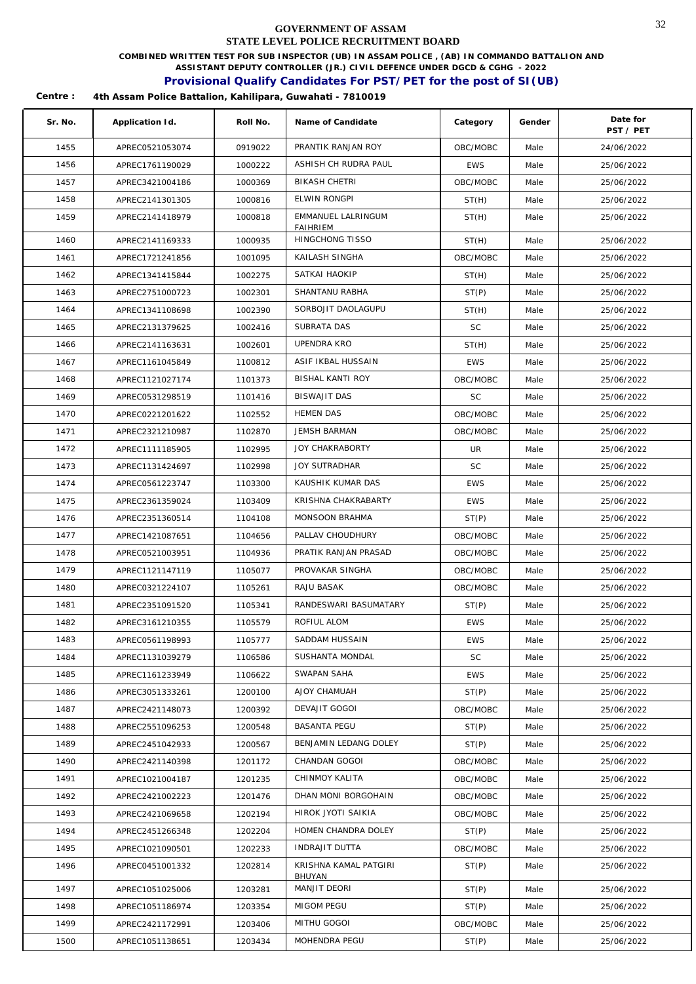**COMBINED WRITTEN TEST FOR SUB INSPECTOR (UB) IN ASSAM POLICE , (AB) IN COMMANDO BATTALION AND** 

**ASSISTANT DEPUTY CONTROLLER (JR.) CIVIL DEFENCE UNDER DGCD & CGHG - 2022** 

## **Provisional Qualify Candidates For PST/PET for the post of SI(UB)**

| Sr. No. | Application Id. | Roll No. | Name of Candidate                  | Category   | Gender | Date for<br>PST / PET |
|---------|-----------------|----------|------------------------------------|------------|--------|-----------------------|
| 1455    | APREC0521053074 | 0919022  | PRANTIK RANJAN ROY                 | OBC/MOBC   | Male   | 24/06/2022            |
| 1456    | APREC1761190029 | 1000222  | ASHISH CH RUDRA PAUL               | <b>EWS</b> | Male   | 25/06/2022            |
| 1457    | APREC3421004186 | 1000369  | BIKASH CHETRI                      | OBC/MOBC   | Male   | 25/06/2022            |
| 1458    | APREC2141301305 | 1000816  | <b>ELWIN RONGPI</b>                | ST(H)      | Male   | 25/06/2022            |
| 1459    | APREC2141418979 | 1000818  | EMMANUEL LALRINGUM                 | ST(H)      | Male   | 25/06/2022            |
| 1460    | APREC2141169333 | 1000935  | <b>FAIHRIEM</b><br>HINGCHONG TISSO | ST(H)      | Male   | 25/06/2022            |
| 1461    | APREC1721241856 | 1001095  | KAILASH SINGHA                     | OBC/MOBC   | Male   | 25/06/2022            |
| 1462    | APREC1341415844 | 1002275  | SATKAI HAOKIP                      | ST(H)      | Male   | 25/06/2022            |
| 1463    | APREC2751000723 | 1002301  | SHANTANU RABHA                     | ST(P)      | Male   | 25/06/2022            |
| 1464    | APREC1341108698 | 1002390  | SORBOJIT DAOLAGUPU                 | ST(H)      | Male   | 25/06/2022            |
| 1465    | APREC2131379625 | 1002416  | SUBRATA DAS                        | <b>SC</b>  | Male   | 25/06/2022            |
| 1466    | APREC2141163631 | 1002601  | UPENDRA KRO                        | ST(H)      | Male   | 25/06/2022            |
| 1467    | APREC1161045849 | 1100812  | ASIF IKBAL HUSSAIN                 | <b>EWS</b> | Male   | 25/06/2022            |
| 1468    | APREC1121027174 | 1101373  | BISHAL KANTI ROY                   | OBC/MOBC   | Male   | 25/06/2022            |
| 1469    | APREC0531298519 | 1101416  | BISWAJIT DAS                       | <b>SC</b>  | Male   | 25/06/2022            |
| 1470    | APREC0221201622 | 1102552  | HEMEN DAS                          | OBC/MOBC   | Male   | 25/06/2022            |
| 1471    | APREC2321210987 | 1102870  | <b>JEMSH BARMAN</b>                | OBC/MOBC   | Male   | 25/06/2022            |
| 1472    | APREC1111185905 | 1102995  | <b>JOY CHAKRABORTY</b>             | UR         | Male   | 25/06/2022            |
| 1473    | APREC1131424697 | 1102998  | <b>JOY SUTRADHAR</b>               | <b>SC</b>  | Male   | 25/06/2022            |
| 1474    | APREC0561223747 | 1103300  | KAUSHIK KUMAR DAS                  | <b>EWS</b> | Male   | 25/06/2022            |
| 1475    | APREC2361359024 | 1103409  | KRISHNA CHAKRABARTY                | <b>EWS</b> | Male   | 25/06/2022            |
| 1476    | APREC2351360514 | 1104108  | MONSOON BRAHMA                     | ST(P)      | Male   | 25/06/2022            |
| 1477    | APREC1421087651 | 1104656  | PALLAV CHOUDHURY                   | OBC/MOBC   | Male   | 25/06/2022            |
| 1478    | APREC0521003951 | 1104936  | PRATIK RANJAN PRASAD               | OBC/MOBC   | Male   | 25/06/2022            |
| 1479    | APREC1121147119 | 1105077  | PROVAKAR SINGHA                    | OBC/MOBC   | Male   | 25/06/2022            |
| 1480    | APREC0321224107 | 1105261  | RAJU BASAK                         | OBC/MOBC   | Male   | 25/06/2022            |
| 1481    | APREC2351091520 | 1105341  | RANDESWARI BASUMATARY              | ST(P)      | Male   | 25/06/2022            |
| 1482    | APREC3161210355 | 1105579  | ROFIUL ALOM                        | <b>EWS</b> | Male   | 25/06/2022            |
| 1483    | APREC0561198993 | 1105777  | SADDAM HUSSAIN                     | <b>EWS</b> | Male   | 25/06/2022            |
| 1484    | APREC1131039279 | 1106586  | SUSHANTA MONDAL                    | <b>SC</b>  | Male   | 25/06/2022            |
| 1485    | APREC1161233949 | 1106622  | SWAPAN SAHA                        | <b>EWS</b> | Male   | 25/06/2022            |
| 1486    | APREC3051333261 | 1200100  | AJOY CHAMUAH                       | ST(P)      | Male   | 25/06/2022            |
| 1487    | APREC2421148073 | 1200392  | DEVAJIT GOGOI                      | OBC/MOBC   | Male   | 25/06/2022            |
| 1488    | APREC2551096253 | 1200548  | <b>BASANTA PEGU</b>                | ST(P)      | Male   | 25/06/2022            |
| 1489    | APREC2451042933 | 1200567  | BENJAMIN LEDANG DOLEY              | ST(P)      | Male   | 25/06/2022            |
| 1490    | APREC2421140398 | 1201172  | CHANDAN GOGOI                      | OBC/MOBC   | Male   | 25/06/2022            |
| 1491    | APREC1021004187 | 1201235  | CHINMOY KALITA                     | OBC/MOBC   | Male   | 25/06/2022            |
| 1492    | APREC2421002223 | 1201476  | DHAN MONI BORGOHAIN                | OBC/MOBC   | Male   | 25/06/2022            |
| 1493    | APREC2421069658 | 1202194  | HIROK JYOTI SAIKIA                 | OBC/MOBC   | Male   | 25/06/2022            |
| 1494    | APREC2451266348 | 1202204  | HOMEN CHANDRA DOLEY                | ST(P)      | Male   | 25/06/2022            |
| 1495    | APREC1021090501 | 1202233  | INDRAJIT DUTTA                     | OBC/MOBC   | Male   | 25/06/2022            |
| 1496    | APREC0451001332 | 1202814  | KRISHNA KAMAL PATGIRI              | ST(P)      | Male   | 25/06/2022            |
| 1497    | APREC1051025006 | 1203281  | BHUYAN<br>MANJIT DEORI             | ST(P)      | Male   | 25/06/2022            |
| 1498    | APREC1051186974 | 1203354  | MIGOM PEGU                         | ST(P)      | Male   | 25/06/2022            |
| 1499    | APREC2421172991 | 1203406  | MITHU GOGOI                        | OBC/MOBC   | Male   | 25/06/2022            |
| 1500    | APREC1051138651 | 1203434  | MOHENDRA PEGU                      | ST(P)      | Male   | 25/06/2022            |
|         |                 |          |                                    |            |        |                       |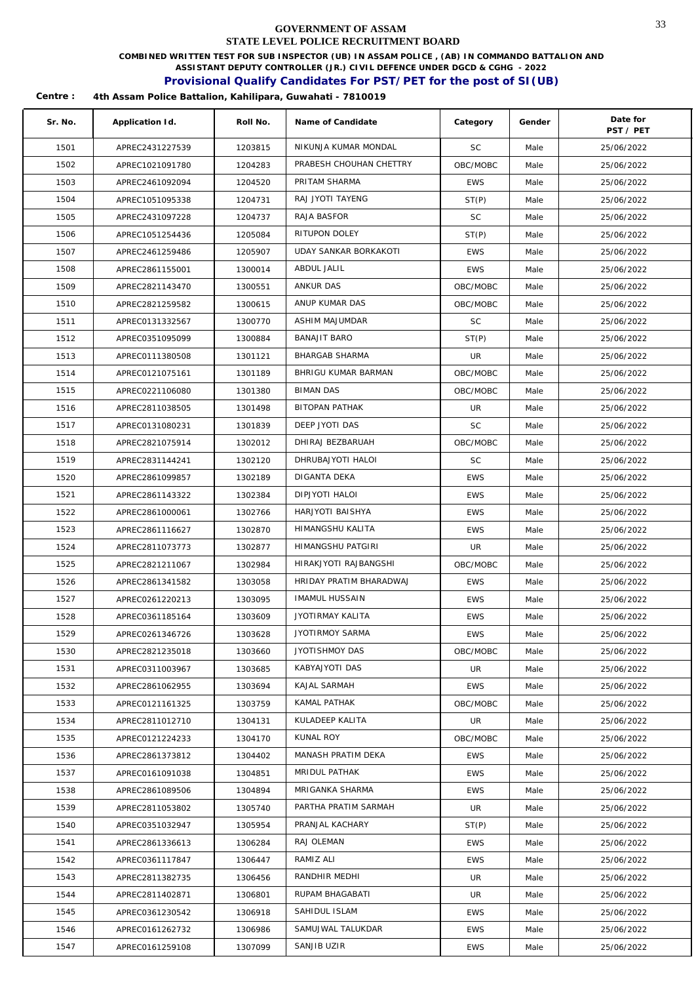**COMBINED WRITTEN TEST FOR SUB INSPECTOR (UB) IN ASSAM POLICE , (AB) IN COMMANDO BATTALION AND** 

**ASSISTANT DEPUTY CONTROLLER (JR.) CIVIL DEFENCE UNDER DGCD & CGHG - 2022** 

## **Provisional Qualify Candidates For PST/PET for the post of SI(UB)**

| Sr. No. | Application Id. | Roll No. | Name of Candidate            | Category   | Gender | Date for<br>PST / PET |
|---------|-----------------|----------|------------------------------|------------|--------|-----------------------|
| 1501    | APREC2431227539 | 1203815  | NIKUNJA KUMAR MONDAL         | <b>SC</b>  | Male   | 25/06/2022            |
| 1502    | APREC1021091780 | 1204283  | PRABESH CHOUHAN CHETTRY      | OBC/MOBC   | Male   | 25/06/2022            |
| 1503    | APREC2461092094 | 1204520  | PRITAM SHARMA                | <b>EWS</b> | Male   | 25/06/2022            |
| 1504    | APREC1051095338 | 1204731  | RAJ JYOTI TAYENG             | ST(P)      | Male   | 25/06/2022            |
| 1505    | APREC2431097228 | 1204737  | RAJA BASFOR                  | SC         | Male   | 25/06/2022            |
| 1506    | APREC1051254436 | 1205084  | RITUPON DOLEY                | ST(P)      | Male   | 25/06/2022            |
| 1507    | APREC2461259486 | 1205907  | <b>UDAY SANKAR BORKAKOTI</b> | <b>EWS</b> | Male   | 25/06/2022            |
| 1508    | APREC2861155001 | 1300014  | ABDUL JALIL                  | <b>EWS</b> | Male   | 25/06/2022            |
| 1509    | APREC2821143470 | 1300551  | ANKUR DAS                    | OBC/MOBC   | Male   | 25/06/2022            |
| 1510    | APREC2821259582 | 1300615  | ANUP KUMAR DAS               | OBC/MOBC   | Male   | 25/06/2022            |
| 1511    | APREC0131332567 | 1300770  | ASHIM MAJUMDAR               | <b>SC</b>  | Male   | 25/06/2022            |
| 1512    | APREC0351095099 | 1300884  | <b>BANAJIT BARO</b>          | ST(P)      | Male   | 25/06/2022            |
| 1513    | APREC0111380508 | 1301121  | BHARGAB SHARMA               | UR         | Male   | 25/06/2022            |
| 1514    | APREC0121075161 | 1301189  | BHRIGU KUMAR BARMAN          | OBC/MOBC   | Male   | 25/06/2022            |
| 1515    | APREC0221106080 | 1301380  | <b>BIMAN DAS</b>             | OBC/MOBC   | Male   | 25/06/2022            |
| 1516    | APREC2811038505 | 1301498  | BITOPAN PATHAK               | UR         | Male   | 25/06/2022            |
| 1517    | APREC0131080231 | 1301839  | DEEP JYOTI DAS               | <b>SC</b>  | Male   | 25/06/2022            |
| 1518    | APREC2821075914 | 1302012  | DHIRAJ BEZBARUAH             | OBC/MOBC   | Male   | 25/06/2022            |
| 1519    | APREC2831144241 | 1302120  | DHRUBAJYOTI HALOI            | <b>SC</b>  | Male   | 25/06/2022            |
| 1520    | APREC2861099857 | 1302189  | DIGANTA DEKA                 | <b>EWS</b> | Male   | 25/06/2022            |
| 1521    | APREC2861143322 | 1302384  | DIPJYOTI HALOI               | <b>EWS</b> | Male   | 25/06/2022            |
| 1522    | APREC2861000061 | 1302766  | HARJYOTI BAISHYA             | <b>EWS</b> | Male   | 25/06/2022            |
| 1523    | APREC2861116627 | 1302870  | HIMANGSHU KALITA             | <b>EWS</b> | Male   | 25/06/2022            |
| 1524    | APREC2811073773 | 1302877  | HIMANGSHU PATGIRI            | UR         | Male   | 25/06/2022            |
| 1525    | APREC2821211067 | 1302984  | HIRAKJYOTI RAJBANGSHI        | OBC/MOBC   | Male   | 25/06/2022            |
| 1526    | APREC2861341582 | 1303058  | HRIDAY PRATIM BHARADWAJ      | <b>EWS</b> | Male   | 25/06/2022            |
| 1527    | APREC0261220213 | 1303095  | <b>IMAMUL HUSSAIN</b>        | <b>EWS</b> | Male   | 25/06/2022            |
| 1528    | APREC0361185164 | 1303609  | JYOTIRMAY KALITA             | <b>EWS</b> | Male   | 25/06/2022            |
| 1529    | APREC0261346726 | 1303628  | <b>JYOTIRMOY SARMA</b>       | <b>EWS</b> | Male   | 25/06/2022            |
| 1530    | APREC2821235018 | 1303660  | JYOTISHMOY DAS               | OBC/MOBC   | Male   | 25/06/2022            |
| 1531    | APREC0311003967 | 1303685  | KABYAJYOTI DAS               | UR         | Male   | 25/06/2022            |
| 1532    | APREC2861062955 | 1303694  | KAJAL SARMAH                 | <b>EWS</b> | Male   | 25/06/2022            |
| 1533    | APREC0121161325 | 1303759  | KAMAL PATHAK                 | OBC/MOBC   | Male   | 25/06/2022            |
| 1534    | APREC2811012710 | 1304131  | KULADEEP KALITA              | UR         | Male   | 25/06/2022            |
| 1535    | APREC0121224233 | 1304170  | KUNAL ROY                    | OBC/MOBC   | Male   | 25/06/2022            |
| 1536    | APREC2861373812 | 1304402  | MANASH PRATIM DEKA           | <b>EWS</b> | Male   | 25/06/2022            |
| 1537    | APREC0161091038 | 1304851  | MRIDUL PATHAK                | <b>EWS</b> | Male   | 25/06/2022            |
| 1538    | APREC2861089506 | 1304894  | MRIGANKA SHARMA              | <b>EWS</b> | Male   | 25/06/2022            |
| 1539    | APREC2811053802 | 1305740  | PARTHA PRATIM SARMAH         | UR         | Male   | 25/06/2022            |
| 1540    | APREC0351032947 | 1305954  | PRANJAL KACHARY              | ST(P)      | Male   | 25/06/2022            |
| 1541    | APREC2861336613 | 1306284  | RAJ OLEMAN                   | <b>EWS</b> | Male   | 25/06/2022            |
| 1542    | APREC0361117847 | 1306447  | RAMIZ ALI                    | <b>EWS</b> | Male   | 25/06/2022            |
| 1543    | APREC2811382735 | 1306456  | RANDHIR MEDHI                | UR         | Male   | 25/06/2022            |
| 1544    | APREC2811402871 | 1306801  | RUPAM BHAGABATI              | UR         | Male   | 25/06/2022            |
| 1545    | APREC0361230542 | 1306918  | SAHIDUL ISLAM                | <b>EWS</b> | Male   | 25/06/2022            |
| 1546    | APREC0161262732 | 1306986  | SAMUJWAL TALUKDAR            | <b>EWS</b> | Male   | 25/06/2022            |
| 1547    | APREC0161259108 | 1307099  | SANJIB UZIR                  | <b>EWS</b> | Male   | 25/06/2022            |
|         |                 |          |                              |            |        |                       |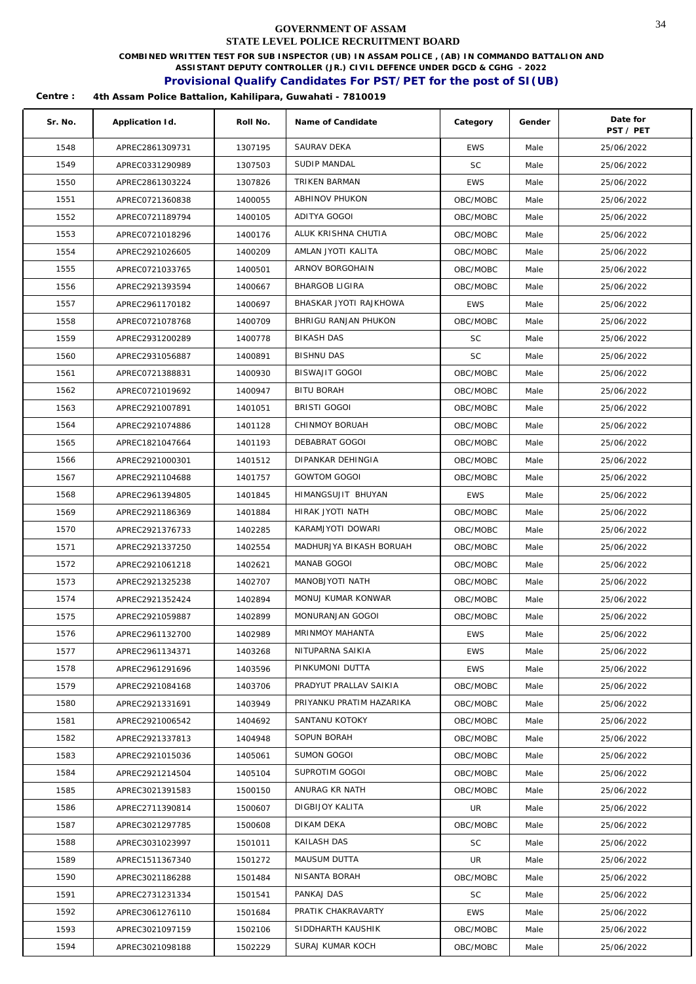**COMBINED WRITTEN TEST FOR SUB INSPECTOR (UB) IN ASSAM POLICE , (AB) IN COMMANDO BATTALION AND** 

**ASSISTANT DEPUTY CONTROLLER (JR.) CIVIL DEFENCE UNDER DGCD & CGHG - 2022** 

## **Provisional Qualify Candidates For PST/PET for the post of SI(UB)**

| Sr. No. | Application Id. | Roll No. | Name of Candidate        | Category   | Gender | Date for<br>PST / PET |
|---------|-----------------|----------|--------------------------|------------|--------|-----------------------|
| 1548    | APREC2861309731 | 1307195  | SAURAV DEKA              | <b>EWS</b> | Male   | 25/06/2022            |
| 1549    | APREC0331290989 | 1307503  | SUDIP MANDAL             | <b>SC</b>  | Male   | 25/06/2022            |
| 1550    | APREC2861303224 | 1307826  | TRIKEN BARMAN            | <b>EWS</b> | Male   | 25/06/2022            |
| 1551    | APREC0721360838 | 1400055  | ABHINOV PHUKON           | OBC/MOBC   | Male   | 25/06/2022            |
| 1552    | APREC0721189794 | 1400105  | ADITYA GOGOI             | OBC/MOBC   | Male   | 25/06/2022            |
| 1553    | APREC0721018296 | 1400176  | ALUK KRISHNA CHUTIA      | OBC/MOBC   | Male   | 25/06/2022            |
| 1554    | APREC2921026605 | 1400209  | AMLAN JYOTI KALITA       | OBC/MOBC   | Male   | 25/06/2022            |
| 1555    | APREC0721033765 | 1400501  | ARNOV BORGOHAIN          | OBC/MOBC   | Male   | 25/06/2022            |
| 1556    | APREC2921393594 | 1400667  | <b>BHARGOB LIGIRA</b>    | OBC/MOBC   | Male   | 25/06/2022            |
| 1557    | APREC2961170182 | 1400697  | BHASKAR JYOTI RAJKHOWA   | <b>EWS</b> | Male   | 25/06/2022            |
| 1558    | APREC0721078768 | 1400709  | BHRIGU RANJAN PHUKON     | OBC/MOBC   | Male   | 25/06/2022            |
| 1559    | APREC2931200289 | 1400778  | BIKASH DAS               | <b>SC</b>  | Male   | 25/06/2022            |
| 1560    | APREC2931056887 | 1400891  | <b>BISHNU DAS</b>        | <b>SC</b>  | Male   | 25/06/2022            |
| 1561    | APREC0721388831 | 1400930  | BISWAJIT GOGOI           | OBC/MOBC   | Male   | 25/06/2022            |
| 1562    | APREC0721019692 | 1400947  | <b>BITU BORAH</b>        | OBC/MOBC   | Male   | 25/06/2022            |
| 1563    | APREC2921007891 | 1401051  | <b>BRISTI GOGOI</b>      | OBC/MOBC   | Male   | 25/06/2022            |
| 1564    | APREC2921074886 | 1401128  | CHINMOY BORUAH           | OBC/MOBC   | Male   | 25/06/2022            |
| 1565    | APREC1821047664 | 1401193  | DEBABRAT GOGOI           | OBC/MOBC   | Male   | 25/06/2022            |
| 1566    | APREC2921000301 | 1401512  | DIPANKAR DEHINGIA        | OBC/MOBC   | Male   | 25/06/2022            |
| 1567    | APREC2921104688 | 1401757  | <b>GOWTOM GOGOI</b>      | OBC/MOBC   | Male   | 25/06/2022            |
| 1568    | APREC2961394805 | 1401845  | HIMANGSUJIT BHUYAN       | <b>EWS</b> | Male   | 25/06/2022            |
| 1569    | APREC2921186369 | 1401884  | HIRAK JYOTI NATH         | OBC/MOBC   | Male   | 25/06/2022            |
| 1570    | APREC2921376733 | 1402285  | KARAMJYOTI DOWARI        | OBC/MOBC   | Male   | 25/06/2022            |
| 1571    | APREC2921337250 | 1402554  | MADHURJYA BIKASH BORUAH  | OBC/MOBC   | Male   | 25/06/2022            |
| 1572    | APREC2921061218 | 1402621  | MANAB GOGOI              | OBC/MOBC   | Male   | 25/06/2022            |
| 1573    | APREC2921325238 | 1402707  | MANOBJYOTI NATH          | OBC/MOBC   | Male   | 25/06/2022            |
| 1574    | APREC2921352424 | 1402894  | MONUJ KUMAR KONWAR       | OBC/MOBC   | Male   | 25/06/2022            |
| 1575    | APREC2921059887 | 1402899  | MONURANJAN GOGOI         | OBC/MOBC   | Male   | 25/06/2022            |
| 1576    | APREC2961132700 | 1402989  | MRINMOY MAHANTA          | <b>EWS</b> | Male   | 25/06/2022            |
| 1577    | APREC2961134371 | 1403268  | NITUPARNA SAIKIA         | EWS        | Male   | 25/06/2022            |
| 1578    | APREC2961291696 | 1403596  | PINKUMONI DUTTA          | EWS        | Male   | 25/06/2022            |
| 1579    | APREC2921084168 | 1403706  | PRADYUT PRALLAV SAIKIA   | OBC/MOBC   | Male   | 25/06/2022            |
| 1580    | APREC2921331691 | 1403949  | PRIYANKU PRATIM HAZARIKA | OBC/MOBC   | Male   | 25/06/2022            |
| 1581    | APREC2921006542 | 1404692  | SANTANU KOTOKY           | OBC/MOBC   | Male   | 25/06/2022            |
| 1582    | APREC2921337813 | 1404948  | SOPUN BORAH              | OBC/MOBC   | Male   | 25/06/2022            |
| 1583    | APREC2921015036 | 1405061  | SUMON GOGOI              | OBC/MOBC   | Male   | 25/06/2022            |
| 1584    | APREC2921214504 | 1405104  | SUPROTIM GOGOI           | OBC/MOBC   | Male   | 25/06/2022            |
| 1585    | APREC3021391583 | 1500150  | ANURAG KR NATH           | OBC/MOBC   | Male   | 25/06/2022            |
| 1586    | APREC2711390814 | 1500607  | DIGBIJOY KALITA          | UR         | Male   | 25/06/2022            |
| 1587    | APREC3021297785 | 1500608  | DIKAM DEKA               | OBC/MOBC   | Male   | 25/06/2022            |
| 1588    | APREC3031023997 | 1501011  | KAILASH DAS              | SC.        | Male   | 25/06/2022            |
| 1589    | APREC1511367340 | 1501272  | MAUSUM DUTTA             | UR.        | Male   | 25/06/2022            |
| 1590    | APREC3021186288 | 1501484  | NISANTA BORAH            | OBC/MOBC   | Male   | 25/06/2022            |
| 1591    | APREC2731231334 | 1501541  | PANKAJ DAS               | <b>SC</b>  | Male   | 25/06/2022            |
| 1592    | APREC3061276110 | 1501684  | PRATIK CHAKRAVARTY       | <b>EWS</b> | Male   | 25/06/2022            |
| 1593    | APREC3021097159 | 1502106  | SIDDHARTH KAUSHIK        | OBC/MOBC   | Male   | 25/06/2022            |
| 1594    | APREC3021098188 | 1502229  | SURAJ KUMAR KOCH         | OBC/MOBC   | Male   | 25/06/2022            |